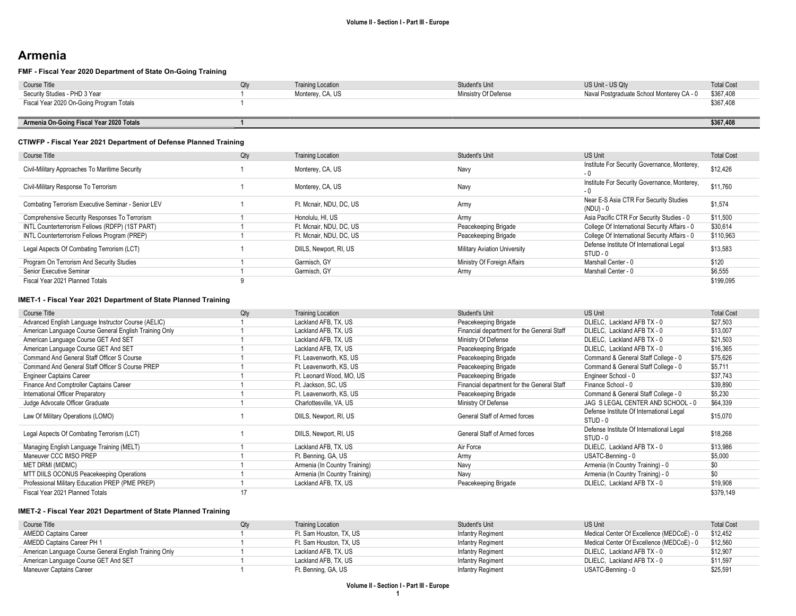# Armenia

### FMF - Fiscal Year 2020 Department of State On-Going Training

| Course Title                             | ∩tv | <b>Training Location</b> | Student's Unit       | US Unit - US Qtv                          | <b>Total Cost</b> |
|------------------------------------------|-----|--------------------------|----------------------|-------------------------------------------|-------------------|
| Security Studies - PHD 3 Year            |     | Monterey, CA, US         | Minsistry Of Defense | Naval Postgraduate School Monterey CA - 0 | \$367,408         |
| Fiscal Year 2020 On-Going Program Totals |     |                          |                      |                                           | \$367,408         |
|                                          |     |                          |                      |                                           |                   |
| Armenia On-Going Fiscal Year 2020 Totals |     |                          |                      |                                           | \$367,408         |

#### CTIWFP - Fiscal Year 2021 Department of Defense Planned Training

| Course Title                                       | Qty | <b>Training Location</b> | Student's Unit                      | <b>US Unit</b>                                       | <b>Total Cost</b> |
|----------------------------------------------------|-----|--------------------------|-------------------------------------|------------------------------------------------------|-------------------|
| Civil-Military Approaches To Maritime Security     |     | Monterey, CA, US         | Navy                                | Institute For Security Governance, Monterey,<br>- 0  | \$12,426          |
| Civil-Military Response To Terrorism               |     | Monterey, CA, US         | Navy                                | Institute For Security Governance, Monterey,<br>- 0  | \$11,760          |
| Combating Terrorism Executive Seminar - Senior LEV |     | Ft. Mcnair, NDU, DC, US  | Army                                | Near E-S Asia CTR For Security Studies<br>(NDU) - 0  | \$1,574           |
| Comprehensive Security Responses To Terrorism      |     | Honolulu, HI, US         | Army                                | Asia Pacific CTR For Security Studies - 0            | \$11,500          |
| INTL Counterterrorism Fellows (RDFP) (1ST PART)    |     | Ft. Mcnair. NDU. DC. US  | Peacekeeping Brigade                | College Of International Security Affairs - 0        | \$30,614          |
| INTL Counterterrorism Fellows Program (PREP)       |     | Ft. Mcnair, NDU, DC, US  | Peacekeeping Brigade                | College Of International Security Affairs - 0        | \$110,963         |
| Legal Aspects Of Combating Terrorism (LCT)         |     | DIILS, Newport, RI, US   | <b>Military Aviation University</b> | Defense Institute Of International Legal<br>STUD - 0 | \$13,583          |
| Program On Terrorism And Security Studies          |     | Garmisch, GY             | Ministry Of Foreign Affairs         | Marshall Center - 0                                  | \$120             |
| Senior Executive Seminar                           |     | Garmisch, GY             | Army                                | Marshall Center - 0                                  | \$6,555           |
| Fiscal Year 2021 Planned Totals                    |     |                          |                                     |                                                      | \$199,095         |

### IMET-1 - Fiscal Year 2021 Department of State Planned Training

| Course Title                                           | Qty | <b>Training Location</b>      | Student's Unit                             | <b>US Unit</b>                                       | <b>Total Cost</b> |
|--------------------------------------------------------|-----|-------------------------------|--------------------------------------------|------------------------------------------------------|-------------------|
| Advanced English Language Instructor Course (AELIC)    |     | Lackland AFB, TX, US          | Peacekeeping Brigade                       | DLIELC, Lackland AFB TX - 0                          | \$27,503          |
| American Language Course General English Training Only |     | Lackland AFB, TX, US          | Financial department for the General Staff | DLIELC, Lackland AFB TX - 0                          | \$13,007          |
| American Language Course GET And SET                   |     | Lackland AFB, TX, US          | Ministry Of Defense                        | DLIELC, Lackland AFB TX - 0                          | \$21,503          |
| American Language Course GET And SET                   |     | Lackland AFB, TX, US          | Peacekeeping Brigade                       | DLIELC, Lackland AFB TX - 0                          | \$16,365          |
| Command And General Staff Officer S Course             |     | Ft. Leavenworth, KS, US       | Peacekeeping Brigade                       | Command & General Staff College - 0                  | \$75,626          |
| Command And General Staff Officer S Course PREP        |     | Ft. Leavenworth, KS, US       | Peacekeeping Brigade                       | Command & General Staff College - 0                  | \$5,711           |
| <b>Engineer Captains Career</b>                        |     | Ft. Leonard Wood, MO, US      | Peacekeeping Brigade                       | Engineer School - 0                                  | \$37,743          |
| Finance And Comptroller Captains Career                |     | Ft. Jackson, SC, US           | Financial department for the General Staff | Finance School - 0                                   | \$39,890          |
| International Officer Preparatory                      |     | Ft. Leavenworth, KS, US       | Peacekeeping Brigade                       | Command & General Staff College - 0                  | \$5,230           |
| Judge Advocate Officer Graduate                        |     | Charlottesville, VA, US       | Ministry Of Defense                        | JAG S LEGAL CENTER AND SCHOOL - 0                    | \$64,339          |
| Law Of Military Operations (LOMO)                      |     | DIILS, Newport, RI, US        | General Staff of Armed forces              | Defense Institute Of International Legal<br>STUD - 0 | \$15,070          |
| Legal Aspects Of Combating Terrorism (LCT)             |     | DIILS, Newport, RI, US        | General Staff of Armed forces              | Defense Institute Of International Legal<br>STUD - 0 | \$18,268          |
| Managing English Language Training (MELT)              |     | Lackland AFB, TX, US          | Air Force                                  | DLIELC, Lackland AFB TX - 0                          | \$13,986          |
| Maneuver CCC IMSO PREP                                 |     | Ft. Benning, GA, US           | Army                                       | USATC-Benning - 0                                    | \$5,000           |
| MET DRMI (MIDMC)                                       |     | Armenia (In Country Training) | Navy                                       | Armenia (In Country Training) - 0                    | \$0               |
| MTT DIILS OCONUS Peacekeeping Operations               |     | Armenia (In Country Training) | Navy                                       | Armenia (In Country Training) - 0                    | \$0               |
| Professional Military Education PREP (PME PREP)        |     | Lackland AFB, TX, US          | Peacekeeping Brigade                       | DLIELC, Lackland AFB TX - 0                          | \$19,908          |
| Fiscal Year 2021 Planned Totals                        | 17  |                               |                                            |                                                      | \$379,149         |

#### IMET-2 - Fiscal Year 2021 Department of State Planned Training

| Course Title                                           | <b>Training Location</b> | Student's Unit           | US Unit                                   | <b>Total Cost</b> |
|--------------------------------------------------------|--------------------------|--------------------------|-------------------------------------------|-------------------|
| <b>AMEDD Captains Career</b>                           | Ft. Sam Houston. TX. US  | <b>Infantry Regiment</b> | Medical Center Of Excellence (MEDCoE) - 0 | \$12.452          |
| AMEDD Captains Career PH 1                             | Ft. Sam Houston. TX. US  | Infantry Regiment        | Medical Center Of Excellence (MEDCoE) - 0 | \$12.560          |
| American Language Course General English Training Only | Lackland AFB, TX, US     | Infantry Regiment        | DLIELC. Lackland AFB TX - 0               | \$12,907          |
| American Language Course GET And SET                   | Lackland AFB, TX, US     | Infantry Regiment        | DLIELC. Lackland AFB TX - 0               | \$11.597          |
| Maneuver Captains Career                               | Ft. Benning, GA, US      | Infantry Regiment        | USATC-Benning - 0                         | \$25,591          |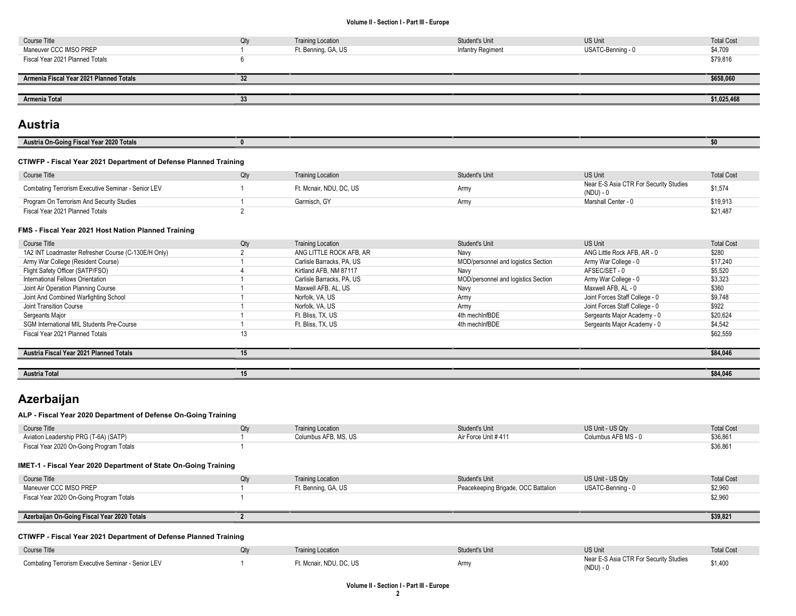| Course Title                            | Qty | <b>Training Location</b> | Student's Unit    | <b>US Unit</b>    | <b>Total Cost</b> |
|-----------------------------------------|-----|--------------------------|-------------------|-------------------|-------------------|
| Maneuver CCC IMSO PREP                  |     | Ft. Benning, GA, US      | Infantry Regiment | USATC-Benning - 0 | \$4,709           |
| Fiscal Year 2021 Planned Totals         |     |                          |                   |                   | \$79,816          |
|                                         |     |                          |                   |                   |                   |
| Armenia Fiscal Year 2021 Planned Totals | 32  |                          |                   |                   | \$658,060         |
|                                         |     |                          |                   |                   |                   |
|                                         |     |                          |                   |                   |                   |

# Austria

| 0.0005<br>$\sim$<br>$\mathbf{v}$<br>$- - - -$<br><b>Austria On-</b><br>-<br>13La<br>ι υιακ |  |
|--------------------------------------------------------------------------------------------|--|
|                                                                                            |  |

## CTIWFP - Fiscal Year 2021 Department of Defense Planned Training

| Course Title                                       | Qtv | <b>Training Location</b> | Student's Unit | <b>US Unit</b>                                      | <b>Total Cost</b> |
|----------------------------------------------------|-----|--------------------------|----------------|-----------------------------------------------------|-------------------|
| Combating Terrorism Executive Seminar - Senior LEV |     | Ft. Mcnair. NDU. DC. US  | Army           | Near E-S Asia CTR For Security Studies<br>(NDU) - 0 | \$1,574           |
| Program On Terrorism And Security Studies          |     | Garmisch, GY             | Army           | Marshall Center - 0                                 | \$19,913          |
| Fiscal Year 2021 Planned Totals                    |     |                          |                |                                                     | \$21,487          |

#### FMS - Fiscal Year 2021 Host Nation Planned Training

| Course Title                                        | Qty | <b>Training Location</b>  | Student's Unit                      | <b>US Unit</b>                 | <b>Total Cost</b> |
|-----------------------------------------------------|-----|---------------------------|-------------------------------------|--------------------------------|-------------------|
| 1A2 INT Loadmaster Refresher Course (C-130E/H Only) |     | ANG LITTLE ROCK AFB. AR   | Navv                                | ANG Little Rock AFB, AR - 0    | \$280             |
| Army War College (Resident Course)                  |     | Carlisle Barracks, PA, US | MOD/personnel and logistics Section | Army War College - 0           | \$17,240          |
| Flight Safety Officer (SATP/FSO)                    |     | Kirtland AFB, NM 87117    | Navv                                | AFSEC/SET - 0                  | \$5,520           |
| International Fellows Orientation                   |     | Carlisle Barracks, PA, US | MOD/personnel and logistics Section | Army War College - 0           | \$3,323           |
| Joint Air Operation Planning Course                 |     | Maxwell AFB, AL, US       | Navv                                | Maxwell AFB, AL - 0            | \$360             |
| Joint And Combined Warfighting School               |     | Norfolk, VA, US           | Army                                | Joint Forces Staff College - 0 | \$9,748           |
| Joint Transition Course                             |     | Norfolk, VA, US           | Army                                | Joint Forces Staff College - 0 | \$922             |
| Sergeants Major                                     |     | Ft. Bliss, TX, US         | 4th mechInfBDE                      | Sergeants Major Academy - 0    | \$20,624          |
| SGM International MIL Students Pre-Course           |     | Ft. Bliss, TX, US         | 4th mechInfBDE                      | Sergeants Major Academy - 0    | \$4,542           |
| Fiscal Year 2021 Planned Totals                     | 13  |                           |                                     |                                | \$62,559          |
|                                                     |     |                           |                                     |                                |                   |
| Austria Fiscal Year 2021 Planned Totals             | 15  |                           |                                     |                                | \$84.046          |
|                                                     |     |                           |                                     |                                |                   |
| <b>Austria Total</b>                                | 15  |                           |                                     |                                | \$84,046          |

# Azerbaijan

## ALP - Fiscal Year 2020 Department of Defense On-Going Training

| Course Title                                                     | Qty | <b>Training Location</b> | Student's Unit                      | US Unit - US Qtv                                    | <b>Total Cost</b> |
|------------------------------------------------------------------|-----|--------------------------|-------------------------------------|-----------------------------------------------------|-------------------|
| Aviation Leadership PRG (T-6A) (SATP)                            |     | Columbus AFB, MS, US     | Air Force Unit #411                 | Columbus AFB MS - 0                                 | \$36,861          |
| Fiscal Year 2020 On-Going Program Totals                         |     |                          |                                     |                                                     | \$36,861          |
| IMET-1 - Fiscal Year 2020 Department of State On-Going Training  |     |                          |                                     |                                                     |                   |
| Course Title                                                     | Qty | <b>Training Location</b> | Student's Unit                      | US Unit - US Qty                                    | <b>Total Cost</b> |
| Maneuver CCC IMSO PREP                                           |     | Ft. Benning, GA, US      | Peacekeeping Brigade, OCC Battalion | USATC-Benning - 0                                   | \$2,960           |
| Fiscal Year 2020 On-Going Program Totals                         |     |                          |                                     |                                                     | \$2,960           |
|                                                                  |     |                          |                                     |                                                     |                   |
| Azerbaijan On-Going Fiscal Year 2020 Totals                      |     |                          |                                     |                                                     | \$39,821          |
| CTIWFP - Fiscal Year 2021 Department of Defense Planned Training |     |                          |                                     |                                                     |                   |
|                                                                  |     |                          |                                     |                                                     |                   |
| Course Title                                                     | Qty | <b>Training Location</b> | Student's Unit                      | <b>US Unit</b>                                      | <b>Total Cost</b> |
| Combating Terrorism Executive Seminar - Senior LEV               |     | Ft. Mcnair, NDU, DC, US  | Army                                | Near E-S Asia CTR For Security Studies<br>(NDU) - 0 | \$1,400           |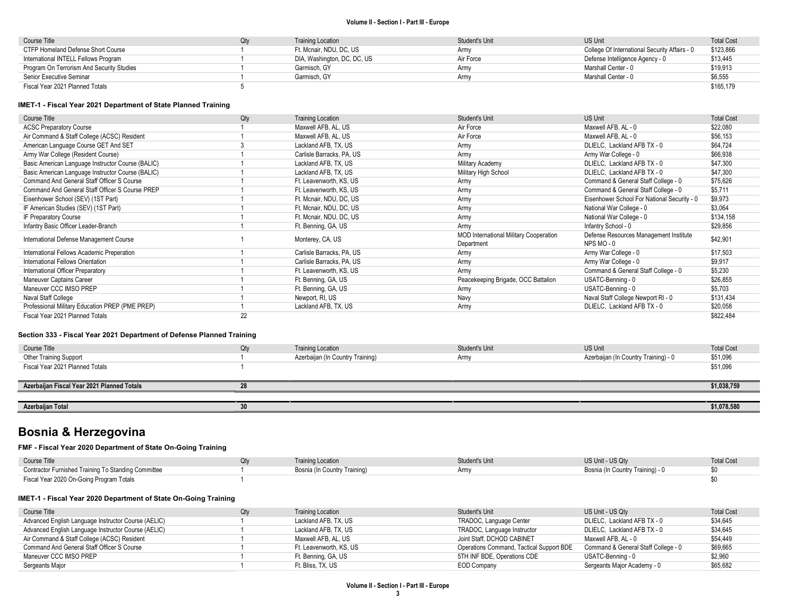| Course Title                              | $\gamma$ tv | <b>Training Location</b>    | Student's Unit | US Unit                                       | <b>Total Cost</b> |
|-------------------------------------------|-------------|-----------------------------|----------------|-----------------------------------------------|-------------------|
| CTFP Homeland Defense Short Course        |             | Ft. Mcnair. NDU. DC. US     | Armv           | College Of International Security Affairs - 0 | \$123,866         |
| International INTELL Fellows Program      |             | DIA, Washington, DC, DC, US | Air Force      | Defense Intelligence Agency - 0               | \$13,445          |
| Program On Terrorism And Security Studies |             | Garmisch, GY                | Army           | Marshall Center - 0                           | \$19,913          |
| Senior Executive Seminar                  |             | Garmisch, GY                | Army           | Marshall Center - 0                           | \$6,555           |
| Fiscal Year 2021 Planned Totals           |             |                             |                |                                               | \$165,179         |

### IMET-1 - Fiscal Year 2021 Department of State Planned Training

| Course Title                                      | Qty | <b>Training Location</b>  | <b>Student's Unit</b>                         | US Unit                                     | <b>Total Cost</b> |
|---------------------------------------------------|-----|---------------------------|-----------------------------------------------|---------------------------------------------|-------------------|
| <b>ACSC Preparatory Course</b>                    |     | Maxwell AFB, AL, US       | Air Force                                     | Maxwell AFB, AL - 0                         | \$22,080          |
| Air Command & Staff College (ACSC) Resident       |     | Maxwell AFB, AL, US       | Air Force                                     | Maxwell AFB, AL - 0                         | \$56,153          |
| American Language Course GET And SET              |     | Lackland AFB, TX, US      | Army                                          | DLIELC, Lackland AFB TX - 0                 | \$64,724          |
| Army War College (Resident Course)                |     | Carlisle Barracks, PA, US | Army                                          | Army War College - 0                        | \$66,938          |
| Basic American Language Instructor Course (BALIC) |     | Lackland AFB, TX, US      | Military Academy                              | DLIELC, Lackland AFB TX - 0                 | \$47,300          |
| Basic American Language Instructor Course (BALIC) |     | Lackland AFB, TX, US      | Military High School                          | DLIELC, Lackland AFB TX - 0                 | \$47,300          |
| Command And General Staff Officer S Course        |     | Ft. Leavenworth, KS, US   | Army                                          | Command & General Staff College - 0         | \$75,626          |
| Command And General Staff Officer S Course PREP   |     | Ft. Leavenworth, KS, US   | Army                                          | Command & General Staff College - 0         | \$5,711           |
| Eisenhower School (SEV) (1ST Part)                |     | Ft. Mcnair, NDU, DC, US   | Army                                          | Eisenhower School For National Security - 0 | \$9,973           |
| IF American Studies (SEV) (1ST Part)              |     | Ft. Mcnair, NDU, DC, US   | Army                                          | National War College - 0                    | \$3,064           |
| IF Preparatory Course                             |     | Ft. Mcnair, NDU, DC, US   | Army                                          | National War College - 0                    | \$134,158         |
| Infantry Basic Officer Leader-Branch              |     | Ft. Benning, GA, US       | Army                                          | Infantry School - 0                         | \$29,856          |
| International Defense Management Course           |     | Monterey, CA, US          | <b>MOD International Military Cooperation</b> | Defense Resources Management Institute      | \$42,901          |
|                                                   |     |                           | Department                                    | NPS MO-0                                    |                   |
| International Fellows Academic Preperation        |     | Carlisle Barracks, PA, US | Army                                          | Army War College - 0                        | \$17,503          |
| International Fellows Orientation                 |     | Carlisle Barracks, PA, US | Army                                          | Army War College - 0                        | \$9,917           |
| International Officer Preparatory                 |     | Ft. Leavenworth, KS, US   | Army                                          | Command & General Staff College - 0         | \$5,230           |
| Maneuver Captains Career                          |     | Ft. Benning, GA, US       | Peacekeeping Brigade, OCC Battalion           | USATC-Benning - 0                           | \$26,855          |
| Maneuver CCC IMSO PREP                            |     | Ft. Benning, GA, US       | Army                                          | USATC-Benning - 0                           | \$5,703           |
| Naval Staff College                               |     | Newport, RI, US           | Navy                                          | Naval Staff College Newport RI - 0          | \$131,434         |
| Professional Military Education PREP (PME PREP)   |     | Lackland AFB, TX, US      | Army                                          | DLIELC, Lackland AFB TX - 0                 | \$20,058          |
| Fiscal Year 2021 Planned Totals                   | 22  |                           |                                               |                                             | \$822,484         |

### Section 333 - Fiscal Year 2021 Department of Defense Planned Training

| Course Title                               | Qty | <b>Training Location</b>         | Student's Unit | <b>US Unit</b>                       | <b>Total Cost</b> |
|--------------------------------------------|-----|----------------------------------|----------------|--------------------------------------|-------------------|
| <b>Other Training Support</b>              |     | Azerbaijan (In Country Training) | Army           | Azerbaijan (In Country Training) - 0 | \$51,096          |
| Fiscal Year 2021 Planned Totals            |     |                                  |                |                                      | \$51,096          |
|                                            |     |                                  |                |                                      |                   |
| Azerbaijan Fiscal Year 2021 Planned Totals | 28  |                                  |                |                                      | \$1,038,759       |
|                                            |     |                                  |                |                                      |                   |
| Azerbaijan Total                           | 30  |                                  |                |                                      | \$1,078,580       |

# Bosnia & Herzegovina

### FMF - Fiscal Year 2020 Department of State On-Going Training

| Course Title                                        | <b>Training Location</b>     | Student's Unit | US Unit - US Qtv                 | <b>Total Cost</b> |
|-----------------------------------------------------|------------------------------|----------------|----------------------------------|-------------------|
| Contractor Furnished Training To Standing Committee | Bosnia (In Country Training) |                | Bosnia (In Country Training) - 0 |                   |
| Fiscal Year 2020 On-Going Program Totals            |                              |                |                                  |                   |

## IMET-1 - Fiscal Year 2020 Department of State On-Going Training

| Course Title                                        | Qtv | <b>Training Location</b> | Student's Unit                           | US Unit - US Qtv                    | <b>Total Cost</b> |
|-----------------------------------------------------|-----|--------------------------|------------------------------------------|-------------------------------------|-------------------|
| Advanced English Language Instructor Course (AELIC) |     | Lackland AFB, TX, US     | TRADOC, Language Center                  | DLIELC. Lackland AFB TX - 0         | \$34.645          |
| Advanced English Language Instructor Course (AELIC) |     | Lackland AFB, TX, US     | TRADOC, Language Instructor              | DLIELC, Lackland AFB TX - 0         | \$34,645          |
| Air Command & Staff College (ACSC) Resident         |     | Maxwell AFB. AL. US      | Joint Staff, DCHOD CABINET               | Maxwell AFB. AL - 0                 | \$54.449          |
| Command And General Staff Officer S Course          |     | Ft. Leavenworth. KS. US  | Operations Command, Tactical Support BDE | Command & General Staff College - 0 | \$69.665          |
| Maneuver CCC IMSO PREP                              |     | Ft. Benning, GA, US      | 5TH INF BDE, Operations CDE              | USATC-Benning - 0                   | \$2,960           |
| Sergeants Major                                     |     | Ft. Bliss. TX. US        | <b>EOD Company</b>                       | Sergeants Major Academy - 0         | \$65,682          |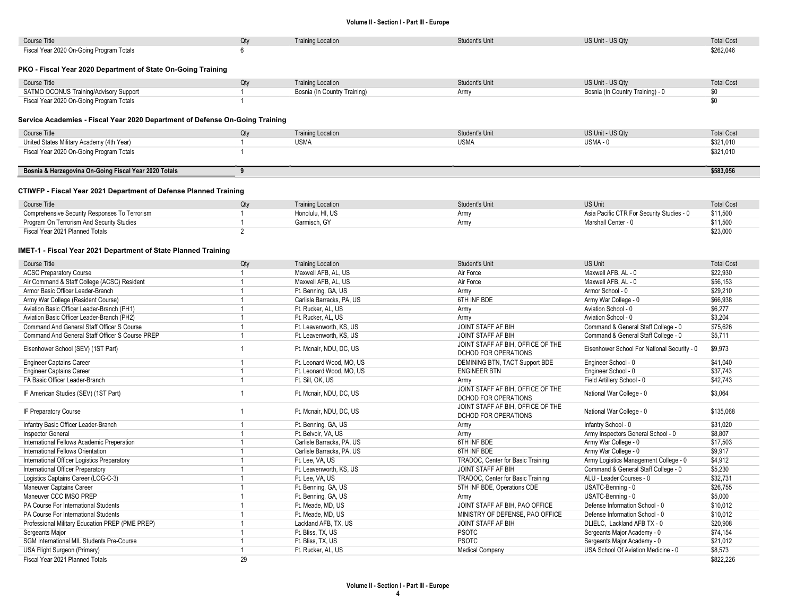| Course Title                                                                 | Qty            | <b>Training Location</b>     | Student's Unit                    | US Unit - US Qty                            | <b>Total Cost</b> |
|------------------------------------------------------------------------------|----------------|------------------------------|-----------------------------------|---------------------------------------------|-------------------|
| Fiscal Year 2020 On-Going Program Totals                                     | 6              |                              |                                   |                                             | \$262.046         |
|                                                                              |                |                              |                                   |                                             |                   |
| PKO - Fiscal Year 2020 Department of State On-Going Training                 |                |                              |                                   |                                             |                   |
|                                                                              |                |                              |                                   |                                             |                   |
| Course Title                                                                 | Qty            | <b>Training Location</b>     | <b>Student's Unit</b>             | US Unit - US Qty                            | <b>Total Cost</b> |
| SATMO OCONUS Training/Advisory Support                                       | -1             | Bosnia (In Country Training) | Army                              | Bosnia (In Country Training) - 0            | \$0               |
| Fiscal Year 2020 On-Going Program Totals                                     | $\overline{1}$ |                              |                                   |                                             | \$0               |
|                                                                              |                |                              |                                   |                                             |                   |
| Service Academies - Fiscal Year 2020 Department of Defense On-Going Training |                |                              |                                   |                                             |                   |
|                                                                              |                |                              |                                   |                                             |                   |
| Course Title                                                                 | Qty            | <b>Training Location</b>     | Student's Unit                    | US Unit - US Qty                            | <b>Total Cost</b> |
| United States Military Academy (4th Year)                                    | $\mathbf{1}$   | <b>USMA</b>                  | <b>USMA</b>                       | USMA-0                                      | \$321,010         |
| Fiscal Year 2020 On-Going Program Totals                                     | $\mathbf{1}$   |                              |                                   |                                             | \$321,010         |
|                                                                              |                |                              |                                   |                                             |                   |
| Bosnia & Herzegovina On-Going Fiscal Year 2020 Totals                        | 9              |                              |                                   |                                             | \$583,056         |
|                                                                              |                |                              |                                   |                                             |                   |
| CTIWFP - Fiscal Year 2021 Department of Defense Planned Training             |                |                              |                                   |                                             |                   |
| Course Title                                                                 | Qty            | <b>Training Location</b>     | <b>Student's Unit</b>             | <b>US Unit</b>                              | <b>Total Cost</b> |
| Comprehensive Security Responses To Terrorism                                | -1             | Honolulu, HI, US             | Army                              | Asia Pacific CTR For Security Studies - 0   | \$11,500          |
| Program On Terrorism And Security Studies                                    | $\mathbf{1}$   | Garmisch, GY                 | Army                              | Marshall Center - 0                         | \$11,500          |
| Fiscal Year 2021 Planned Totals                                              | $\overline{2}$ |                              |                                   |                                             | \$23,000          |
|                                                                              |                |                              |                                   |                                             |                   |
|                                                                              |                |                              |                                   |                                             |                   |
| IMET-1 - Fiscal Year 2021 Department of State Planned Training               |                |                              |                                   |                                             |                   |
| Course Title                                                                 | Qty            | <b>Training Location</b>     | Student's Unit                    | <b>US Unit</b>                              | <b>Total Cost</b> |
| <b>ACSC Preparatory Course</b>                                               | $\mathbf{1}$   | Maxwell AFB, AL, US          | Air Force                         | Maxwell AFB, AL - 0                         | \$22,930          |
| Air Command & Staff College (ACSC) Resident                                  | $\mathbf{1}$   | Maxwell AFB, AL, US          | Air Force                         | Maxwell AFB, AL - 0                         | \$56,153          |
| Armor Basic Officer Leader-Branch                                            | $\mathbf{1}$   | Ft. Benning, GA, US          | Army                              | Armor School - 0                            | \$29,210          |
| Army War College (Resident Course)                                           | $\mathbf{1}$   | Carlisle Barracks, PA, US    | 6TH INF BDE                       | Army War College - 0                        | \$66,938          |
| Aviation Basic Officer Leader-Branch (PH1)                                   | $\overline{1}$ | Ft. Rucker, AL, US           | Army                              | Aviation School - 0                         | \$6,277           |
|                                                                              | $\mathbf{1}$   |                              |                                   |                                             | \$3,204           |
| Aviation Basic Officer Leader-Branch (PH2)                                   |                | Ft. Rucker, AL, US           | Army                              | Aviation School - 0                         |                   |
| Command And General Staff Officer S Course                                   | $\overline{1}$ | Ft. Leavenworth, KS, US      | JOINT STAFF AF BIH                | Command & General Staff College - 0         | \$75,626          |
| Command And General Staff Officer S Course PREP                              | $\mathbf{1}$   | Ft. Leavenworth, KS, US      | JOINT STAFF AF BIH                | Command & General Staff College - 0         | \$5,711           |
| Eisenhower School (SEV) (1ST Part)                                           | $\mathbf{1}$   | Ft. Mcnair, NDU, DC, US      | JOINT STAFF AF BIH, OFFICE OF THE | Eisenhower School For National Security - 0 | \$9,973           |
|                                                                              |                |                              | DCHOD FOR OPERATIONS              |                                             |                   |
| <b>Engineer Captains Career</b>                                              | $\overline{1}$ | Ft. Leonard Wood, MO, US     | DEMINING BTN, TACT Support BDE    | Engineer School - 0                         | \$41,040          |
| <b>Engineer Captains Career</b>                                              | $\mathbf{1}$   | Ft. Leonard Wood, MO, US     | <b>ENGINEER BTN</b>               | Engineer School - 0                         | \$37,743          |
| FA Basic Officer Leader-Branch                                               | $\mathbf{1}$   | Ft. Sill, OK, US             | Army                              | Field Artillery School - 0                  | \$42,743          |
| IF American Studies (SEV) (1ST Part)                                         | $\mathbf{1}$   | Ft. Mcnair, NDU, DC, US      | JOINT STAFF AF BIH, OFFICE OF THE | National War College - 0                    | \$3,064           |
|                                                                              |                |                              | DCHOD FOR OPERATIONS              |                                             |                   |
|                                                                              | $\mathbf{1}$   | Ft. Mcnair, NDU, DC, US      | JOINT STAFF AF BIH, OFFICE OF THE |                                             |                   |
| IF Preparatory Course                                                        |                |                              | DCHOD FOR OPERATIONS              | National War College - 0                    | \$135,068         |
| Infantry Basic Officer Leader-Branch                                         | -1             | Ft. Benning, GA, US          | Army                              | Infantry School - 0                         | \$31,020          |
| <b>Inspector General</b>                                                     | $\mathbf{1}$   | Ft. Belvoir, VA, US          | Army                              | Army Inspectors General School - 0          | \$8,807           |
| International Fellows Academic Preperation                                   | $\mathbf{1}$   | Carlisle Barracks, PA, US    | 6TH INF BDE                       | Army War College - 0                        | \$17,503          |
| International Fellows Orientation                                            | $\mathbf{1}$   | Carlisle Barracks, PA, US    | 6TH INF BDE                       | Army War College - 0                        | \$9,917           |
| International Officer Logistics Preparatory                                  | $\mathbf{1}$   | Ft. Lee. VA. US              | TRADOC, Center for Basic Training | Army Logistics Management College - 0       | \$4,912           |
| International Officer Preparatory                                            | $\mathbf{1}$   | Ft. Leavenworth, KS, US      | <b>JOINT STAFF AF BIH</b>         | Command & General Staff College - 0         | \$5,230           |
| Logistics Captains Career (LOG-C-3)                                          | $\mathbf{1}$   | Ft. Lee, VA, US              | TRADOC, Center for Basic Training | ALU - Leader Courses - 0                    | \$32,731          |
|                                                                              | -1             |                              |                                   |                                             |                   |
| <b>Maneuver Captains Career</b><br>Maneuver CCC IMSO PREP                    | $\mathbf{1}$   | Ft. Benning, GA, US          | 5TH INF BDE, Operations CDE       | USATC-Benning - 0                           | \$26,755          |
|                                                                              |                | Ft. Benning, GA, US          | Army                              | USATC-Benning - 0                           | \$5,000           |
| PA Course For International Students                                         | $\mathbf{1}$   | Ft. Meade, MD, US            | JOINT STAFF AF BIH, PAO OFFICE    | Defense Information School - 0              | \$10,012          |
| PA Course For International Students                                         | $\mathbf{1}$   | Ft. Meade, MD, US            | MINISTRY OF DEFENSE, PAO OFFICE   | Defense Information School - 0              | \$10,012          |
| Professional Military Education PREP (PME PREP)                              | $\mathbf{1}$   | Lackland AFB, TX, US         | JOINT STAFF AF BIH                | DLIELC, Lackland AFB TX - 0                 | \$20,908          |
| Sergeants Major                                                              | $\mathbf{1}$   | Ft. Bliss, TX, US            | <b>PSOTC</b>                      | Sergeants Major Academy - 0                 | \$74,154          |
| SGM International MIL Students Pre-Course                                    | $\mathbf{1}$   | Ft. Bliss, TX, US            | <b>PSOTC</b>                      | Sergeants Major Academy - 0                 | \$21,012          |
| USA Flight Surgeon (Primary)                                                 | $\mathbf{1}$   | Ft. Rucker, AL, US           | <b>Medical Company</b>            | USA School Of Aviation Medicine - 0         | \$8,573           |
| Fiscal Year 2021 Planned Totals                                              | 29             |                              |                                   |                                             | \$822,226         |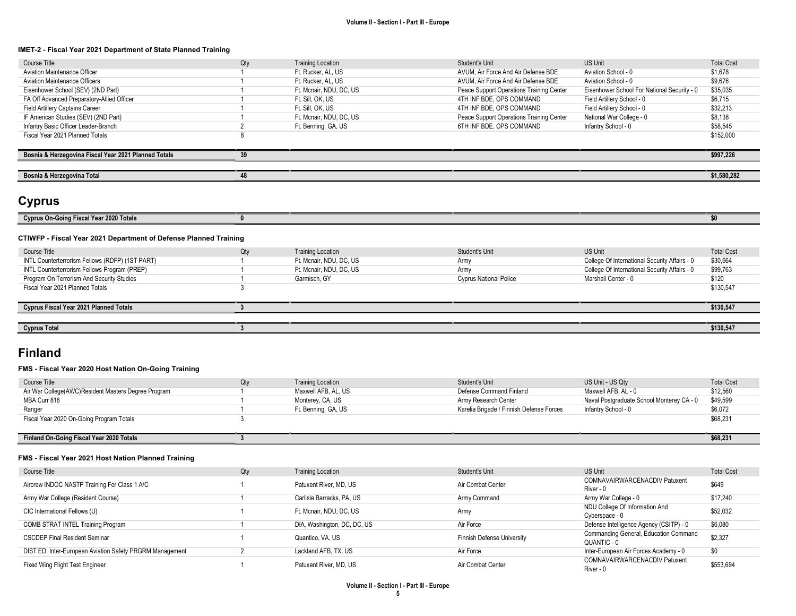#### IMET-2 - Fiscal Year 2021 Department of State Planned Training

| Course Title                                         | Qty | <b>Training Location</b> | Student's Unit                           | US Unit                                     | <b>Total Cost</b> |
|------------------------------------------------------|-----|--------------------------|------------------------------------------|---------------------------------------------|-------------------|
| <b>Aviation Maintenance Officer</b>                  |     | Ft. Rucker, AL, US       | AVUM, Air Force And Air Defense BDE      | Aviation School - 0                         | \$1,678           |
| <b>Aviation Maintenance Officers</b>                 |     | Ft. Rucker, AL, US       | AVUM, Air Force And Air Defense BDE      | Aviation School - 0                         | \$9,676           |
| Eisenhower School (SEV) (2ND Part)                   |     | Ft. Mcnair, NDU, DC, US  | Peace Support Operations Training Center | Eisenhower School For National Security - 0 | \$35,035          |
| FA Off Advanced Preparatory-Allied Officer           |     | Ft. Sill. OK. US         | 4TH INF BDE, OPS COMMAND                 | Field Artillery School - 0                  | \$6,715           |
| Field Artillery Captains Career                      |     | Ft. Sill. OK. US         | 4TH INF BDE, OPS COMMAND                 | Field Artillery School - 0                  | \$32.213          |
| IF American Studies (SEV) (2ND Part)                 |     | Ft. Mcnair, NDU, DC, US  | Peace Support Operations Training Center | National War College - 0                    | \$8,138           |
| Infantry Basic Officer Leader-Branch                 |     | Ft. Benning, GA, US      | 6TH INF BDE, OPS COMMAND                 | Infantry School - 0                         | \$58.545          |
| Fiscal Year 2021 Planned Totals                      |     |                          |                                          |                                             | \$152,000         |
|                                                      |     |                          |                                          |                                             |                   |
| Bosnia & Herzegovina Fiscal Year 2021 Planned Totals | 39  |                          |                                          |                                             | \$997.226         |
|                                                      |     |                          |                                          |                                             |                   |
| Bosnia & Herzegovina Total                           | 48  |                          |                                          |                                             | \$1,580,282       |
|                                                      |     |                          |                                          |                                             |                   |

# Cyprus

| . .<br>CVDI |  |  |  |
|-------------|--|--|--|
|             |  |  |  |

## CTIWFP - Fiscal Year 2021 Department of Defense Planned Training

| Course Title                                    | Qty | <b>Training Location</b> | Student's Unit                | US Unit                                       | <b>Total Cost</b> |
|-------------------------------------------------|-----|--------------------------|-------------------------------|-----------------------------------------------|-------------------|
| INTL Counterterrorism Fellows (RDFP) (1ST PART) |     | Ft. Mcnair, NDU, DC, US  | Army                          | College Of International Security Affairs - 0 | \$30,664          |
| INTL Counterterrorism Fellows Program (PREP)    |     | Ft. Mcnair, NDU, DC, US  | Army                          | College Of International Security Affairs - 0 | \$99,763          |
| Program On Terrorism And Security Studies       |     | Garmisch, GY             | <b>Cyprus National Police</b> | Marshall Center - 0                           | \$120             |
| Fiscal Year 2021 Planned Totals                 |     |                          |                               |                                               | \$130.547         |
|                                                 |     |                          |                               |                                               |                   |
| <b>Cyprus Fiscal Year 2021 Planned Totals</b>   |     |                          |                               |                                               | \$130,547         |
|                                                 |     |                          |                               |                                               |                   |
| <b>Cyprus Total</b>                             |     |                          |                               |                                               | \$130,547         |

# Finland

### FMS - Fiscal Year 2020 Host Nation On-Going Training

| Course Title                                        | Qtv | <b>Training Location</b> | Student's Unit                           | US Unit - US Qty                          | <b>Total Cost</b> |
|-----------------------------------------------------|-----|--------------------------|------------------------------------------|-------------------------------------------|-------------------|
| Air War College(AWC)Resident Masters Degree Program |     | Maxwell AFB, AL, US      | Defense Command Finland                  | Maxwell AFB. AL - 0                       | \$12.560          |
| MBA Curr 818                                        |     | Monterey, CA, US         | Army Research Center                     | Naval Postgraduate School Monterey CA - 0 | \$49,599          |
| Ranger                                              |     | Ft. Benning, GA, US      | Karelia Brigade / Finnish Defense Forces | Infantry School - 0                       | \$6,072           |
| Fiscal Year 2020 On-Going Program Totals            |     |                          |                                          |                                           | \$68,231          |
|                                                     |     |                          |                                          |                                           |                   |
| Finland On-Going Fiscal Year 2020 Totals            |     |                          |                                          |                                           | \$68,231          |

#### FMS - Fiscal Year 2021 Host Nation Planned Training

| Course Title                                             | Qty | <b>Training Location</b>    | Student's Unit             | <b>US Unit</b>                                       | <b>Total Cost</b> |
|----------------------------------------------------------|-----|-----------------------------|----------------------------|------------------------------------------------------|-------------------|
| Aircrew INDOC NASTP Training For Class 1 A/C             |     | Patuxent River, MD, US      | Air Combat Center          | COMNAVAIRWARCENACDIV Patuxent<br>River - 0           | \$649             |
| Army War College (Resident Course)                       |     | Carlisle Barracks, PA, US   | Army Command               | Army War College - 0                                 | \$17,240          |
| CIC International Fellows (U)                            |     | Ft. Mcnair, NDU, DC, US     | Army                       | NDU College Of Information And<br>Cyberspace - 0     | \$52,032          |
| COMB STRAT INTEL Training Program                        |     | DIA, Washington, DC, DC, US | Air Force                  | Defense Intelligence Agency (CSITP) - 0              | \$6,080           |
| <b>CSCDEP Final Resident Seminar</b>                     |     | Quantico, VA, US            | Finnish Defense University | Commanding General, Education Command<br>QUANTIC - 0 | \$2,327           |
| DIST ED: Inter-European Aviation Safety PRGRM Management |     | Lackland AFB, TX, US        | Air Force                  | Inter-European Air Forces Academy - 0                | \$0               |
| Fixed Wing Flight Test Engineer                          |     | Patuxent River, MD, US      | Air Combat Center          | COMNAVAIRWARCENACDIV Patuxent<br>River - 0           | \$553,694         |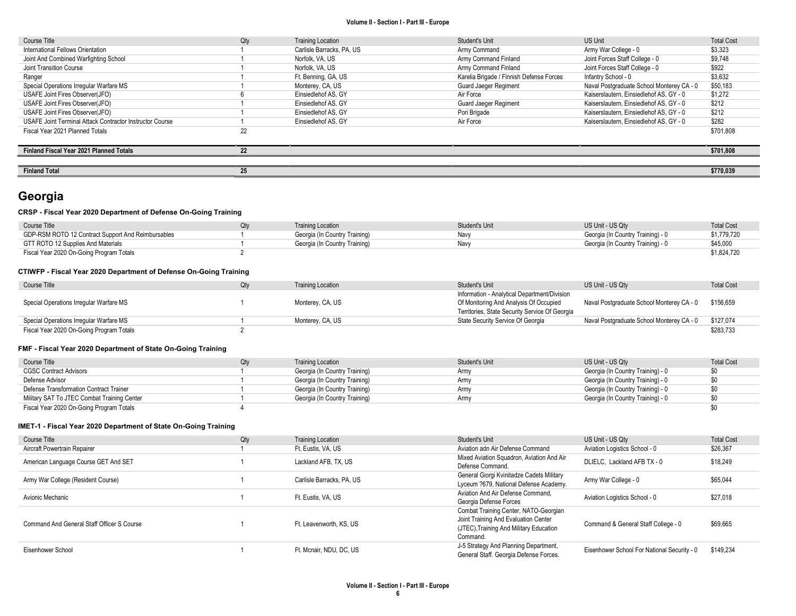| Course Title                                             | Qty | <b>Training Location</b>  | Student's Unit                           | US Unit                                   | <b>Total Cost</b> |
|----------------------------------------------------------|-----|---------------------------|------------------------------------------|-------------------------------------------|-------------------|
| International Fellows Orientation                        |     | Carlisle Barracks, PA, US | Army Command                             | Army War College - 0                      | \$3,323           |
| Joint And Combined Warfighting School                    |     | Norfolk, VA, US           | Army Command Finland                     | Joint Forces Staff College - 0            | \$9,748           |
| Joint Transition Course                                  |     | Norfolk, VA, US           | Army Command Finland                     | Joint Forces Staff College - 0            | \$922             |
| Ranger                                                   |     | Ft. Benning, GA, US       | Karelia Brigade / Finnish Defense Forces | Infantry School - 0                       | \$3,632           |
| Special Operations Irregular Warfare MS                  |     | Monterey, CA, US          | <b>Guard Jaeger Regiment</b>             | Naval Postgraduate School Monterey CA - 0 | \$50,183          |
| USAFE Joint Fires Observer(JFO)                          |     | Einsiedlehof AS, GY       | Air Force                                | Kaiserslautern. Einsiedlehof AS. GY - 0   | \$1.272           |
| USAFE Joint Fires Observer(JFO)                          |     | Einsiedlehof AS, GY       | <b>Guard Jaeger Regiment</b>             | Kaiserslautern, Einsiedlehof AS, GY - 0   | \$212             |
| USAFE Joint Fires Observer(JFO)                          |     | Einsiedlehof AS, GY       | Pori Brigade                             | Kaiserslautern. Einsiedlehof AS. GY - 0   | \$212             |
| USAFE Joint Terminal Attack Contractor Instructor Course |     | Einsiedlehof AS, GY       | Air Force                                | Kaiserslautern. Einsiedlehof AS. GY - 0   | \$282             |
| Fiscal Year 2021 Planned Totals                          | 22  |                           |                                          |                                           | \$701,808         |
|                                                          |     |                           |                                          |                                           |                   |
| Finland Fiscal Year 2021 Planned Totals                  | 22  |                           |                                          |                                           | \$701,808         |
|                                                          |     |                           |                                          |                                           |                   |
| <b>Finland Total</b>                                     | 25  |                           |                                          |                                           | \$770,039         |

# Georgia

# CRSP - Fiscal Year 2020 Department of Defense On-Going Training

| Course Title                                       | Training Location             | Student's Unit | US Unit - US Qtv                  | <b>Total Cost</b> |
|----------------------------------------------------|-------------------------------|----------------|-----------------------------------|-------------------|
| GDP-RSM ROTO 12 Contract Support And Reimbursables | Georgia (In Country Training) | Navy           | Georgia (In Country Training) - 0 | \$1,779,720       |
| GTT ROTO 12 Supplies And Materials                 | Georgia (In Country Training) | Navv           | Georgia (In Country Training) - 0 | \$45,000          |
| Fiscal Year 2020 On-Going Program Totals           |                               |                |                                   | \$1,824,720       |

## CTIWFP - Fiscal Year 2020 Department of Defense On-Going Training

| Course Title                             | <b>Training Location</b> | Student's Unit                                 | US Unit - US Qtv                          | <b>Total Cost</b> |
|------------------------------------------|--------------------------|------------------------------------------------|-------------------------------------------|-------------------|
|                                          |                          | Information - Analytical Department/Division   |                                           |                   |
| Special Operations Irregular Warfare MS  | Monterey, CA, US         | Of Monitoring And Analysis Of Occupied         | Naval Postgraduate School Monterey CA - 0 | \$156,659         |
|                                          |                          | Territories, State Security Service Of Georgia |                                           |                   |
| Special Operations Irregular Warfare MS  | Monterey, CA, US         | State Security Service Of Georgia              | Naval Postgraduate School Monterey CA - 0 | \$127,074         |
| Fiscal Year 2020 On-Going Program Totals |                          |                                                |                                           | \$283,733         |

## FMF - Fiscal Year 2020 Department of State On-Going Training

| Course Title                                | <b>Training Location</b>      | Student's Unit | US Unit - US Qty                  | <b>Total Cost</b> |
|---------------------------------------------|-------------------------------|----------------|-----------------------------------|-------------------|
| <b>CGSC Contract Advisors</b>               | Georgia (In Country Training) | Army           | Georgia (In Country Training) - 0 | \$0               |
| Defense Advisor                             | Georgia (In Country Training) | Army           | Georgia (In Country Training) - 0 |                   |
| Defense Transformation Contract Trainer     | Georgia (In Country Training) | Army           | Georgia (In Country Training) - 0 | \$0               |
| Military SAT To JTEC Combat Training Center | Georgia (In Country Training) | Army           | Georgia (In Country Training) - 0 |                   |
| Fiscal Year 2020 On-Going Program Totals    |                               |                |                                   |                   |

## IMET-1 - Fiscal Year 2020 Department of State On-Going Training

| Course Title                               | Qty | <b>Training Location</b>  | Student's Unit                                                                                                                       | US Unit - US Qty                            | <b>Total Cost</b> |
|--------------------------------------------|-----|---------------------------|--------------------------------------------------------------------------------------------------------------------------------------|---------------------------------------------|-------------------|
| Aircraft Powertrain Repairer               |     | Ft. Eustis, VA, US        | Aviation adn Air Defense Command                                                                                                     | Aviation Logistics School - 0               | \$26,367          |
| American Language Course GET And SET       |     | Lackland AFB, TX, US      | Mixed Aviation Squadron, Aviation And Air<br>Defense Command.                                                                        | DLIELC, Lackland AFB TX - 0                 | \$18,249          |
| Army War College (Resident Course)         |     | Carlisle Barracks, PA, US | General Giorgi Kvinitadze Cadets Military<br>Lyceum ?679, National Defense Academy.                                                  | Army War College - 0                        | \$65.044          |
| Avionic Mechanic                           |     | Ft. Eustis, VA, US        | Aviation And Air Defense Command.<br>Georgia Defense Forces                                                                          | Aviation Logistics School - 0               | \$27.018          |
| Command And General Staff Officer S Course |     | Ft. Leavenworth, KS, US   | Combat Training Center, NATO-Georgian<br>Joint Training And Evaluation Center<br>(JTEC), Training And Military Education<br>Command. | Command & General Staff College - 0         | \$69,665          |
| Eisenhower School                          |     | Ft. Mcnair, NDU, DC, US   | J-5 Strategy And Planning Department,<br>General Staff. Georgia Defense Forces.                                                      | Eisenhower School For National Security - 0 | \$149.234         |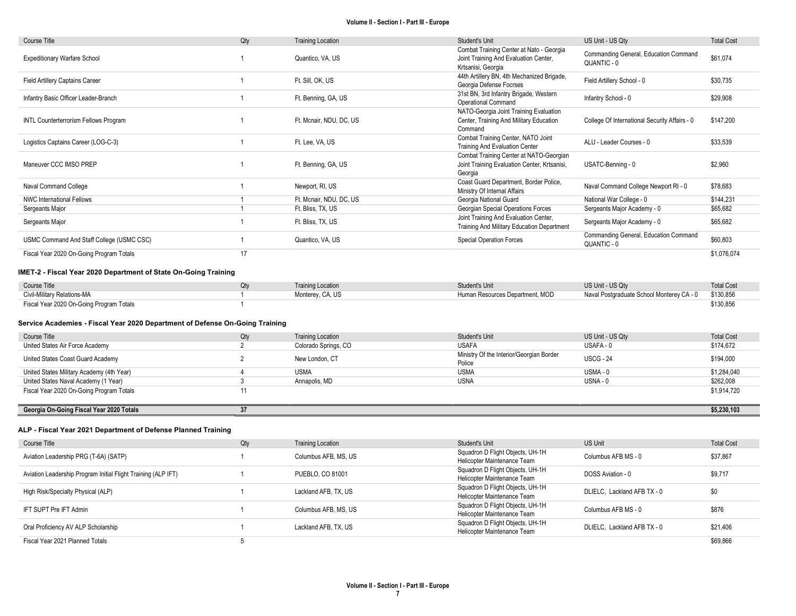| Course Title                              | Qty | <b>Training Location</b> | Student's Unit                                                                                          | US Unit - US Qty                                     | <b>Total Cost</b> |
|-------------------------------------------|-----|--------------------------|---------------------------------------------------------------------------------------------------------|------------------------------------------------------|-------------------|
| <b>Expeditionary Warfare School</b>       |     | Quantico, VA, US         | Combat Training Center at Nato - Georgia<br>Joint Training And Evaluation Center,<br>Krtsanisi, Georgia | Commanding General, Education Command<br>QUANTIC - 0 | \$61,074          |
| <b>Field Artillery Captains Career</b>    |     | Ft. Sill, OK, US         | 44th Artillery BN, 4th Mechanized Brigade,<br>Georgia Defense Focrses                                   | Field Artillery School - 0                           | \$30,735          |
| Infantry Basic Officer Leader-Branch      |     | Ft. Benning, GA, US      | 31st BN, 3rd Infantry Brigade, Western<br><b>Operational Command</b>                                    | Infantry School - 0                                  | \$29,908          |
| INTL Counterterrorism Fellows Program     |     | Ft. Mcnair, NDU, DC, US  | NATO-Georgia Joint Training Evaluation<br>Center, Training And Military Education<br>Command            | College Of International Security Affairs - 0        | \$147,200         |
| Logistics Captains Career (LOG-C-3)       |     | Ft. Lee, VA, US          | Combat Training Center, NATO Joint<br>Training And Evaluation Center                                    | ALU - Leader Courses - 0                             | \$33,539          |
| Maneuver CCC IMSO PREP                    |     | Ft. Benning, GA, US      | Combat Training Center at NATO-Georgian<br>Joint Training Evaluation Center, Krtsanisi,<br>Georgia      | USATC-Benning - 0                                    | \$2,960           |
| Naval Command College                     |     | Newport, RI, US          | Coast Guard Department, Border Police,<br>Ministry Of Internal Affairs                                  | Naval Command College Newport RI - 0                 | \$78,683          |
| <b>NWC International Fellows</b>          |     | Ft. Mcnair, NDU, DC, US  | Georgia National Guard                                                                                  | National War College - 0                             | \$144,231         |
| Sergeants Major                           |     | Ft. Bliss, TX, US        | Georgian Special Operations Forces                                                                      | Sergeants Major Academy - 0                          | \$65,682          |
| Sergeants Major                           |     | Ft. Bliss, TX, US        | Joint Training And Evaluation Center,<br>Training And Military Education Department                     | Sergeants Major Academy - 0                          | \$65,682          |
| USMC Command And Staff College (USMC CSC) |     | Quantico, VA, US         | <b>Special Operation Forces</b>                                                                         | Commanding General, Education Command<br>QUANTIC - 0 | \$60,803          |
| Fiscal Year 2020 On-Going Program Totals  | 17  |                          |                                                                                                         |                                                      | \$1,076,074       |

### IMET-2 - Fiscal Year 2020 Department of State On-Going Training

| Course Title                             | <b>Training Location</b> | Student's Unit                  | US Unit - US Qtv                                    | <b>Total Cost</b> |
|------------------------------------------|--------------------------|---------------------------------|-----------------------------------------------------|-------------------|
| Civil-Military Relations-MA              | Monterey, CA, US         | Human Resources Department, MOD | Naval Postgraduate School Monterey CA - 0 \$130,856 |                   |
| Fiscal Year 2020 On-Going Program Totals |                          |                                 |                                                     | \$130,856         |

## Service Academies - Fiscal Year 2020 Department of Defense On-Going Training

| Course Title                              | Qty | <b>Training Location</b> | Student's Unit                           | US Unit - US Qty | <b>Total Cost</b> |
|-------------------------------------------|-----|--------------------------|------------------------------------------|------------------|-------------------|
| United States Air Force Academy           |     | Colorado Springs, CO     | <b>USAFA</b>                             | USAFA - 0        | \$174,672         |
| United States Coast Guard Academy         |     | New London, CT           | Ministry Of the Interior/Georgian Border | <b>USCG - 24</b> | \$194,000         |
|                                           |     |                          | Police                                   |                  |                   |
| United States Military Academy (4th Year) |     | <b>USMA</b>              | <b>USMA</b>                              | USMA-0           | \$1,284,040       |
| United States Naval Academy (1 Year)      |     | Annapolis, MD            | USNA                                     | USNA - 0         | \$262,008         |
| Fiscal Year 2020 On-Going Program Totals  |     |                          |                                          |                  | \$1,914,720       |
|                                           |     |                          |                                          |                  |                   |
| Georgia On-Going Fiscal Year 2020 Totals  | 37  |                          |                                          |                  | \$5,230,103       |

# ALP - Fiscal Year 2021 Department of Defense Planned Training

| Course Title                                                  | Qty | <b>Training Location</b> | Student's Unit                                                  | US Unit                     | <b>Total Cost</b> |
|---------------------------------------------------------------|-----|--------------------------|-----------------------------------------------------------------|-----------------------------|-------------------|
| Aviation Leadership PRG (T-6A) (SATP)                         |     | Columbus AFB, MS, US     | Squadron D Flight Objects, UH-1H<br>Helicopter Maintenance Team | Columbus AFB MS - 0         | \$37,867          |
| Aviation Leadership Program Initial Flight Training (ALP IFT) |     | PUEBLO, CO 81001         | Squadron D Flight Objects, UH-1H<br>Helicopter Maintenance Team | DOSS Aviation - 0           | \$9,717           |
| High Risk/Specialty Physical (ALP)                            |     | Lackland AFB, TX, US     | Squadron D Flight Objects, UH-1H<br>Helicopter Maintenance Team | DLIELC. Lackland AFB TX - 0 | \$0               |
| IFT SUPT Pre IFT Admin                                        |     | Columbus AFB, MS, US     | Squadron D Flight Objects, UH-1H<br>Helicopter Maintenance Team | Columbus AFB MS - 0         | \$876             |
| Oral Proficiency AV ALP Scholarship                           |     | Lackland AFB, TX, US     | Squadron D Flight Objects, UH-1H<br>Helicopter Maintenance Team | DLIELC. Lackland AFB TX - 0 | \$21,406          |
| Fiscal Year 2021 Planned Totals                               |     |                          |                                                                 |                             | \$69,866          |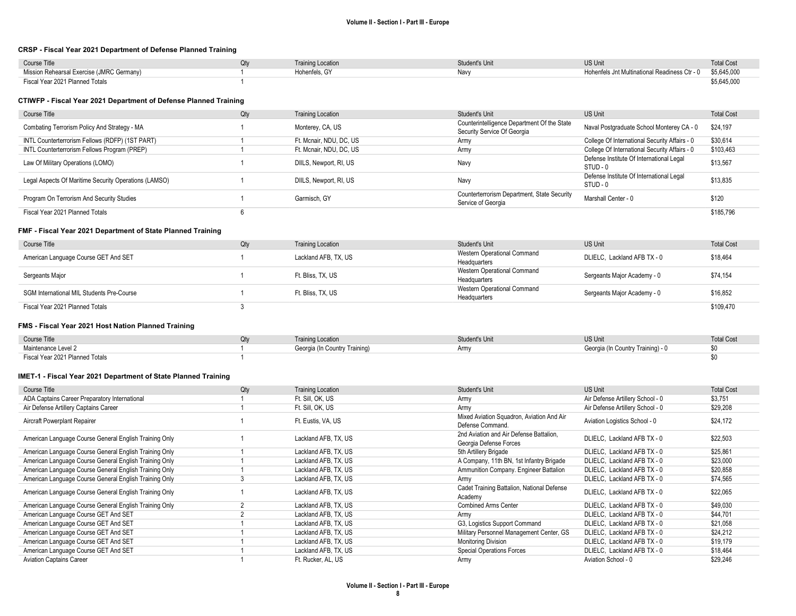#### CRSP - Fiscal Year 2021 Department of Defense Planned Training

| <b>Course Title</b>                       | <b>Training Location</b> | Student's Unit | US Unit                                                   | <b>Total Cost</b> |
|-------------------------------------------|--------------------------|----------------|-----------------------------------------------------------|-------------------|
| Mission Rehearsal Exercise (JMRC Germany) | Hohenfels, GY            | Nav\           | Hohenfels Jnt Multinational Readiness Ctr - 0 \$5,645,000 |                   |
| Fiscal Year 2021 Planned Totals           |                          |                |                                                           | \$5,645,000       |

### CTIWFP - Fiscal Year 2021 Department of Defense Planned Training

| Course Title                                          | Qty | <b>Training Location</b> | Student's Unit                                                             | US Unit                                              | <b>Total Cost</b> |
|-------------------------------------------------------|-----|--------------------------|----------------------------------------------------------------------------|------------------------------------------------------|-------------------|
| Combating Terrorism Policy And Strategy - MA          |     | Monterey, CA, US         | Counterintelligence Department Of the State<br>Security Service Of Georgia | Naval Postgraduate School Monterey CA - 0            | \$24,197          |
| INTL Counterterrorism Fellows (RDFP) (1ST PART)       |     | Ft. Mcnair, NDU, DC, US  | Army                                                                       | College Of International Security Affairs - 0        | \$30,614          |
| INTL Counterterrorism Fellows Program (PREP)          |     | Ft. Mcnair, NDU, DC, US  | Army                                                                       | College Of International Security Affairs - 0        | \$103,463         |
| Law Of Military Operations (LOMO)                     |     | DIILS, Newport, RI, US   | Navy                                                                       | Defense Institute Of International Legal<br>STUD - 0 | \$13,567          |
| Legal Aspects Of Maritime Security Operations (LAMSO) |     | DIILS, Newport, RI, US   | Navy                                                                       | Defense Institute Of International Legal<br>STUD - 0 | \$13,835          |
| Program On Terrorism And Security Studies             |     | Garmisch, GY             | Counterterrorism Department, State Security<br>Service of Georgia          | Marshall Center - 0                                  | \$120             |
| Fiscal Year 2021 Planned Totals                       |     |                          |                                                                            |                                                      | \$185.796         |

#### FMF - Fiscal Year 2021 Department of State Planned Training

| Course Title                              | Qty | <b>Training Location</b> | Student's Unit                              | US Unit                     | <b>Total Cost</b> |
|-------------------------------------------|-----|--------------------------|---------------------------------------------|-----------------------------|-------------------|
| American Language Course GET And SET      |     | Lackland AFB, TX, US     | Western Operational Command                 | DLIELC. Lackland AFB TX - 0 | \$18,464          |
|                                           |     |                          | Headquarters                                |                             |                   |
| Sergeants Major                           |     | Ft. Bliss. TX. US        | Western Operational Command<br>Headquarters | Sergeants Major Academy - 0 | \$74,154          |
|                                           |     |                          | Western Operational Command                 |                             |                   |
| SGM International MIL Students Pre-Course |     | Ft. Bliss. TX. US        | Headquarters                                | Sergeants Major Academy - 0 | \$16,852          |
| Fiscal Year 2021 Planned Totals           |     |                          |                                             |                             | \$109,470         |

#### FMS - Fiscal Year 2021 Host Nation Planned Training

| Course Title                    | <b>Training Location</b>      | tudent's Unit | <b>US Unit</b>                    | <b>Total Cost</b> |
|---------------------------------|-------------------------------|---------------|-----------------------------------|-------------------|
| Maintenance Level 2             | Georgia (In Country Training) | <b>Arm</b>    | Georgia (In Country Training) - 0 | ູບບ               |
| Fiscal Year 2021 Planned Totals |                               |               |                                   |                   |

#### IMET-1 - Fiscal Year 2021 Department of State Planned Training

| Course Title                                           | Qty | <b>Training Location</b> | Student's Unit                                                    | <b>US Unit</b>                   | <b>Total Cost</b> |
|--------------------------------------------------------|-----|--------------------------|-------------------------------------------------------------------|----------------------------------|-------------------|
| ADA Captains Career Preparatory International          |     | Ft. Sill, OK, US         | Army                                                              | Air Defense Artillery School - 0 | \$3,751           |
| Air Defense Artillery Captains Career                  |     | Ft. Sill, OK, US         | Army                                                              | Air Defense Artillery School - 0 | \$29,208          |
| Aircraft Powerplant Repairer                           |     | Ft. Eustis, VA, US       | Mixed Aviation Squadron, Aviation And Air<br>Defense Command.     | Aviation Logistics School - 0    | \$24.172          |
| American Language Course General English Training Only |     | Lackland AFB, TX, US     | 2nd Aviation and Air Defense Battalion.<br>Georgia Defense Forces | DLIELC. Lackland AFB TX - 0      | \$22.503          |
| American Language Course General English Training Only |     | Lackland AFB, TX, US     | 5th Artillery Brigade                                             | DLIELC, Lackland AFB TX - 0      | \$25,861          |
| American Language Course General English Training Only |     | Lackland AFB, TX, US     | A Company, 11th BN, 1st Infantry Brigade                          | DLIELC, Lackland AFB TX - 0      | \$23,000          |
| American Language Course General English Training Only |     | Lackland AFB, TX, US     | Ammunition Company. Engineer Battalion                            | DLIELC, Lackland AFB TX - 0      | \$20,858          |
| American Language Course General English Training Only |     | Lackland AFB, TX, US     | Army                                                              | DLIELC, Lackland AFB TX - 0      | \$74,565          |
| American Language Course General English Training Only |     | Lackland AFB, TX, US     | Cadet Training Battalion, National Defense<br>Academy             | DLIELC, Lackland AFB TX - 0      | \$22.065          |
| American Language Course General English Training Only |     | Lackland AFB, TX, US     | <b>Combined Arms Center</b>                                       | DLIELC. Lackland AFB TX - 0      | \$49.030          |
| American Language Course GET And SET                   |     | Lackland AFB, TX, US     | Army                                                              | DLIELC, Lackland AFB TX - 0      | \$44,701          |
| American Language Course GET And SET                   |     | Lackland AFB, TX, US     | G3, Logistics Support Command                                     | DLIELC, Lackland AFB TX - 0      | \$21,058          |
| American Language Course GET And SET                   |     | Lackland AFB, TX, US     | Military Personnel Management Center, GS                          | DLIELC. Lackland AFB TX - 0      | \$24,212          |
| American Language Course GET And SET                   |     | Lackland AFB, TX, US     | <b>Monitoring Division</b>                                        | DLIELC, Lackland AFB TX - 0      | \$19,179          |
| American Language Course GET And SET                   |     | Lackland AFB, TX, US     | <b>Special Operations Forces</b>                                  | DLIELC, Lackland AFB TX - 0      | \$18,464          |
| <b>Aviation Captains Career</b>                        |     | Ft. Rucker, AL, US       | Army                                                              | Aviation School - 0              | \$29,246          |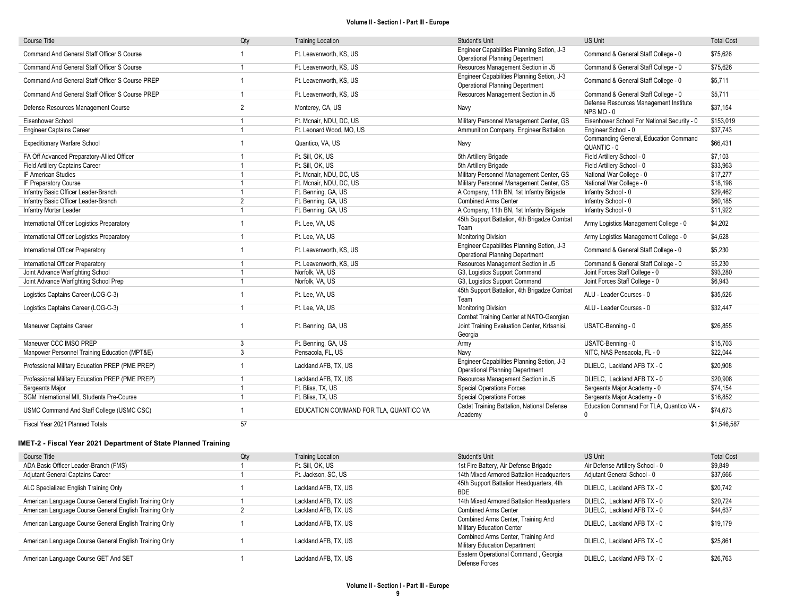| <b>Course Title</b>                             | Qty                     | <b>Training Location</b>               | Student's Unit                                                                                     | <b>US Unit</b>                                           | <b>Total Cost</b> |
|-------------------------------------------------|-------------------------|----------------------------------------|----------------------------------------------------------------------------------------------------|----------------------------------------------------------|-------------------|
| Command And General Staff Officer S Course      |                         | Ft. Leavenworth, KS, US                | Engineer Capabilities Planning Setion, J-3<br><b>Operational Planning Department</b>               | Command & General Staff College - 0                      | \$75,626          |
| Command And General Staff Officer S Course      | $\overline{1}$          | Ft. Leavenworth, KS, US                | Resources Management Section in J5                                                                 | Command & General Staff College - 0                      | \$75,626          |
| Command And General Staff Officer S Course PREP |                         | Ft. Leavenworth, KS, US                | Engineer Capabilities Planning Setion, J-3<br><b>Operational Planning Department</b>               | Command & General Staff College - 0                      | \$5,711           |
| Command And General Staff Officer S Course PREP | 1                       | Ft. Leavenworth, KS, US                | Resources Management Section in J5                                                                 | Command & General Staff College - 0                      | \$5,711           |
| Defense Resources Management Course             | $\overline{2}$          | Monterey, CA, US                       | Navy                                                                                               | Defense Resources Management Institute<br>NPS MO-0       | \$37,154          |
| Eisenhower School                               |                         | Ft. Mcnair, NDU, DC, US                | Military Personnel Management Center, GS                                                           | Eisenhower School For National Security - 0              | \$153,019         |
| <b>Engineer Captains Career</b>                 | $\overline{1}$          | Ft. Leonard Wood, MO, US               | Ammunition Company. Engineer Battalion                                                             | Engineer School - 0                                      | \$37,743          |
| <b>Expeditionary Warfare School</b>             |                         | Quantico, VA, US                       | Navy                                                                                               | Commanding General, Education Command<br>QUANTIC - 0     | \$66,431          |
| FA Off Advanced Preparatory-Allied Officer      |                         | Ft. Sill. OK. US                       | 5th Artillery Brigade                                                                              | Field Artillery School - 0                               | \$7,103           |
| Field Artillery Captains Career                 | $\overline{1}$          | Ft. Sill, OK, US                       | 5th Artillery Brigade                                                                              | Field Artillery School - 0                               | \$33,963          |
| IF American Studies                             |                         | Ft. Mcnair, NDU, DC, US                | Military Personnel Management Center, GS                                                           | National War College - 0                                 | \$17,277          |
| IF Preparatory Course                           |                         | Ft. Mcnair, NDU, DC, US                | Military Personnel Management Center, GS                                                           | National War College - 0                                 | \$18,198          |
| Infantry Basic Officer Leader-Branch            | $\overline{1}$          | Ft. Benning, GA, US                    | A Company, 11th BN, 1st Infantry Brigade                                                           | Infantry School - 0                                      | \$29,462          |
| Infantry Basic Officer Leader-Branch            | $\overline{2}$          | Ft. Benning, GA, US                    | <b>Combined Arms Center</b>                                                                        | Infantry School - 0                                      | \$60,185          |
| Infantry Mortar Leader                          |                         | Ft. Benning, GA, US                    | A Company, 11th BN, 1st Infantry Brigade                                                           | Infantry School - 0                                      | \$11,922          |
| International Officer Logistics Preparatory     |                         | Ft. Lee. VA. US                        | 45th Support Battalion, 4th Brigadze Combat<br>Team                                                | Army Logistics Management College - 0                    | \$4,202           |
| International Officer Logistics Preparatory     | $\overline{1}$          | Ft. Lee. VA. US                        | <b>Monitoring Division</b>                                                                         | Army Logistics Management College - 0                    | \$4,628           |
| International Officer Preparatory               |                         | Ft. Leavenworth, KS, US                | Engineer Capabilities Planning Setion, J-3<br><b>Operational Planning Department</b>               | Command & General Staff College - 0                      | \$5,230           |
| International Officer Preparatory               |                         | Ft. Leavenworth, KS, US                | Resources Management Section in J5                                                                 | Command & General Staff College - 0                      | \$5,230           |
| Joint Advance Warfighting School                |                         | Norfolk, VA, US                        | G3, Logistics Support Command                                                                      | Joint Forces Staff College - 0                           | \$93,280          |
| Joint Advance Warfighting School Prep           |                         | Norfolk, VA, US                        | G3, Logistics Support Command                                                                      | Joint Forces Staff College - 0                           | \$6,943           |
| Logistics Captains Career (LOG-C-3)             |                         | Ft. Lee, VA, US                        | 45th Support Battalion, 4th Brigadze Combat<br>Team                                                | ALU - Leader Courses - 0                                 | \$35,526          |
| Logistics Captains Career (LOG-C-3)             | $\overline{1}$          | Ft. Lee, VA, US                        | <b>Monitoring Division</b>                                                                         | ALU - Leader Courses - 0                                 | \$32,447          |
| Maneuver Captains Career                        |                         | Ft. Benning, GA, US                    | Combat Training Center at NATO-Georgian<br>Joint Training Evaluation Center, Krtsanisi,<br>Georgia | USATC-Benning - 0                                        | \$26,855          |
| Maneuver CCC IMSO PREP                          | 3                       | Ft. Benning, GA, US                    | Army                                                                                               | USATC-Benning - 0                                        | \$15.703          |
| Manpower Personnel Training Education (MPT&E)   | 3                       | Pensacola, FL, US                      | Navy                                                                                               | NITC, NAS Pensacola, FL - 0                              | \$22,044          |
| Professional Military Education PREP (PME PREP) | $\overline{1}$          | Lackland AFB, TX, US                   | Engineer Capabilities Planning Setion, J-3<br><b>Operational Planning Department</b>               | DLIELC, Lackland AFB TX - 0                              | \$20,908          |
| Professional Military Education PREP (PME PREP) | $\overline{1}$          | Lackland AFB, TX, US                   | Resources Management Section in J5                                                                 | DLIELC, Lackland AFB TX - 0                              | \$20,908          |
| Sergeants Major                                 |                         | Ft. Bliss, TX, US                      | <b>Special Operations Forces</b>                                                                   | Sergeants Major Academy - 0                              | \$74,154          |
| SGM International MIL Students Pre-Course       | $\overline{\mathbf{1}}$ | Ft. Bliss, TX, US                      | <b>Special Operations Forces</b>                                                                   | Sergeants Major Academy - 0                              | \$16,852          |
| USMC Command And Staff College (USMC CSC)       |                         | EDUCATION COMMAND FOR TLA. QUANTICO VA | Cadet Training Battalion, National Defense<br>Academy                                              | Education Command For TLA. Quantico VA -<br>$\mathbf{0}$ | \$74,673          |
| Fiscal Year 2021 Planned Totals                 | 57                      |                                        |                                                                                                    |                                                          | \$1,546,587       |

IMET-2 - Fiscal Year 2021 Department of State Planned Training

| Course Title                                           | Qty | <b>Training Location</b> | Student's Unit                                                             | US Unit                          | <b>Total Cost</b> |
|--------------------------------------------------------|-----|--------------------------|----------------------------------------------------------------------------|----------------------------------|-------------------|
| ADA Basic Officer Leader-Branch (FMS)                  |     | Ft. Sill. OK. US         | 1st Fire Battery, Air Defense Brigade                                      | Air Defense Artillery School - 0 | \$9,849           |
| Adjutant General Captains Career                       |     | Ft. Jackson, SC, US      | 14th Mixed Armored Battalion Headquarters                                  | Adjutant General School - 0      | \$37,666          |
| ALC Specialized English Training Only                  |     | Lackland AFB, TX, US     | 45th Support Battalion Headquarters, 4th<br><b>BDE</b>                     | DLIELC. Lackland AFB TX - 0      | \$20.742          |
| American Language Course General English Training Only |     | Lackland AFB, TX, US     | 14th Mixed Armored Battalion Headquarters                                  | DLIELC, Lackland AFB TX - 0      | \$20.724          |
| American Language Course General English Training Only |     | Lackland AFB, TX, US     | <b>Combined Arms Center</b>                                                | DLIELC, Lackland AFB TX - 0      | \$44,637          |
| American Language Course General English Training Only |     | Lackland AFB, TX, US     | Combined Arms Center, Training And<br><b>Military Education Center</b>     | DLIELC. Lackland AFB TX - 0      | \$19,179          |
| American Language Course General English Training Only |     | Lackland AFB, TX, US     | Combined Arms Center, Training And<br><b>Military Education Department</b> | DLIELC. Lackland AFB TX - 0      | \$25.861          |
| American Language Course GET And SET                   |     | Lackland AFB, TX, US     | Eastern Operational Command, Georgia<br>Defense Forces                     | DLIELC. Lackland AFB TX - 0      | \$26,763          |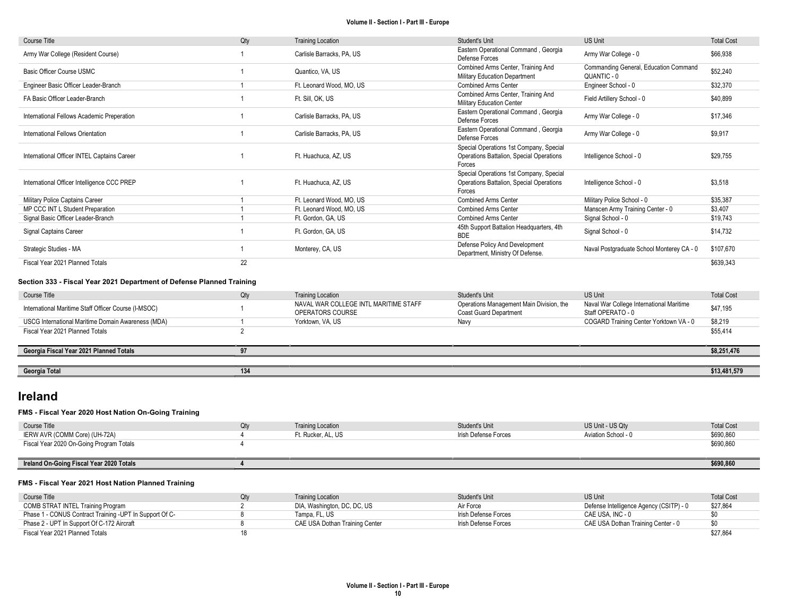| <b>Course Title</b>                                                   | Qty            | <b>Training Location</b>                                  | Student's Unit                                                                                | <b>US Unit</b>                                                | <b>Total Cost</b> |
|-----------------------------------------------------------------------|----------------|-----------------------------------------------------------|-----------------------------------------------------------------------------------------------|---------------------------------------------------------------|-------------------|
| Army War College (Resident Course)                                    |                | Carlisle Barracks, PA, US                                 | Eastern Operational Command, Georgia<br>Defense Forces                                        | Army War College - 0                                          | \$66,938          |
| Basic Officer Course USMC                                             |                | Quantico, VA, US                                          | Combined Arms Center, Training And<br>Military Education Department                           | Commanding General, Education Command<br>QUANTIC - 0          | \$52,240          |
| Engineer Basic Officer Leader-Branch                                  |                | Ft. Leonard Wood, MO, US                                  | <b>Combined Arms Center</b>                                                                   | Engineer School - 0                                           | \$32,370          |
| FA Basic Officer Leader-Branch                                        |                | Ft. Sill. OK. US                                          | Combined Arms Center, Training And<br>Military Education Center                               | Field Artillery School - 0                                    | \$40.899          |
| International Fellows Academic Preperation                            |                | Carlisle Barracks, PA, US                                 | Eastern Operational Command, Georgia<br>Defense Forces                                        | Army War College - 0                                          | \$17,346          |
| International Fellows Orientation                                     |                | Carlisle Barracks, PA, US                                 | Eastern Operational Command, Georgia<br>Defense Forces                                        | Army War College - 0                                          | \$9.917           |
| International Officer INTEL Captains Career                           |                | Ft. Huachuca, AZ, US                                      | Special Operations 1st Company, Special<br>Operations Battalion, Special Operations<br>Forces | Intelligence School - 0                                       | \$29,755          |
| International Officer Intelligence CCC PREP                           |                | Ft. Huachuca, AZ, US                                      | Special Operations 1st Company, Special<br>Operations Battalion, Special Operations<br>Forces | Intelligence School - 0                                       | \$3,518           |
| Military Police Captains Career                                       |                | Ft. Leonard Wood, MO, US                                  | <b>Combined Arms Center</b>                                                                   | Military Police School - 0                                    | \$35,387          |
| MP CCC INT L Student Preparation                                      | $\mathbf{1}$   | Ft. Leonard Wood, MO. US                                  | <b>Combined Arms Center</b>                                                                   | Manscen Army Training Center - 0                              | \$3,407           |
| Signal Basic Officer Leader-Branch                                    | $\mathbf{1}$   | Ft. Gordon, GA, US                                        | <b>Combined Arms Center</b>                                                                   | Signal School - 0                                             | \$19,743          |
| Signal Captains Career                                                |                | Ft. Gordon, GA, US                                        | 45th Support Battalion Headquarters, 4th<br><b>BDE</b>                                        | Signal School - 0                                             | \$14.732          |
| Strategic Studies - MA                                                |                | Monterey, CA, US                                          | Defense Policy And Development<br>Department, Ministry Of Defense.                            | Naval Postgraduate School Monterey CA - 0                     | \$107,670         |
| Fiscal Year 2021 Planned Totals                                       | 22             |                                                           |                                                                                               |                                                               | \$639,343         |
| Section 333 - Fiscal Year 2021 Department of Defense Planned Training |                |                                                           |                                                                                               |                                                               |                   |
| Course Title                                                          | Qty            | <b>Training Location</b>                                  | Student's Unit                                                                                | <b>US Unit</b>                                                | <b>Total Cost</b> |
| International Maritime Staff Officer Course (I-MSOC)                  |                | NAVAL WAR COLLEGE INTL MARITIME STAFF<br>OPERATORS COURSE | Operations Management Main Division, the<br><b>Coast Guard Department</b>                     | Naval War College International Maritime<br>Staff OPERATO - 0 | \$47,195          |
| USCG International Maritime Domain Awareness (MDA)                    |                | Yorktown, VA, US                                          | Navy                                                                                          | COGARD Training Center Yorktown VA - 0                        | \$8,219           |
| Fiscal Year 2021 Planned Totals                                       | $\overline{2}$ |                                                           |                                                                                               |                                                               | \$55.414          |
| Georgia Fiscal Year 2021 Planned Totals                               | 97             |                                                           |                                                                                               |                                                               | \$8,251,476       |
|                                                                       |                |                                                           |                                                                                               |                                                               |                   |
| Georgia Total                                                         | 134            |                                                           |                                                                                               |                                                               | \$13,481,579      |

# Ireland

# FMS - Fiscal Year 2020 Host Nation On-Going Training

| Course Title                             | <b>Training Location</b> | Student's Unit       | US Unit - US Qtv    | <b>Total Cost</b> |
|------------------------------------------|--------------------------|----------------------|---------------------|-------------------|
| IERW AVR (COMM Core) (UH-72A)            | Ft. Rucker, AL, US       | Irish Defense Forces | Aviation School - 0 | \$690,860         |
| Fiscal Year 2020 On-Going Program Totals |                          |                      |                     | \$690,860         |
|                                          |                          |                      |                     |                   |
| Ireland On-Going Fiscal Year 2020 Totals |                          |                      |                     | \$690,860         |

#### FMS - Fiscal Year 2021 Host Nation Planned Training

| Course Title                                            | Training Location              | Student's Unit       | <b>US Unit</b>                          | <b>Total Cost</b> |
|---------------------------------------------------------|--------------------------------|----------------------|-----------------------------------------|-------------------|
| COMB STRAT INTEL Training Program                       | DIA, Washington, DC, DC, US    | Air Force            | Defense Intelligence Agency (CSITP) - 0 | \$27,864          |
| Phase 1 - CONUS Contract Training -UPT In Support Of C- | Tampa, FL, US                  | Irish Defense Forces | CAE USA. INC - 0                        |                   |
| Phase 2 - UPT In Support Of C-172 Aircraft              | CAE USA Dothan Training Center | Irish Defense Forces | CAE USA Dothan Training Center - 0      | \$0               |
| Fiscal Year 2021 Planned Totals                         |                                |                      |                                         | \$27.864          |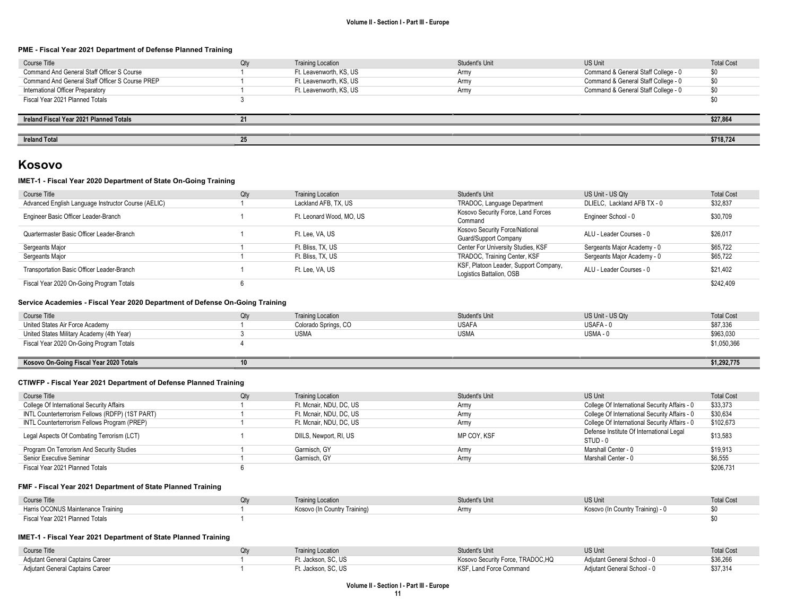#### PME - Fiscal Year 2021 Department of Defense Planned Training

| Course Title                                    | Qty | <b>Training Location</b> | Student's Unit | <b>US Unit</b>                      | <b>Total Cost</b> |
|-------------------------------------------------|-----|--------------------------|----------------|-------------------------------------|-------------------|
| Command And General Staff Officer S Course      |     | Ft. Leavenworth, KS, US  | Army           | Command & General Staff College - 0 | \$0               |
| Command And General Staff Officer S Course PREP |     | Ft. Leavenworth, KS, US  | Army           | Command & General Staff College - 0 | \$0               |
| International Officer Preparatory               |     | Ft. Leavenworth, KS, US  | Army           | Command & General Staff College - 0 | \$0               |
| Fiscal Year 2021 Planned Totals                 |     |                          |                |                                     | \$0               |
|                                                 |     |                          |                |                                     |                   |
| Ireland Fiscal Year 2021 Planned Totals         |     |                          |                |                                     | \$27,864          |
|                                                 |     |                          |                |                                     |                   |
| <b>Ireland Total</b>                            | 25  |                          |                |                                     | \$718,724         |

# Kosovo

## IMET-1 - Fiscal Year 2020 Department of State On-Going Training

| Course Title                                        | Qty | <b>Training Location</b> | Student's Unit                        | US Unit - US Qtv            | <b>Total Cost</b> |
|-----------------------------------------------------|-----|--------------------------|---------------------------------------|-----------------------------|-------------------|
| Advanced English Language Instructor Course (AELIC) |     | Lackland AFB, TX, US     | TRADOC, Language Department           | DLIELC, Lackland AFB TX - 0 | \$32,837          |
| Engineer Basic Officer Leader-Branch                |     | Ft. Leonard Wood, MO. US | Kosovo Security Force, Land Forces    | Engineer School - 0         | \$30,709          |
|                                                     |     |                          | Command                               |                             |                   |
| Quartermaster Basic Officer Leader-Branch           |     | Ft. Lee. VA. US          | Kosovo Security Force/National        | ALU - Leader Courses - 0    | \$26.017          |
|                                                     |     |                          | Guard/Support Company                 |                             |                   |
| Sergeants Major                                     |     | Ft. Bliss. TX. US        | Center For University Studies, KSF    | Sergeants Major Academy - 0 | \$65,722          |
| Sergeants Major                                     |     | Ft. Bliss, TX, US        | TRADOC, Training Center, KSF          | Sergeants Major Academy - 0 | \$65,722          |
| Transportation Basic Officer Leader-Branch          |     | Ft. Lee. VA. US          | KSF, Platoon Leader, Support Company, | ALU - Leader Courses - 0    | \$21,402          |
|                                                     |     |                          | Logistics Battalion, OSB              |                             |                   |
| Fiscal Year 2020 On-Going Program Totals            |     |                          |                                       |                             | \$242.409         |

#### Service Academies - Fiscal Year 2020 Department of Defense On-Going Training

| Course Title                              | Otv | <b>Training Location</b> | Student's Unit | US Unit - US Qty | <b>Total Cost</b> |
|-------------------------------------------|-----|--------------------------|----------------|------------------|-------------------|
| United States Air Force Academy           |     | Colorado Springs, CO     | <b>USAFA</b>   | USAFA-           | \$87,336          |
| United States Military Academy (4th Year) |     | <b>USMA</b>              | <b>USMA</b>    | USMA-0           | \$963,030         |
| Fiscal Year 2020 On-Going Program Totals  |     |                          |                |                  | \$1,050,366       |
|                                           |     |                          |                |                  |                   |

| Kosovo On-Going Fiscal<br>0.222222<br>Totals<br>r ea<br>I ZUZU |  |  | <br>.492.77<br>2. I I J<br>$\cdots$ |
|----------------------------------------------------------------|--|--|-------------------------------------|
|                                                                |  |  |                                     |

## CTIWFP - Fiscal Year 2021 Department of Defense Planned Training

| Course Title                                    | Qty | <b>Training Location</b> | Student's Unit | <b>US Unit</b>                                | <b>Total Cost</b> |
|-------------------------------------------------|-----|--------------------------|----------------|-----------------------------------------------|-------------------|
| College Of International Security Affairs       |     | Ft. Mcnair, NDU, DC, US  | Army           | College Of International Security Affairs - 0 | \$33,373          |
| INTL Counterterrorism Fellows (RDFP) (1ST PART) |     | Ft. Mcnair, NDU, DC, US  | Army           | College Of International Security Affairs - 0 | \$30,634          |
| INTL Counterterrorism Fellows Program (PREP)    |     | Ft. Mcnair, NDU, DC, US  | Army           | College Of International Security Affairs - 0 | \$102,673         |
| Legal Aspects Of Combating Terrorism (LCT)      |     | DIILS, Newport, RI, US   | MP COY. KSF    | Defense Institute Of International Legal      | \$13,583          |
|                                                 |     |                          |                | STUD - 0                                      |                   |
| Program On Terrorism And Security Studies       |     | Garmisch, GY             | Army           | Marshall Center - 0                           | \$19,913          |
| Senior Executive Seminar                        |     | Garmisch, GY             | Army           | Marshall Center - 0                           | \$6,555           |
| Fiscal Year 2021 Planned Totals                 |     |                          |                |                                               | \$206,731         |

### FMF - Fiscal Year 2021 Department of State Planned Training

| <b>Course Title</b>                | <b>Training Location</b>     | Student's Unit | <b>US Unit</b>                   | <b>Total Cost</b> |
|------------------------------------|------------------------------|----------------|----------------------------------|-------------------|
| Harris OCONUS Maintenance Training | Kosovo (In Country Training) | Army           | Kosovo (In Country Training) - 0 |                   |
| Fiscal Year 2021 Planned Totals    |                              |                |                                  |                   |

### IMET-1 - Fiscal Year 2021 Department of State Planned Training

| Course Title                     | <b>Training Location</b> | Student's Unit                    | <b>US Unit</b>              | <b>Total Cost</b> |
|----------------------------------|--------------------------|-----------------------------------|-----------------------------|-------------------|
| Adjutant General Captains Career | Jackson, SC, US          | Kosovo Security Force, TRADOC, HQ | Adiutant General School - 0 | \$36,266          |
| Adjutant General Captains Career | '. Jackson. SC. US       | KSF, Land Force Command           | Adjutant General School - 0 | \$37,314          |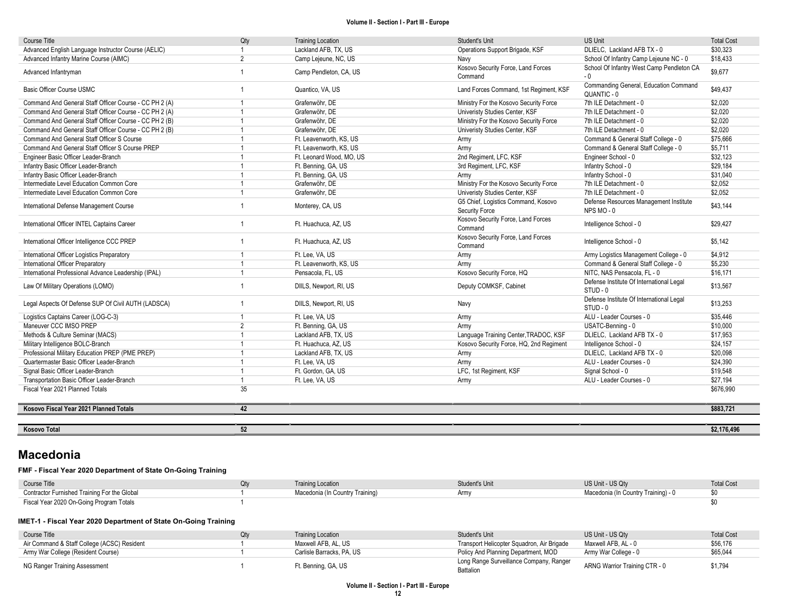| <b>Course Title</b>                                    | Qty            | <b>Training Location</b> | Student's Unit                                        | <b>US Unit</b>                                       | <b>Total Cost</b> |
|--------------------------------------------------------|----------------|--------------------------|-------------------------------------------------------|------------------------------------------------------|-------------------|
| Advanced English Language Instructor Course (AELIC)    |                | Lackland AFB, TX, US     | Operations Support Brigade, KSF                       | DLIELC. Lackland AFB TX - 0                          | \$30,323          |
| Advanced Infantry Marine Course (AIMC)                 | $\overline{2}$ | Camp Lejeune, NC, US     | Navy                                                  | School Of Infantry Camp Lejeune NC - 0               | \$18,433          |
| Advanced Infantryman                                   | $\overline{1}$ | Camp Pendleton, CA, US   | Kosovo Security Force, Land Forces<br>Command         | School Of Infantry West Camp Pendleton CA<br>$-0$    | \$9,677           |
| Basic Officer Course USMC                              | $\overline{1}$ | Quantico, VA, US         | Land Forces Command, 1st Regiment, KSF                | Commanding General, Education Command<br>QUANTIC - 0 | \$49,437          |
| Command And General Staff Officer Course - CC PH 2 (A) |                | Grafenwöhr, DE           | Ministry For the Kosovo Security Force                | 7th ILE Detachment - 0                               | \$2,020           |
| Command And General Staff Officer Course - CC PH 2 (A) |                | Grafenwöhr. DE           | Univeristy Studies Center, KSF                        | 7th ILE Detachment - 0                               | \$2,020           |
| Command And General Staff Officer Course - CC PH 2 (B) |                | Grafenwöhr. DE           | Ministry For the Kosovo Security Force                | 7th ILE Detachment - 0                               | \$2.020           |
| Command And General Staff Officer Course - CC PH 2 (B) | 1              | Grafenwöhr, DE           | Univeristy Studies Center, KSF                        | 7th ILE Detachment - 0                               | \$2,020           |
| Command And General Staff Officer S Course             |                | Ft. Leavenworth, KS, US  | Army                                                  | Command & General Staff College - 0                  | \$75,666          |
| Command And General Staff Officer S Course PREP        |                | Ft. Leavenworth, KS, US  | Army                                                  | Command & General Staff College - 0                  | \$5,711           |
| Engineer Basic Officer Leader-Branch                   |                | Ft. Leonard Wood, MO, US | 2nd Regiment, LFC, KSF                                | Engineer School - 0                                  | \$32,123          |
| Infantry Basic Officer Leader-Branch                   |                | Ft. Benning, GA, US      | 3rd Regiment, LFC, KSF                                | Infantry School - 0                                  | \$29,184          |
| Infantry Basic Officer Leader-Branch                   |                | Ft. Benning, GA, US      | Army                                                  | Infantry School - 0                                  | \$31,040          |
| Intermediate Level Education Common Core               | $\overline{1}$ | Grafenwöhr. DE           | Ministry For the Kosovo Security Force                | 7th ILE Detachment - 0                               | \$2,052           |
| Intermediate Level Education Common Core               |                | Grafenwöhr. DE           | Univeristy Studies Center, KSF                        | 7th ILE Detachment - 0                               | \$2,052           |
| International Defense Management Course                |                | Monterey, CA, US         | G5 Chief, Logistics Command, Kosovo<br>Security Force | Defense Resources Management Institute<br>NPS MO-0   | \$43,144          |
| International Officer INTEL Captains Career            |                | Ft. Huachuca, AZ, US     | Kosovo Security Force, Land Forces<br>Command         | Intelligence School - 0                              | \$29.427          |
| International Officer Intelligence CCC PREP            | $\overline{1}$ | Ft. Huachuca, AZ, US     | Kosovo Security Force, Land Forces<br>Command         | Intelligence School - 0                              | \$5,142           |
| International Officer Logistics Preparatory            |                | Ft. Lee. VA. US          | Army                                                  | Army Logistics Management College - 0                | \$4.912           |
| International Officer Preparatory                      |                | Ft. Leavenworth, KS, US  | Army                                                  | Command & General Staff College - 0                  | \$5,230           |
| International Professional Advance Leadership (IPAL)   | $\overline{1}$ | Pensacola, FL, US        | Kosovo Security Force, HQ                             | NITC. NAS Pensacola, FL - 0                          | \$16,171          |
| Law Of Military Operations (LOMO)                      |                | DIILS, Newport, RI, US   | Deputy COMKSF, Cabinet                                | Defense Institute Of International Legal<br>STUD - 0 | \$13,567          |
| Legal Aspects Of Defense SUP Of Civil AUTH (LADSCA)    |                | DIILS, Newport, RI, US   | Navy                                                  | Defense Institute Of International Legal<br>STUD - 0 | \$13,253          |
| Logistics Captains Career (LOG-C-3)                    |                | Ft. Lee. VA. US          | Army                                                  | ALU - Leader Courses - 0                             | \$35,446          |
| Maneuver CCC IMSO PREP                                 | $\overline{2}$ | Ft. Benning, GA, US      | Army                                                  | USATC-Benning - 0                                    | \$10,000          |
| Methods & Culture Seminar (MACS)                       |                | Lackland AFB, TX, US     | Language Training Center, TRADOC, KSF                 | DLIELC. Lackland AFB TX - 0                          | \$17,953          |
| Military Intelligence BOLC-Branch                      |                | Ft. Huachuca, AZ, US     | Kosovo Security Force, HQ, 2nd Regiment               | Intelligence School - 0                              | \$24,157          |
| Professional Military Education PREP (PME PREP)        | $\overline{1}$ | Lackland AFB, TX, US     | Army                                                  | DLIELC, Lackland AFB TX - 0                          | \$20,098          |
| Quartermaster Basic Officer Leader-Branch              |                | Ft. Lee, VA, US          | Army                                                  | ALU - Leader Courses - 0                             | \$24,390          |
| Signal Basic Officer Leader-Branch                     |                | Ft. Gordon, GA, US       | LFC, 1st Regiment, KSF                                | Signal School - 0                                    | \$19,548          |
| Transportation Basic Officer Leader-Branch             | $\overline{1}$ | Ft. Lee, VA, US          | Army                                                  | ALU - Leader Courses - 0                             | \$27,194          |
| Fiscal Year 2021 Planned Totals                        | 35             |                          |                                                       |                                                      | \$676.990         |
| Kosovo Fiscal Year 2021 Planned Totals                 | 42             |                          |                                                       |                                                      | \$883,721         |
|                                                        |                |                          |                                                       |                                                      |                   |
| <b>Kosovo Total</b>                                    | 52             |                          |                                                       |                                                      | \$2,176,496       |

# Macedonia

## FMF - Fiscal Year 2020 Department of State On-Going Training

| Course Title                                 | <b>Training Location</b>        | Student's Unit | US Unit - US Qtv                    | <b>Total Cost</b> |
|----------------------------------------------|---------------------------------|----------------|-------------------------------------|-------------------|
| Contractor Furnished Training For the Global | Macedonia (In Country Training) |                | Macedonia (In Country Training) - 0 |                   |
| Fiscal Year 2020 On-Going Program Totals     |                                 |                |                                     |                   |

## IMET-1 - Fiscal Year 2020 Department of State On-Going Training

| Course Title                                | Qtv | <b>Training Location</b>  | Student's Unit                                       | US Unit - US Qtv              | <b>Total Cost</b> |
|---------------------------------------------|-----|---------------------------|------------------------------------------------------|-------------------------------|-------------------|
| Air Command & Staff College (ACSC) Resident |     | Maxwell AFB, AL, US       | Transport Helicopter Squadron, Air Brigade           | Maxwell AFB. AL - 0           | \$56,176          |
| Army War College (Resident Course)          |     | Carlisle Barracks, PA, US | Policy And Planning Department, MOD                  | Army War College - 0          | \$65,044          |
| NG Ranger Training Assessment               |     | Ft. Benning, GA, US       | Long Range Surveillance Company, Ranger<br>Battalion | ARNG Warrior Training CTR - 0 | \$1.794           |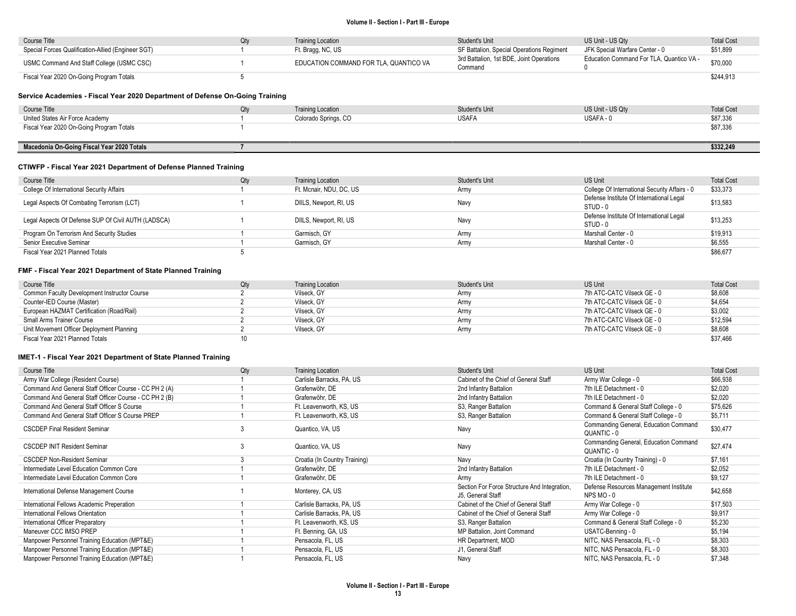| Course Title                                       | Otv | Training Location                      | Student's Unit                                      | US Unit - US Qtv                         | <b>Total Cost</b> |
|----------------------------------------------------|-----|----------------------------------------|-----------------------------------------------------|------------------------------------------|-------------------|
| Special Forces Qualification-Allied (Engineer SGT) |     | Ft. Bragg, NC, US                      | SF Battalion, Special Operations Regiment           | JFK Special Warfare Center - 0           | \$51,899          |
| USMC Command And Staff College (USMC CSC)          |     | EDUCATION COMMAND FOR TLA. QUANTICO VA | 3rd Battalion, 1st BDE, Joint Operations<br>Command | Education Command For TLA, Quantico VA - | \$70,000          |
| Fiscal Year 2020 On-Going Program Totals           |     |                                        |                                                     |                                          | \$244,913         |

### Service Academies - Fiscal Year 2020 Department of Defense On-Going Training

| Course Title                               | <b>Training Location</b> | Student's Unit | US Unit - US Qty | <b>Total Cost</b> |
|--------------------------------------------|--------------------------|----------------|------------------|-------------------|
| United States Air Force Academy            | Colorado Springs, CO     | <b>USAFA</b>   | USAFA - 0        | \$87,336          |
| Fiscal Year 2020 On-Going Program Totals   |                          |                |                  | \$87,336          |
|                                            |                          |                |                  |                   |
| Macedonia On-Going Fiscal Year 2020 Totals |                          |                |                  | \$332,249         |

# CTIWFP - Fiscal Year 2021 Department of Defense Planned Training

| Course Title                                        | Qty | <b>Training Location</b> | Student's Unit | US Unit                                              | <b>Total Cost</b> |
|-----------------------------------------------------|-----|--------------------------|----------------|------------------------------------------------------|-------------------|
| College Of International Security Affairs           |     | Ft. Mcnair, NDU, DC, US  | Army           | College Of International Security Affairs - 0        | \$33,373          |
| Legal Aspects Of Combating Terrorism (LCT)          |     | DIILS, Newport, RI, US   | Navv           | Defense Institute Of International Legal<br>STUD-0   | \$13,583          |
| Legal Aspects Of Defense SUP Of Civil AUTH (LADSCA) |     | DIILS, Newport, RI, US   | Navv           | Defense Institute Of International Legal<br>STUD - 0 | \$13,253          |
| Program On Terrorism And Security Studies           |     | Garmisch, GY             | Armv           | Marshall Center - 0                                  | \$19,913          |
| Senior Executive Seminar                            |     | Garmisch, GY             | Army           | Marshall Center - 0                                  | \$6,555           |
| Fiscal Year 2021 Planned Totals                     |     |                          |                |                                                      | \$86,677          |

#### FMF - Fiscal Year 2021 Department of State Planned Training

| Course Title                                 | Qty | <b>Training Location</b> | <b>Student's Unit</b> | <b>US Unit</b>              | <b>Total Cost</b> |
|----------------------------------------------|-----|--------------------------|-----------------------|-----------------------------|-------------------|
| Common Faculty Development Instructor Course |     | Vilseck. GY              | Army                  | 7th ATC-CATC Vilseck GE - 0 | \$8,608           |
| Counter-IED Course (Master)                  |     | Vilseck, GY              | Army                  | 7th ATC-CATC Vilseck GE - 0 | \$4,654           |
| European HAZMAT Certification (Road/Rail)    |     | Vilseck, GY              | Army                  | 7th ATC-CATC Vilseck GE - 0 | \$3,002           |
| Small Arms Trainer Course                    |     | Vilseck. GY              | Army                  | 7th ATC-CATC Vilseck GE - 0 | \$12,594          |
| Unit Movement Officer Deployment Planning    |     | Vilseck, GY              | Army                  | 7th ATC-CATC Vilseck GE - 0 | \$8,608           |
| Fiscal Year 2021 Planned Totals              |     |                          |                       |                             | \$37,466          |

#### IMET-1 - Fiscal Year 2021 Department of State Planned Training

| Course Title                                           | Qty | <b>Training Location</b>      | Student's Unit                                                    | <b>US Unit</b>                                     | <b>Total Cost</b> |
|--------------------------------------------------------|-----|-------------------------------|-------------------------------------------------------------------|----------------------------------------------------|-------------------|
| Army War College (Resident Course)                     |     | Carlisle Barracks, PA, US     | Cabinet of the Chief of General Staff                             | Army War College - 0                               | \$66,938          |
| Command And General Staff Officer Course - CC PH 2 (A) |     | Grafenwöhr. DE                | 2nd Infantry Battalion                                            | 7th ILE Detachment - 0                             | \$2,020           |
| Command And General Staff Officer Course - CC PH 2 (B) |     | Grafenwöhr. DE                | 2nd Infantry Battalion                                            | 7th ILE Detachment - 0                             | \$2,020           |
| Command And General Staff Officer S Course             |     | Ft. Leavenworth, KS, US       | S3, Ranger Battalion                                              | Command & General Staff College - 0                | \$75,626          |
| Command And General Staff Officer S Course PREP        |     | Ft. Leavenworth, KS, US       | S3, Ranger Battalion                                              | Command & General Staff College - 0                | \$5,711           |
| <b>CSCDEP Final Resident Seminar</b>                   | 3   | Quantico, VA, US              | Navy                                                              | Commanding General, Education Command              | \$30,477          |
|                                                        |     |                               |                                                                   | QUANTIC - 0                                        |                   |
| <b>CSCDEP INIT Resident Seminar</b>                    | 3   | Quantico, VA, US              | Navy                                                              | Commanding General, Education Command              | \$27.474          |
|                                                        |     |                               |                                                                   | QUANTIC - 0                                        |                   |
| <b>CSCDEP Non-Resident Seminar</b>                     |     | Croatia (In Country Training) | Navy                                                              | Croatia (In Country Training) - 0                  | \$7,161           |
| Intermediate Level Education Common Core               |     | Grafenwöhr. DE                | 2nd Infantry Battalion                                            | 7th ILE Detachment - 0                             | \$2,052           |
| Intermediate Level Education Common Core               |     | Grafenwöhr. DE                | Army                                                              | 7th ILE Detachment - 0                             | \$9,127           |
| International Defense Management Course                |     | Monterey, CA, US              | Section For Force Structure And Integration,<br>J5, General Staff | Defense Resources Management Institute<br>NPS MO-0 | \$42,658          |
| International Fellows Academic Preperation             |     | Carlisle Barracks, PA, US     | Cabinet of the Chief of General Staff                             | Army War College - 0                               | \$17,503          |
| International Fellows Orientation                      |     | Carlisle Barracks, PA, US     | Cabinet of the Chief of General Staff                             | Army War College - 0                               | \$9,917           |
| International Officer Preparatory                      |     | Ft. Leavenworth, KS, US       | S3, Ranger Battalion                                              | Command & General Staff College - 0                | \$5,230           |
| Maneuver CCC IMSO PREP                                 |     | Ft. Benning, GA, US           | MP Battalion, Joint Command                                       | USATC-Benning - 0                                  | \$5,194           |
| Manpower Personnel Training Education (MPT&E)          |     | Pensacola, FL, US             | HR Department, MOD                                                | NITC, NAS Pensacola, FL - 0                        | \$8,303           |
| Manpower Personnel Training Education (MPT&E)          |     | Pensacola, FL, US             | J1, General Staff                                                 | NITC, NAS Pensacola, FL - 0                        | \$8,303           |
| Manpower Personnel Training Education (MPT&E)          |     | Pensacola, FL, US             | Navy                                                              | NITC, NAS Pensacola, FL - 0                        | \$7,348           |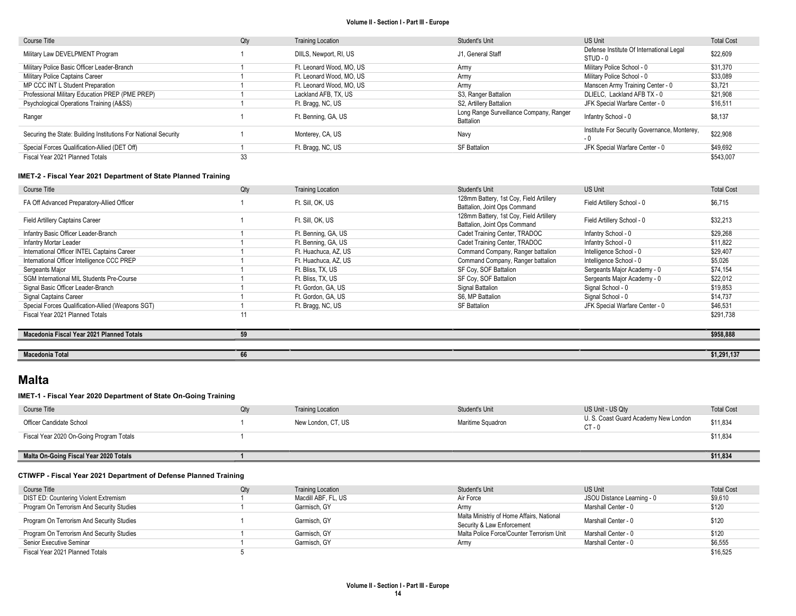| Course Title                                                    | Qty | <b>Training Location</b> | Student's Unit                                       | US Unit                                              | <b>Total Cost</b> |
|-----------------------------------------------------------------|-----|--------------------------|------------------------------------------------------|------------------------------------------------------|-------------------|
| Military Law DEVELPMENT Program                                 |     | DIILS, Newport, RI, US   | J1. General Staff                                    | Defense Institute Of International Legal<br>STUD - 0 | \$22,609          |
| Military Police Basic Officer Leader-Branch                     |     | Ft. Leonard Wood, MO, US | Army                                                 | Military Police School - 0                           | \$31.370          |
| Military Police Captains Career                                 |     | Ft. Leonard Wood, MO, US | Army                                                 | Military Police School - 0                           | \$33,089          |
| MP CCC INT L Student Preparation                                |     | Ft. Leonard Wood, MO. US | Army                                                 | Manscen Army Training Center - 0                     | \$3,721           |
| Professional Military Education PREP (PME PREP)                 |     | Lackland AFB, TX, US     | S3, Ranger Battalion                                 | DLIELC. Lackland AFB TX - 0                          | \$21,908          |
| Psychological Operations Training (A&SS)                        |     | Ft. Bragg, NC, US        | S2, Artillery Battalion                              | JFK Special Warfare Center - 0                       | \$16,511          |
| Ranger                                                          |     | Ft. Benning, GA, US      | Long Range Surveillance Company, Ranger<br>Battalion | Infantry School - 0                                  | \$8,137           |
| Securing the State: Building Institutions For National Security |     | Monterey, CA, US         | Navv                                                 | Institute For Security Governance, Monterey,<br>- 0  | \$22,908          |
| Special Forces Qualification-Allied (DET Off)                   |     | Ft. Bragg, NC, US        | <b>SF Battalion</b>                                  | JFK Special Warfare Center - 0                       | \$49,692          |
| Fiscal Year 2021 Planned Totals                                 | 33  |                          |                                                      |                                                      | \$543,007         |

## IMET-2 - Fiscal Year 2021 Department of State Planned Training

| Course Title                                      | Qty | <b>Training Location</b> | Student's Unit                                                          | <b>US Unit</b>                 | <b>Total Cost</b> |
|---------------------------------------------------|-----|--------------------------|-------------------------------------------------------------------------|--------------------------------|-------------------|
| FA Off Advanced Preparatory-Allied Officer        |     | Ft. Sill. OK. US         | 128mm Battery, 1st Coy, Field Artillery<br>Battalion, Joint Ops Command | Field Artillery School - 0     | \$6.715           |
| <b>Field Artillery Captains Career</b>            |     | Ft. Sill. OK. US         | 128mm Battery, 1st Coy, Field Artillery<br>Battalion, Joint Ops Command | Field Artillery School - 0     | \$32,213          |
| Infantry Basic Officer Leader-Branch              |     | Ft. Benning, GA, US      | Cadet Training Center, TRADOC                                           | Infantry School - 0            | \$29,268          |
| Infantry Mortar Leader                            |     | Ft. Benning, GA, US      | Cadet Training Center, TRADOC                                           | Infantry School - 0            | \$11,822          |
| International Officer INTEL Captains Career       |     | Ft. Huachuca, AZ, US     | Command Company, Ranger battalion                                       | Intelligence School - 0        | \$29,407          |
| International Officer Intelligence CCC PREP       |     | Ft. Huachuca, AZ, US     | Command Company, Ranger battalion                                       | Intelligence School - 0        | \$5,026           |
| Sergeants Major                                   |     | Ft. Bliss. TX. US        | SF Coy, SOF Battalion                                                   | Sergeants Major Academy - 0    | \$74,154          |
| <b>SGM International MIL Students Pre-Course</b>  |     | Ft. Bliss, TX, US        | SF Coy, SOF Battalion                                                   | Sergeants Major Academy - 0    | \$22,012          |
| Signal Basic Officer Leader-Branch                |     | Ft. Gordon, GA, US       | Signal Battalion                                                        | Signal School - 0              | \$19,853          |
| Signal Captains Career                            |     | Ft. Gordon, GA, US       | S6. MP Battalion                                                        | Signal School - 0              | \$14,737          |
| Special Forces Qualification-Allied (Weapons SGT) |     | Ft. Bragg, NC, US        | <b>SF Battalion</b>                                                     | JFK Special Warfare Center - 0 | \$46,531          |
| Fiscal Year 2021 Planned Totals                   |     |                          |                                                                         |                                | \$291,738         |
|                                                   |     |                          |                                                                         |                                |                   |
| Macedonia Fiscal Year 2021 Planned Totals         | 59  |                          |                                                                         |                                | \$958,888         |
|                                                   |     |                          |                                                                         |                                |                   |
| <b>Macedonia Total</b>                            | 66  |                          |                                                                         |                                | \$1,291,137       |

# Malta

## IMET-1 - Fiscal Year 2020 Department of State On-Going Training

| Course Title                             | Qty | <b>Training Location</b> | Student's Unit    | US Unit - US Qty                              | <b>Total Cost</b> |
|------------------------------------------|-----|--------------------------|-------------------|-----------------------------------------------|-------------------|
| Officer Candidate School                 |     | New London, CT, US       | Maritime Squadron | U.S. Coast Guard Academy New London<br>CT - 0 | \$11,834          |
| Fiscal Year 2020 On-Going Program Totals |     |                          |                   |                                               | \$11,834          |
|                                          |     |                          |                   |                                               |                   |
| Malta On-Going Fiscal Year 2020 Totals   |     |                          |                   |                                               | \$11,834          |
|                                          |     |                          |                   |                                               |                   |

## CTIWFP - Fiscal Year 2021 Department of Defense Planned Training

| Course Title                              | Qty | <b>Training Location</b> | Student's Unit                            | US Unit                    | <b>Total Cost</b> |
|-------------------------------------------|-----|--------------------------|-------------------------------------------|----------------------------|-------------------|
| DIST ED: Countering Violent Extremism     |     | Macdill ABF, FL, US      | Air Force                                 | JSOU Distance Learning - 0 | \$9,610           |
| Program On Terrorism And Security Studies |     | Garmisch, GY             | Armv                                      | Marshall Center - 0        | \$120             |
| Program On Terrorism And Security Studies |     | Garmisch, GY             | Malta Ministriy of Home Affairs, National | Marshall Center - 0        | \$120             |
|                                           |     |                          | Security & Law Enforcement                |                            |                   |
| Program On Terrorism And Security Studies |     | Garmisch, GY             | Malta Police Force/Counter Terrorism Unit | Marshall Center - 0        | \$120             |
| Senior Executive Seminar                  |     | Garmisch, GY             | Army                                      | Marshall Center - 0        | \$6,555           |
| Fiscal Year 2021 Planned Totals           |     |                          |                                           |                            | \$16,525          |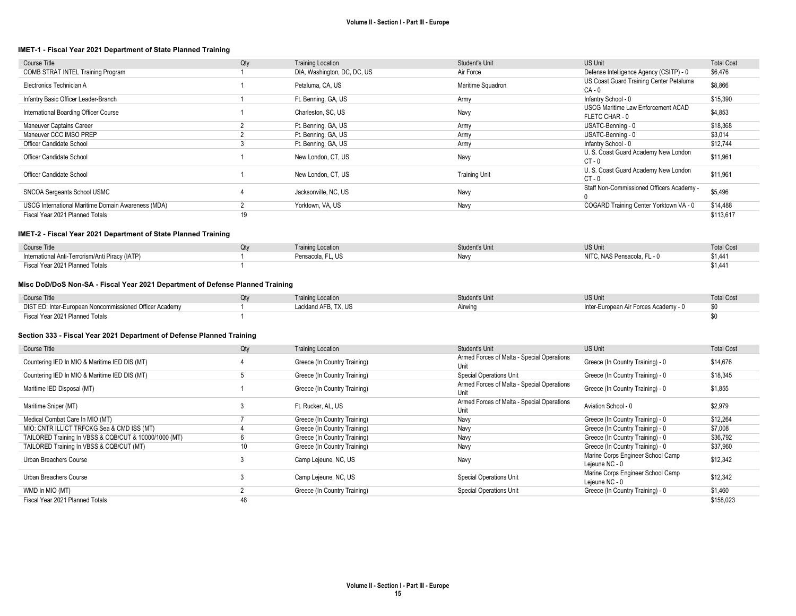#### IMET-1 - Fiscal Year 2021 Department of State Planned Training

| Course Title                                       | Qty | <b>Training Location</b>    | <b>Student's Unit</b> | US Unit                                             | <b>Total Cost</b> |
|----------------------------------------------------|-----|-----------------------------|-----------------------|-----------------------------------------------------|-------------------|
| COMB STRAT INTEL Training Program                  |     | DIA, Washington, DC, DC, US | Air Force             | Defense Intelligence Agency (CSITP) - 0             | \$6,476           |
| Electronics Technician A                           |     | Petaluma, CA, US            | Maritime Squadron     | US Coast Guard Training Center Petaluma<br>$CA - 0$ | \$8,866           |
| Infantry Basic Officer Leader-Branch               |     | Ft. Benning, GA, US         | Armv                  | Infantry School - 0                                 | \$15,390          |
| International Boarding Officer Course              |     | Charleston, SC, US          | Navy                  | USCG Maritime Law Enforcement ACAD<br>FLETC CHAR-0  | \$4,853           |
| Maneuver Captains Career                           |     | Ft. Benning, GA, US         | Army                  | USATC-Benning - 0                                   | \$18,368          |
| Maneuver CCC IMSO PREP                             |     | Ft. Benning, GA, US         | Army                  | USATC-Benning - 0                                   | \$3,014           |
| Officer Candidate School                           |     | Ft. Benning, GA, US         | Army                  | Infantry School - 0                                 | \$12,744          |
| Officer Candidate School                           |     | New London, CT, US          | Navy                  | U. S. Coast Guard Academy New London<br>$CT - 0$    | \$11,961          |
| Officer Candidate School                           |     | New London, CT, US          | <b>Training Unit</b>  | U. S. Coast Guard Academy New London<br>CT-0        | \$11,961          |
| SNCOA Sergeants School USMC                        |     | Jacksonville, NC, US        | Navy                  | Staff Non-Commissioned Officers Academy -           | \$5,496           |
| USCG International Maritime Domain Awareness (MDA) |     | Yorktown, VA, US            | Navy                  | COGARD Training Center Yorktown VA - 0              | \$14,488          |
| Fiscal Year 2021 Planned Totals                    | 19  |                             |                       |                                                     | \$113,617         |

## IMET-2 - Fiscal Year 2021 Department of State Planned Training

| Course Title                                    | <b>Training Location</b> | Student's Unit | <b>US Unit</b>              | <b>Total Cost</b> |
|-------------------------------------------------|--------------------------|----------------|-----------------------------|-------------------|
| International Anti-Terrorism/Anti Piracy (IATP) | Pensacola, FL, US        | <b>Navv</b>    | NITC. NAS Pensacola. FL - 0 | \$1,441           |
| Fiscal Year 2021 Planned Totals                 |                          |                |                             |                   |

## Misc DoD/DoS Non-SA - Fiscal Year 2021 Department of Defense Planned Training

| Course Title                                            | <b>Training Location</b> | Student's Unit | <b>US Unit</b>                        | <b>Total Cost</b> |
|---------------------------------------------------------|--------------------------|----------------|---------------------------------------|-------------------|
| DIST ED: Inter-European Noncommissioned Officer Academy | Lackland AFB, TX, US     | Airwing        | Inter-European Air Forces Academy - 0 |                   |
| Fiscal Year 2021 Planned Totals                         |                          |                |                                       |                   |

#### Section 333 - Fiscal Year 2021 Department of Defense Planned Training

| Course Title                                          | Qty | <b>Training Location</b>     | Student's Unit                                     | US Unit                                             | <b>Total Cost</b> |
|-------------------------------------------------------|-----|------------------------------|----------------------------------------------------|-----------------------------------------------------|-------------------|
| Countering IED In MIO & Maritime IED DIS (MT)         |     | Greece (In Country Training) | Armed Forces of Malta - Special Operations<br>Unit | Greece (In Country Training) - 0                    | \$14,676          |
| Countering IED In MIO & Maritime IED DIS (MT)         | 5   | Greece (In Country Training) | <b>Special Operations Unit</b>                     | Greece (In Country Training) - 0                    | \$18,345          |
| Maritime IED Disposal (MT)                            |     | Greece (In Country Training) | Armed Forces of Malta - Special Operations<br>Unit | Greece (In Country Training) - 0                    | \$1,855           |
| Maritime Sniper (MT)                                  | 3   | Ft. Rucker, AL, US           | Armed Forces of Malta - Special Operations<br>Unit | Aviation School - 0                                 | \$2,979           |
| Medical Combat Care In MIO (MT)                       |     | Greece (In Country Training) | Navy                                               | Greece (In Country Training) - 0                    | \$12,264          |
| MIO: CNTR ILLICT TRFCKG Sea & CMD ISS (MT)            |     | Greece (In Country Training) | Navy                                               | Greece (In Country Training) - 0                    | \$7,008           |
| TAILORED Training In VBSS & CQB/CUT & 10000/1000 (MT) | 6   | Greece (In Country Training) | Navv                                               | Greece (In Country Training) - 0                    | \$36,792          |
| TAILORED Training In VBSS & CQB/CUT (MT)              | 10  | Greece (In Country Training) | Navy                                               | Greece (In Country Training) - 0                    | \$37,960          |
| Urban Breachers Course                                | 3   | Camp Lejeune, NC, US         | Navy                                               | Marine Corps Engineer School Camp<br>Lejeune NC - 0 | \$12,342          |
| Urban Breachers Course                                |     | Camp Lejeune, NC, US         | <b>Special Operations Unit</b>                     | Marine Corps Engineer School Camp<br>Lejeune NC - 0 | \$12,342          |
| WMD In MIO (MT)                                       |     | Greece (In Country Training) | <b>Special Operations Unit</b>                     | Greece (In Country Training) - 0                    | \$1,460           |
| Fiscal Year 2021 Planned Totals                       | 48  |                              |                                                    |                                                     | \$158,023         |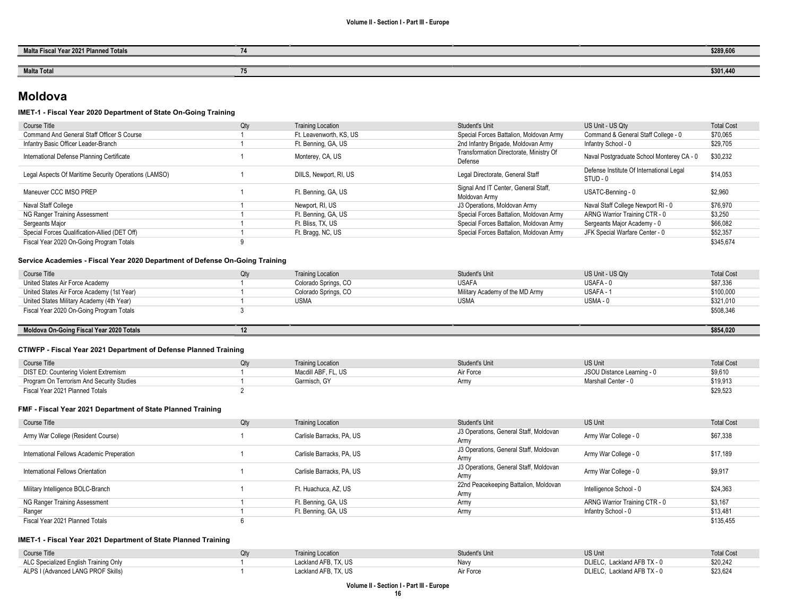-

| Malta Fiscal Year 2021 Planned Totals | \$289,606 |
|---------------------------------------|-----------|
|                                       |           |
| <b>Malta Total</b>                    | \$301,440 |

# Moldova

## IMET-1 - Fiscal Year 2020 Department of State On-Going Training

| Course Title                                          | Qty | <b>Training Location</b> | Student's Unit                                        | US Unit - US Qty                                     | <b>Total Cost</b> |
|-------------------------------------------------------|-----|--------------------------|-------------------------------------------------------|------------------------------------------------------|-------------------|
| Command And General Staff Officer S Course            |     | Ft. Leavenworth, KS, US  | Special Forces Battalion, Moldovan Army               | Command & General Staff College - 0                  | \$70,065          |
| Infantry Basic Officer Leader-Branch                  |     | Ft. Benning, GA, US      | 2nd Infantry Brigade, Moldovan Army                   | Infantry School - 0                                  | \$29,705          |
| International Defense Planning Certificate            |     | Monterey, CA, US         | Transformation Directorate, Ministry Of<br>Defense    | Naval Postgraduate School Monterey CA - 0            | \$30,232          |
| Legal Aspects Of Maritime Security Operations (LAMSO) |     | DIILS, Newport, RI, US   | Legal Directorate, General Staff                      | Defense Institute Of International Legal<br>STUD - 0 | \$14.053          |
| Maneuver CCC IMSO PREP                                |     | Ft. Benning, GA, US      | Signal And IT Center, General Staff,<br>Moldovan Army | USATC-Benning - 0                                    | \$2,960           |
| Naval Staff College                                   |     | Newport, RI, US          | J3 Operations, Moldovan Army                          | Naval Staff College Newport RI - 0                   | \$76.970          |
| NG Ranger Training Assessment                         |     | Ft. Benning, GA, US      | Special Forces Battalion, Moldovan Army               | ARNG Warrior Training CTR - 0                        | \$3,250           |
| Sergeants Major                                       |     | Ft. Bliss. TX. US        | Special Forces Battalion, Moldovan Army               | Sergeants Major Academy - 0                          | \$66,082          |
| Special Forces Qualification-Allied (DET Off)         |     | Ft. Bragg, NC, US        | Special Forces Battalion, Moldovan Army               | JFK Special Warfare Center - 0                       | \$52,357          |
| Fiscal Year 2020 On-Going Program Totals              |     |                          |                                                       |                                                      | \$345.674         |

### Service Academies - Fiscal Year 2020 Department of Defense On-Going Training

| Course Title                               | <b>Training Location</b> | Student's Unit                  | US Unit - US Qty | <b>Total Cost</b> |
|--------------------------------------------|--------------------------|---------------------------------|------------------|-------------------|
| United States Air Force Academy            | Colorado Springs, CO     | <b>USAFA</b>                    | USAFA - 0        | \$87,336          |
| United States Air Force Academy (1st Year) | Colorado Springs, CO     | Military Academy of the MD Army | USAFA - 1        | \$100,000         |
| United States Military Academy (4th Year)  | <b>USMA</b>              | <b>USMA</b>                     | USMA-0           | \$321,010         |
| Fiscal Year 2020 On-Going Program Totals   |                          |                                 |                  | \$508,346         |
|                                            |                          |                                 |                  |                   |

## Moldova On-Going Fiscal Year 2020 Totals 12 \$854,020

#### CTIWFP - Fiscal Year 2021 Department of Defense Planned Training

| Course Title                              | (Jtv | <b>Training Location</b> | Student's Unit | <b>US Unit</b>             | <b>Total Cost</b> |
|-------------------------------------------|------|--------------------------|----------------|----------------------------|-------------------|
| DIST ED: Countering Violent Extremism     |      | Macdill ABF, FL, US      | Air Force      | JSOU Distance Learning - 0 | \$9,610           |
| Program On Terrorism And Security Studies |      | Garmisch, GY             | Army           | Marshall Center - 0        | \$19,913          |
| Fiscal Year 2021 Planned Totals           |      |                          |                |                            | \$29,523          |

#### FMF - Fiscal Year 2021 Department of State Planned Training

| Course Title                               | Qty | <b>Training Location</b>  | Student's Unit                         | <b>US Unit</b>                | <b>Total Cost</b> |
|--------------------------------------------|-----|---------------------------|----------------------------------------|-------------------------------|-------------------|
| Army War College (Resident Course)         |     | Carlisle Barracks, PA, US | J3 Operations, General Staff, Moldovan | Army War College - 0          | \$67,338          |
|                                            |     |                           | Armv                                   |                               |                   |
| International Fellows Academic Preperation |     | Carlisle Barracks, PA, US | J3 Operations, General Staff, Moldovan | Army War College - 0          | \$17,189          |
|                                            |     |                           | Army                                   |                               |                   |
| International Fellows Orientation          |     | Carlisle Barracks, PA, US | J3 Operations, General Staff, Moldovan | Army War College - 0          | \$9,917           |
|                                            |     |                           | Army                                   |                               |                   |
| Military Intelligence BOLC-Branch          |     | Ft. Huachuca, AZ, US      | 22nd Peacekeeping Battalion, Moldovan  | Intelligence School - 0       | \$24,363          |
|                                            |     |                           | Army                                   |                               |                   |
| NG Ranger Training Assessment              |     | Ft. Benning, GA, US       | Army                                   | ARNG Warrior Training CTR - 0 | \$3,167           |
| Ranger                                     |     | Ft. Benning, GA, US       | Army                                   | Infantry School - 0           | \$13,481          |
| Fiscal Year 2021 Planned Totals            |     |                           |                                        |                               | \$135,455         |

### IMET-1 - Fiscal Year 2021 Department of State Planned Training

| Course Title                          | <b>Training Location</b> | <b>Student's Unit</b> | <b>US Unit</b>              | <b>Total Cost</b> |
|---------------------------------------|--------------------------|-----------------------|-----------------------------|-------------------|
| ALC Specialized English Training Only | Lackland AFB, TX, US     | Nav∖                  | DLIELC. Lackland AFB TX - 0 | \$20,242          |
| ALPS I (Advanced LANG PROF Skills)    | Lackland AFB, TX, US     | Air Force             | DLIELC. Lackland AFB TX - 0 | \$23,624          |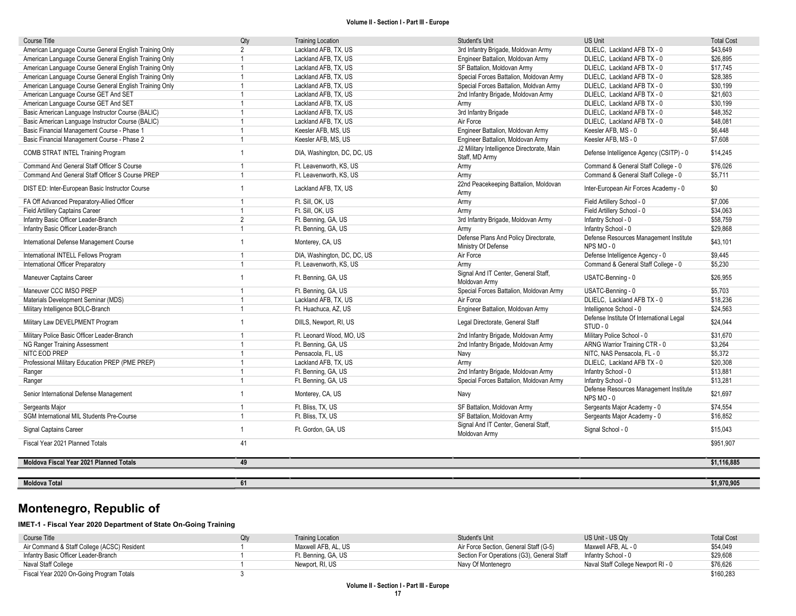| Course Title                                           | Qty            | <b>Training Location</b>    | Student's Unit                                               | <b>US Unit</b>                                       | <b>Total Cost</b> |
|--------------------------------------------------------|----------------|-----------------------------|--------------------------------------------------------------|------------------------------------------------------|-------------------|
| American Language Course General English Training Only | $\mathfrak{p}$ | Lackland AFB, TX, US        | 3rd Infantry Brigade, Moldovan Army                          | DLIELC, Lackland AFB TX - 0                          | \$43.649          |
| American Language Course General English Training Only | $\overline{1}$ | Lackland AFB, TX, US        | Engineer Battalion, Moldovan Army                            | DLIELC. Lackland AFB TX - 0                          | \$26.895          |
| American Language Course General English Training Only | $\overline{1}$ | Lackland AFB, TX, US        | SF Battalion, Moldovan Army                                  | DLIELC, Lackland AFB TX - 0                          | \$17,745          |
| American Language Course General English Training Only | $\overline{1}$ | Lackland AFB, TX, US        | Special Forces Battalion, Moldovan Army                      | DLIELC, Lackland AFB TX - 0                          | \$28,385          |
| American Language Course General English Training Only | $\overline{1}$ | Lackland AFB, TX, US        | Special Forces Battalion, Moldvan Army                       | DLIELC, Lackland AFB TX - 0                          | \$30,199          |
| American Language Course GET And SET                   | $\mathbf{1}$   | Lackland AFB, TX, US        | 2nd Infantry Brigade, Moldovan Army                          | DLIELC, Lackland AFB TX - 0                          | \$21,603          |
| American Language Course GET And SET                   | $\overline{1}$ | Lackland AFB, TX, US        | Army                                                         | DLIELC, Lackland AFB TX - 0                          | \$30,199          |
| Basic American Language Instructor Course (BALIC)      | $\mathbf{1}$   | Lackland AFB, TX, US        | 3rd Infantry Brigade                                         | DLIELC, Lackland AFB TX - 0                          | \$48,352          |
| Basic American Language Instructor Course (BALIC)      | $\overline{1}$ | Lackland AFB, TX, US        | Air Force                                                    | DLIELC, Lackland AFB TX - 0                          | \$48,081          |
| Basic Financial Management Course - Phase 1            | $\overline{1}$ | Keesler AFB, MS, US         | Engineer Battalion, Moldovan Army                            | Keesler AFB, MS - 0                                  | \$6,448           |
| Basic Financial Management Course - Phase 2            | $\overline{1}$ | Keesler AFB, MS, US         | Engineer Battalion, Moldovan Army                            | Keesler AFB, MS - 0                                  | \$7,608           |
| COMB STRAT INTEL Training Program                      | $\mathbf{1}$   | DIA, Washington, DC, DC, US | J2 Military Intelligence Directorate, Main<br>Staff, MD Army | Defense Intelligence Agency (CSITP) - 0              | \$14,245          |
| Command And General Staff Officer S Course             | $\mathbf{1}$   | Ft. Leavenworth, KS, US     | Army                                                         | Command & General Staff College - 0                  | \$76,026          |
| Command And General Staff Officer S Course PREP        | $\overline{1}$ | Ft. Leavenworth, KS, US     | Army                                                         | Command & General Staff College - 0                  | \$5,711           |
| DIST ED: Inter-European Basic Instructor Course        | $\overline{1}$ | Lackland AFB, TX, US        | 22nd Peacekeeping Battalion, Moldovan<br>Army                | Inter-European Air Forces Academy - 0                | \$0               |
| FA Off Advanced Preparatory-Allied Officer             | $\mathbf{1}$   | Ft. Sill. OK. US            | Army                                                         | Field Artillery School - 0                           | \$7,006           |
| Field Artillery Captains Career                        | $\mathbf{1}$   | Ft. Sill. OK. US            | Army                                                         | Field Artillery School - 0                           | \$34,063          |
| Infantry Basic Officer Leader-Branch                   | $\overline{2}$ | Ft. Benning, GA, US         | 3rd Infantry Brigade, Moldovan Army                          | Infantry School - 0                                  | \$58.759          |
| Infantry Basic Officer Leader-Branch                   | $\overline{1}$ | Ft. Benning, GA, US         | Army                                                         | Infantry School - 0                                  | \$29,868          |
|                                                        |                |                             | Defense Plans And Policy Directorate,                        | Defense Resources Management Institute               |                   |
| International Defense Management Course                | $\mathbf{1}$   | Monterey, CA, US            | Ministry Of Defense                                          | NPS MO-0                                             | \$43,101          |
| International INTELL Fellows Program                   | $\overline{1}$ | DIA, Washington, DC, DC, US | Air Force                                                    | Defense Intelligence Agency - 0                      | \$9,445           |
| International Officer Preparatory                      | $\overline{1}$ | Ft. Leavenworth, KS, US     | Army                                                         | Command & General Staff College - 0                  | \$5,230           |
| Maneuver Captains Career                               | $\mathbf{1}$   | Ft. Benning, GA, US         | Signal And IT Center, General Staff,<br>Moldovan Army        | USATC-Benning - 0                                    | \$26,955          |
| Maneuver CCC IMSO PREP                                 | $\overline{1}$ | Ft. Benning, GA, US         | Special Forces Battalion, Moldovan Army                      | USATC-Benning - 0                                    | \$5,703           |
| Materials Development Seminar (MDS)                    | $\mathbf{1}$   | Lackland AFB, TX, US        | Air Force                                                    | DLIELC, Lackland AFB TX - 0                          | \$18,236          |
| Military Intelligence BOLC-Branch                      | $\overline{1}$ | Ft. Huachuca, AZ, US        | Engineer Battalion, Moldovan Army                            | Intelligence School - 0                              | \$24,563          |
| Military Law DEVELPMENT Program                        | $\mathbf{1}$   | DIILS, Newport, RI, US      | Legal Directorate, General Staff                             | Defense Institute Of International Legal<br>STUD - 0 | \$24,044          |
| Military Police Basic Officer Leader-Branch            | $\overline{1}$ | Ft. Leonard Wood, MO. US    | 2nd Infantry Brigade, Moldovan Army                          | Military Police School - 0                           | \$31,670          |
| NG Ranger Training Assessment                          | $\overline{1}$ | Ft. Benning, GA, US         | 2nd Infantry Brigade, Moldovan Army                          | ARNG Warrior Training CTR - 0                        | \$3,264           |
| NITC EOD PREP                                          | $\overline{1}$ | Pensacola, FL, US           | Navy                                                         | NITC. NAS Pensacola. FL - 0                          | \$5,372           |
| Professional Military Education PREP (PME PREP)        | $\overline{1}$ | Lackland AFB, TX, US        | Army                                                         | DLIELC. Lackland AFB TX - 0                          | \$20,308          |
| Ranger                                                 | $\mathbf{1}$   | Ft. Benning, GA, US         | 2nd Infantry Brigade, Moldovan Army                          | Infantry School - 0                                  | \$13.881          |
| Ranger                                                 | $\overline{1}$ | Ft. Benning, GA, US         | Special Forces Battalion, Moldovan Army                      | Infantry School - 0                                  | \$13,281          |
| Senior International Defense Management                | $\overline{1}$ | Monterey, CA, US            | Navy                                                         | Defense Resources Management Institute<br>NPS MO-0   | \$21,697          |
| Sergeants Major                                        | $\overline{1}$ | Ft. Bliss, TX, US           | SF Battalion, Moldovan Army                                  | Sergeants Major Academy - 0                          | \$74,554          |
| <b>SGM International MIL Students Pre-Course</b>       | $\mathbf{1}$   | Ft. Bliss, TX, US           | SF Battalion, Moldovan Army                                  | Sergeants Major Academy - 0                          | \$16.852          |
| Signal Captains Career                                 | $\mathbf{1}$   | Ft. Gordon, GA, US          | Signal And IT Center, General Staff,<br>Moldovan Army        | Signal School - 0                                    | \$15,043          |
| Fiscal Year 2021 Planned Totals                        | 41             |                             |                                                              |                                                      | \$951,907         |
| Moldova Fiscal Year 2021 Planned Totals                | 49             |                             |                                                              |                                                      | \$1,116,885       |
|                                                        |                |                             |                                                              |                                                      |                   |
| <b>Moldova Total</b>                                   | 61             |                             |                                                              |                                                      | \$1,970,905       |

# Montenegro, Republic of

# IMET-1 - Fiscal Year 2020 Department of State On-Going Training

| Course Title                                | Qtv | <b>Training Location</b> | Student's Unit                             | US Unit - US Qty                   | <b>Total Cost</b> |
|---------------------------------------------|-----|--------------------------|--------------------------------------------|------------------------------------|-------------------|
| Air Command & Staff College (ACSC) Resident |     | Maxwell AFB, AL, US      | Air Force Section, General Staff (G-5)     | Maxwell AFB. AL - 0                | \$54.049          |
| Infantry Basic Officer Leader-Branch        |     | Ft. Benning, GA, US      | Section For Operations (G3), General Staff | Infantry School - 0                | \$29,608          |
| Naval Staff College                         |     | Newport, RI, US          | Navy Of Montenegro                         | Naval Staff College Newport RI - 0 | \$76,626          |
| Fiscal Year 2020 On-Going Program Totals    |     |                          |                                            |                                    | \$160,283         |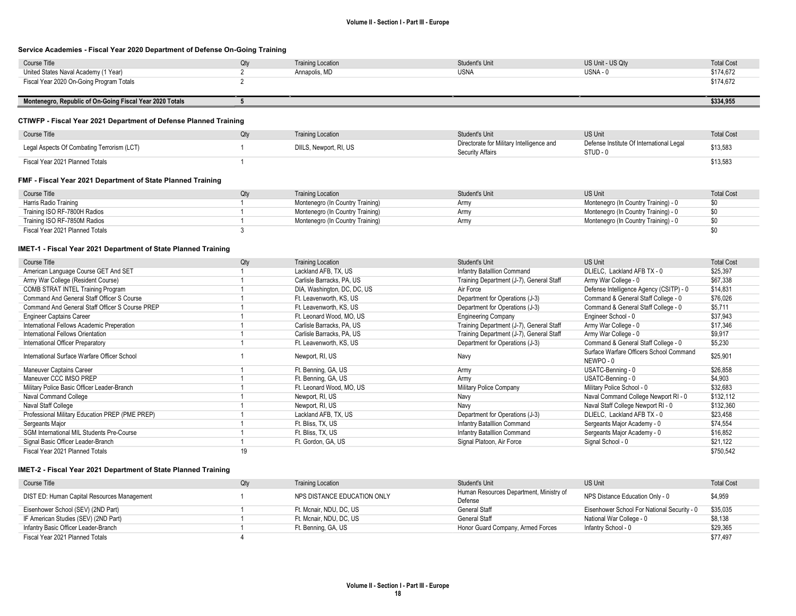#### Service Academies - Fiscal Year 2020 Department of Defense On-Going Training

| Course Title                             | Qtv | <b>Training Location</b> | <b>Student's Unit</b> | US Unit - US Qty | <b>Total Cost</b> |
|------------------------------------------|-----|--------------------------|-----------------------|------------------|-------------------|
| United States Naval Academy (1 Year)     |     | Annapolis, MD            | <b>USNA</b>           | USNA -           | \$174,672         |
| Fiscal Year 2020 On-Going Program Totals |     |                          |                       |                  | \$174,672         |
|                                          |     |                          |                       |                  |                   |

Montenegro, Republic of On-Going Fiscal Year 2020 Totals 5 \$334,955

### CTIWFP - Fiscal Year 2021 Department of Defense Planned Training

| Course Title                               | Qtv | <b>Training Location</b> | Student's Unit                                                | <b>US Unit</b>                                         | <b>Total Cost</b> |
|--------------------------------------------|-----|--------------------------|---------------------------------------------------------------|--------------------------------------------------------|-------------------|
| Legal Aspects Of Combating Terrorism (LCT) |     | DIILS, Newport, RI, US   | Directorate for Military Intelligence and<br>Security Affairs | Defense Institute Of International Legal<br>$STUD - v$ | \$13,583          |
| Fiscal Year 2021 Planned Totals            |     |                          |                                                               |                                                        | \$13,583          |

### FMF - Fiscal Year 2021 Department of State Planned Training

| Course Title                    | <b>Training Location</b>         | Student's Unit | <b>US Unit</b>                       | <b>Total Cost</b> |
|---------------------------------|----------------------------------|----------------|--------------------------------------|-------------------|
| Harris Radio Training           | Montenegro (In Country Training) | Army           | Montenegro (In Country Training) - 0 | \$0               |
| Training ISO RF-7800H Radios    | Montenegro (In Country Training) | Army           | Montenegro (In Country Training) - 0 | \$0               |
| Training ISO RF-7850M Radios    | Montenegro (In Country Training) | Army           | Montenegro (In Country Training) - 0 | \$0               |
| Fiscal Year 2021 Planned Totals |                                  |                |                                      |                   |

#### IMET-1 - Fiscal Year 2021 Department of State Planned Training

| Course Title                                     | Qty | <b>Training Location</b>    | <b>Student's Unit</b>                    | US Unit                                            | <b>Total Cost</b> |
|--------------------------------------------------|-----|-----------------------------|------------------------------------------|----------------------------------------------------|-------------------|
| American Language Course GET And SET             |     | Lackland AFB, TX, US        | Infantry Batalllion Command              | DLIELC, Lackland AFB TX - 0                        | \$25,397          |
| Army War College (Resident Course)               |     | Carlisle Barracks, PA, US   | Training Department (J-7), General Staff | Army War College - 0                               | \$67,338          |
| COMB STRAT INTEL Training Program                |     | DIA, Washington, DC, DC, US | Air Force                                | Defense Intelligence Agency (CSITP) - 0            | \$14,831          |
| Command And General Staff Officer S Course       |     | Ft. Leavenworth, KS, US     | Department for Operations (J-3)          | Command & General Staff College - 0                | \$76,026          |
| Command And General Staff Officer S Course PREP  |     | Ft. Leavenworth, KS, US     | Department for Operations (J-3)          | Command & General Staff College - 0                | \$5,711           |
| <b>Engineer Captains Career</b>                  |     | Ft. Leonard Wood, MO, US    | <b>Engineering Company</b>               | Engineer School - 0                                | \$37.943          |
| International Fellows Academic Preperation       |     | Carlisle Barracks, PA, US   | Training Department (J-7), General Staff | Army War College - 0                               | \$17,346          |
| International Fellows Orientation                |     | Carlisle Barracks, PA, US   | Training Department (J-7), General Staff | Army War College - 0                               | \$9,917           |
| International Officer Preparatory                |     | Ft. Leavenworth, KS, US     | Department for Operations (J-3)          | Command & General Staff College - 0                | \$5,230           |
| International Surface Warfare Officer School     |     | Newport, RI, US             | Navy                                     | Surface Warfare Officers School Command<br>NEWPO-0 | \$25,901          |
| Maneuver Captains Career                         |     | Ft. Benning, GA, US         | Army                                     | USATC-Benning - 0                                  | \$26,858          |
| Maneuver CCC IMSO PREP                           |     | Ft. Benning, GA, US         | Army                                     | USATC-Benning - 0                                  | \$4,903           |
| Military Police Basic Officer Leader-Branch      |     | Ft. Leonard Wood, MO, US    | Military Police Company                  | Military Police School - 0                         | \$32,683          |
| Naval Command College                            |     | Newport, RI, US             | Navy                                     | Naval Command College Newport RI - 0               | \$132,112         |
| Naval Staff College                              |     | Newport, RI, US             | Navy                                     | Naval Staff College Newport RI - 0                 | \$132,360         |
| Professional Military Education PREP (PME PREP)  |     | Lackland AFB, TX, US        | Department for Operations (J-3)          | DLIELC, Lackland AFB TX - 0                        | \$23,458          |
| Sergeants Major                                  |     | Ft. Bliss, TX, US           | Infantry Batalllion Command              | Sergeants Major Academy - 0                        | \$74,554          |
| <b>SGM International MIL Students Pre-Course</b> |     | Ft. Bliss, TX, US           | Infantry Batalllion Command              | Sergeants Major Academy - 0                        | \$16,852          |
| Signal Basic Officer Leader-Branch               |     | Ft. Gordon, GA, US          | Signal Platoon, Air Force                | Signal School - 0                                  | \$21,122          |
| Fiscal Year 2021 Planned Totals                  | 19  |                             |                                          |                                                    | \$750,542         |

#### IMET-2 - Fiscal Year 2021 Department of State Planned Training

| Course Title                                | Qtv | <b>Training Location</b>    | Student's Unit                                     | <b>US Unit</b>                              | <b>Total Cost</b> |
|---------------------------------------------|-----|-----------------------------|----------------------------------------------------|---------------------------------------------|-------------------|
| DIST ED: Human Capital Resources Management |     | NPS DISTANCE EDUCATION ONLY | Human Resources Department, Ministry of<br>Defense | NPS Distance Education Only - 0             | \$4,959           |
| Eisenhower School (SEV) (2ND Part)          |     | Ft. Mcnair, NDU, DC, US     | General Staff                                      | Eisenhower School For National Security - 0 | \$35,035          |
| IF American Studies (SEV) (2ND Part)        |     | Ft. Mcnair. NDU. DC. US     | General Staff                                      | National War College - 0                    | \$8,138           |
| Infantry Basic Officer Leader-Branch        |     | Ft. Benning, GA, US         | Honor Guard Company, Armed Forces                  | Infantry School - 0                         | \$29,365          |
| Fiscal Year 2021 Planned Totals             |     |                             |                                                    |                                             | \$77.497          |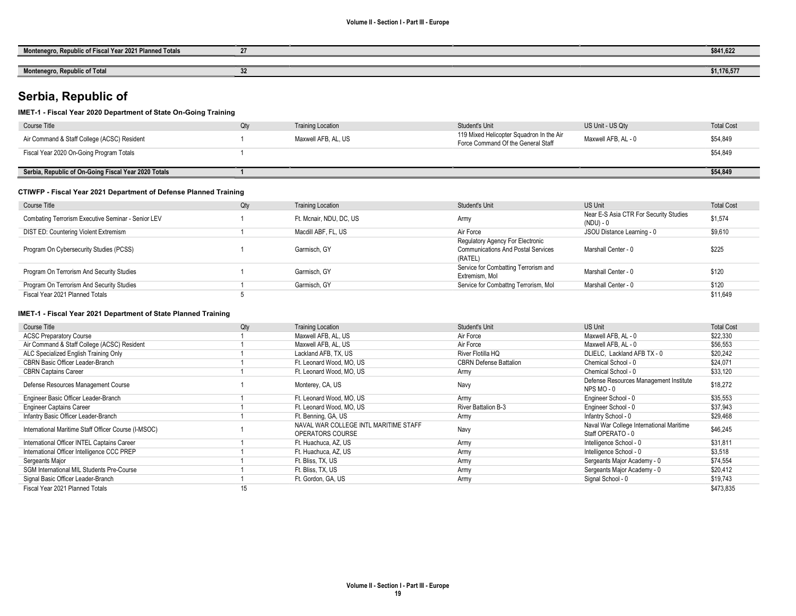| <b>Planned Totals</b><br>. Fiscal Year 2021 Plann<br>$\overline{\phantom{a}}$<br><b>Monte</b><br>Dani<br>dia av | 0.44.01<br>2041,04   |
|-----------------------------------------------------------------------------------------------------------------|----------------------|
|                                                                                                                 |                      |
| Monter.<br>a Danuhlia af<br>TULA                                                                                | 0.11707<br>\$1,1/6,5 |

# Serbia, Republic of

## IMET-1 - Fiscal Year 2020 Department of State On-Going Training

| Course Title                                         | Qty | <b>Training Location</b> | Student's Unit                                                                 | US Unit - US Qty    | <b>Total Cost</b> |
|------------------------------------------------------|-----|--------------------------|--------------------------------------------------------------------------------|---------------------|-------------------|
| Air Command & Staff College (ACSC) Resident          |     | Maxwell AFB, AL, US      | 119 Mixed Helicopter Squadron In the Air<br>Force Command Of the General Staff | Maxwell AFB, AL - 0 | \$54,849          |
| Fiscal Year 2020 On-Going Program Totals             |     |                          |                                                                                |                     | \$54,849          |
|                                                      |     |                          |                                                                                |                     |                   |
| Serbia, Republic of On-Going Fiscal Year 2020 Totals |     |                          |                                                                                |                     | \$54,849          |
|                                                      |     |                          |                                                                                |                     |                   |

## CTIWFP - Fiscal Year 2021 Department of Defense Planned Training

| Course Title                                       | Qty | <b>Training Location</b> | Student's Unit                                                                           | US Unit                                             | <b>Total Cost</b> |
|----------------------------------------------------|-----|--------------------------|------------------------------------------------------------------------------------------|-----------------------------------------------------|-------------------|
| Combating Terrorism Executive Seminar - Senior LEV |     | Ft. Mcnair, NDU, DC, US  | Army                                                                                     | Near E-S Asia CTR For Security Studies<br>(NDU) - 0 | \$1,574           |
| DIST ED: Countering Violent Extremism              |     | Macdill ABF, FL, US      | Air Force                                                                                | JSOU Distance Learning - 0                          | \$9,610           |
| Program On Cybersecurity Studies (PCSS)            |     | Garmisch, GY             | Regulatory Agency For Electronic<br><b>Communications And Postal Services</b><br>(RATEL) | Marshall Center - 0                                 | \$225             |
| Program On Terrorism And Security Studies          |     | Garmisch, GY             | Service for Combatting Terrorism and<br>Extremism, Mol                                   | Marshall Center - 0                                 | \$120             |
| Program On Terrorism And Security Studies          |     | Garmisch, GY             | Service for Combattng Terrorism, Mol                                                     | Marshall Center - 0                                 | \$120             |
| Fiscal Year 2021 Planned Totals                    |     |                          |                                                                                          |                                                     | \$11.649          |

#### IMET-1 - Fiscal Year 2021 Department of State Planned Training

| Course Title                                         | Qty | <b>Training Location</b>                                  | <b>Student's Unit</b>         | US Unit                                                       | <b>Total Cost</b> |
|------------------------------------------------------|-----|-----------------------------------------------------------|-------------------------------|---------------------------------------------------------------|-------------------|
| <b>ACSC Preparatory Course</b>                       |     | Maxwell AFB, AL, US                                       | Air Force                     | Maxwell AFB, AL - 0                                           | \$22,330          |
| Air Command & Staff College (ACSC) Resident          |     | Maxwell AFB, AL, US                                       | Air Force                     | Maxwell AFB, AL - 0                                           | \$56,553          |
| ALC Specialized English Training Only                |     | Lackland AFB, TX, US                                      | River Flotilla HQ             | DLIELC, Lackland AFB TX - 0                                   | \$20,242          |
| CBRN Basic Officer Leader-Branch                     |     | Ft. Leonard Wood, MO, US                                  | <b>CBRN Defense Battalion</b> | Chemical School - 0                                           | \$24,071          |
| <b>CBRN Captains Career</b>                          |     | Ft. Leonard Wood, MO, US                                  | Army                          | Chemical School - 0                                           | \$33,120          |
| Defense Resources Management Course                  |     | Monterey, CA, US                                          | Navy                          | Defense Resources Management Institute<br>NPS MO-0            | \$18,272          |
| Engineer Basic Officer Leader-Branch                 |     | Ft. Leonard Wood, MO, US                                  | Army                          | Engineer School - 0                                           | \$35,553          |
| <b>Engineer Captains Career</b>                      |     | Ft. Leonard Wood, MO, US                                  | <b>River Battalion B-3</b>    | Engineer School - 0                                           | \$37,943          |
| Infantry Basic Officer Leader-Branch                 |     | Ft. Benning, GA, US                                       | Army                          | Infantry School - 0                                           | \$29,468          |
| International Maritime Staff Officer Course (I-MSOC) |     | NAVAL WAR COLLEGE INTL MARITIME STAFF<br>OPERATORS COURSE | Navy                          | Naval War College International Maritime<br>Staff OPERATO - 0 | \$46,245          |
| International Officer INTEL Captains Career          |     | Ft. Huachuca, AZ, US                                      | Army                          | Intelligence School - 0                                       | \$31,811          |
| International Officer Intelligence CCC PREP          |     | Ft. Huachuca, AZ, US                                      | Army                          | Intelligence School - 0                                       | \$3,518           |
| Sergeants Major                                      |     | Ft. Bliss, TX, US                                         | Army                          | Sergeants Major Academy - 0                                   | \$74,554          |
| <b>SGM International MIL Students Pre-Course</b>     |     | Ft. Bliss, TX, US                                         | Army                          | Sergeants Major Academy - 0                                   | \$20,412          |
| Signal Basic Officer Leader-Branch                   |     | Ft. Gordon, GA, US                                        | Army                          | Signal School - 0                                             | \$19,743          |
| Fiscal Year 2021 Planned Totals                      | 15  |                                                           |                               |                                                               | \$473,835         |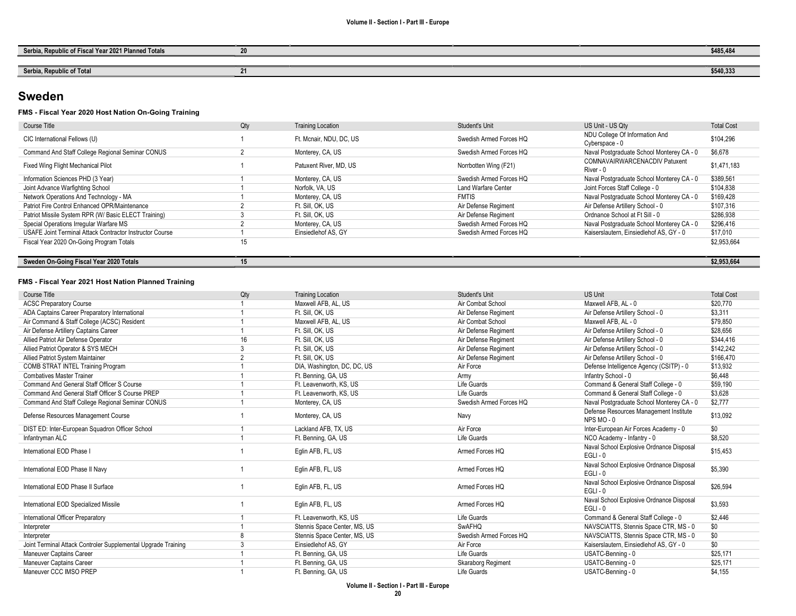| a, Republic of Fiscal Year 2021 Planned Totals<br>Serbia, | -- | \$485,484 |
|-----------------------------------------------------------|----|-----------|
|                                                           |    |           |
| Serbia, Republic of Total<br><b>NDIC OF FOLSE</b>         |    | \$540,333 |

# Sweden

## FMS - Fiscal Year 2020 Host Nation On-Going Training

| Course Title                                             | Qty | <b>Training Location</b> | Student's Unit             | US Unit - US Qty                                 | <b>Total Cost</b> |
|----------------------------------------------------------|-----|--------------------------|----------------------------|--------------------------------------------------|-------------------|
| CIC International Fellows (U)                            |     | Ft. Mcnair, NDU, DC, US  | Swedish Armed Forces HO    | NDU College Of Information And<br>Cyberspace - 0 | \$104,296         |
| Command And Staff College Regional Seminar CONUS         |     | Monterey, CA, US         | Swedish Armed Forces HQ    | Naval Postgraduate School Monterey CA - 0        | \$6,678           |
| Fixed Wing Flight Mechanical Pilot                       |     | Patuxent River, MD, US   | Norrbotten Wing (F21)      | COMNAVAIRWARCENACDIV Patuxent<br>River - 0       | \$1,471,183       |
| Information Sciences PHD (3 Year)                        |     | Monterey, CA, US         | Swedish Armed Forces HO    | Naval Postgraduate School Monterey CA - 0        | \$389,561         |
| Joint Advance Warfighting School                         |     | Norfolk, VA, US          | <b>Land Warfare Center</b> | Joint Forces Staff College - 0                   | \$104,838         |
| Network Operations And Technology - MA                   |     | Monterey, CA, US         | <b>FMTIS</b>               | Naval Postgraduate School Monterey CA - 0        | \$169,428         |
| Patriot Fire Control Enhanced OPR/Maintenance            |     | Ft. Sill. OK. US         | Air Defense Regiment       | Air Defense Artillery School - 0                 | \$107,316         |
| Patriot Missile System RPR (W/Basic ELECT Training)      |     | Ft. Sill. OK. US         | Air Defense Regiment       | Ordnance School at Ft Sill - 0                   | \$286,938         |
| Special Operations Irregular Warfare MS                  |     | Monterey, CA, US         | Swedish Armed Forces HO    | Naval Postgraduate School Monterey CA - 0        | \$296,416         |
| USAFE Joint Terminal Attack Contractor Instructor Course |     | Einsiedlehof AS, GY      | Swedish Armed Forces HQ    | Kaiserslautern, Einsiedlehof AS, GY - 0          | \$17,010          |
| Fiscal Year 2020 On-Going Program Totals                 | 15  |                          |                            |                                                  | \$2,953,664       |
|                                                          |     |                          |                            |                                                  |                   |
| Sweden On-Going Fiscal Year 2020 Totals                  | 15  |                          |                            |                                                  | \$2,953,664       |

#### FMS - Fiscal Year 2021 Host Nation Planned Training

| <b>Course Title</b>                                           | Qty            | <b>Training Location</b>     | <b>Student's Unit</b>   | <b>US Unit</b>                                         | <b>Total Cost</b> |
|---------------------------------------------------------------|----------------|------------------------------|-------------------------|--------------------------------------------------------|-------------------|
| <b>ACSC Preparatory Course</b>                                |                | Maxwell AFB, AL, US          | Air Combat School       | Maxwell AFB, AL - 0                                    | \$20.770          |
| ADA Captains Career Preparatory International                 |                | Ft. Sill, OK, US             | Air Defense Regiment    | Air Defense Artillery School - 0                       | \$3,311           |
| Air Command & Staff College (ACSC) Resident                   |                | Maxwell AFB, AL, US          | Air Combat School       | Maxwell AFB, AL - 0                                    | \$79.850          |
| Air Defense Artillery Captains Career                         |                | Ft. Sill, OK, US             | Air Defense Regiment    | Air Defense Artillery School - 0                       | \$28,656          |
| Allied Patriot Air Defense Operator                           | 16             | Ft. Sill, OK, US             | Air Defense Regiment    | Air Defense Artillery School - 0                       | \$344,416         |
| Allied Patriot Operator & SYS MECH                            | 3              | Ft. Sill. OK. US             | Air Defense Regiment    | Air Defense Artillery School - 0                       | \$142,242         |
| Allied Patriot System Maintainer                              | $\overline{2}$ | Ft. Sill, OK, US             | Air Defense Regiment    | Air Defense Artillery School - 0                       | \$166,470         |
| <b>COMB STRAT INTEL Training Program</b>                      |                | DIA, Washington, DC, DC, US  | Air Force               | Defense Intelligence Agency (CSITP) - 0                | \$13,932          |
| <b>Combatives Master Trainer</b>                              |                | Ft. Benning, GA, US          | Army                    | Infantry School - 0                                    | \$6,448           |
| Command And General Staff Officer S Course                    |                | Ft. Leavenworth, KS, US      | Life Guards             | Command & General Staff College - 0                    | \$59,190          |
| Command And General Staff Officer S Course PREP               |                | Ft. Leavenworth, KS, US      | Life Guards             | Command & General Staff College - 0                    | \$3,628           |
| Command And Staff College Regional Seminar CONUS              |                | Monterey, CA, US             | Swedish Armed Forces HQ | Naval Postgraduate School Monterey CA - 0              | \$2,777           |
| Defense Resources Management Course                           |                | Monterey, CA, US             | Navy                    | Defense Resources Management Institute<br>NPS MO-0     | \$13,092          |
| DIST ED: Inter-European Squadron Officer School               |                | Lackland AFB, TX, US         | Air Force               | Inter-European Air Forces Academy - 0                  | \$0               |
| Infantryman ALC                                               |                | Ft. Benning, GA, US          | Life Guards             | NCO Academy - Infantry - 0                             | \$8.520           |
| International EOD Phase I                                     |                | Eglin AFB, FL, US            | Armed Forces HQ         | Naval School Explosive Ordnance Disposal<br>$EGLI - 0$ | \$15,453          |
| International EOD Phase II Navy                               |                | Eglin AFB, FL, US            | Armed Forces HO         | Naval School Explosive Ordnance Disposal<br>$EGLI - 0$ | \$5,390           |
| International EOD Phase II Surface                            |                | Eglin AFB, FL, US            | Armed Forces HQ         | Naval School Explosive Ordnance Disposal<br>$EGLI - 0$ | \$26,594          |
| International EOD Specialized Missile                         |                | Eglin AFB, FL, US            | Armed Forces HQ         | Naval School Explosive Ordnance Disposal<br>$EGLI - 0$ | \$3,593           |
| International Officer Preparatory                             |                | Ft. Leavenworth, KS, US      | Life Guards             | Command & General Staff College - 0                    | \$2.446           |
| Interpreter                                                   |                | Stennis Space Center, MS, US | SwAFHQ                  | NAVSCIATTS, Stennis Space CTR, MS - 0                  | \$0               |
| Interpreter                                                   | 8              | Stennis Space Center, MS, US | Swedish Armed Forces HQ | NAVSCIATTS, Stennis Space CTR, MS - 0                  | \$0               |
| Joint Terminal Attack Controler Supplemental Upgrade Training | 3              | Einsiedlehof AS, GY          | Air Force               | Kaiserslautern. Einsiedlehof AS. GY - 0                | \$0               |
| Maneuver Captains Career                                      |                | Ft. Benning, GA, US          | Life Guards             | USATC-Benning - 0                                      | \$25.171          |
| Maneuver Captains Career                                      |                | Ft. Benning, GA, US          | Skaraborg Regiment      | USATC-Benning - 0                                      | \$25,171          |
| Maneuver CCC IMSO PREP                                        |                | Ft. Benning, GA, US          | Life Guards             | USATC-Benning - 0                                      | \$4,155           |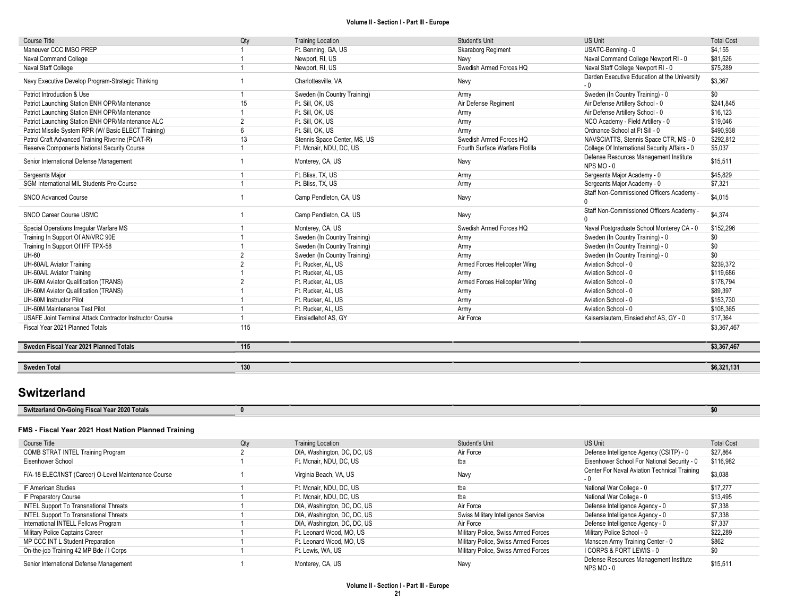| Course Title                                             | Qty            | <b>Training Location</b>     | Student's Unit                  | <b>US Unit</b>                                       | <b>Total Cost</b> |
|----------------------------------------------------------|----------------|------------------------------|---------------------------------|------------------------------------------------------|-------------------|
| Maneuver CCC IMSO PREP                                   |                | Ft. Benning, GA, US          | Skaraborg Regiment              | USATC-Benning - 0                                    | \$4.155           |
| Naval Command College                                    |                | Newport, RI, US              | Navy                            | Naval Command College Newport RI - 0                 | \$81.526          |
| Naval Staff College                                      |                | Newport, RI, US              | Swedish Armed Forces HQ         | Naval Staff College Newport RI - 0                   | \$75,289          |
| Navy Executive Develop Program-Strategic Thinking        |                | Charlottesville, VA          | Navy                            | Darden Executive Education at the University<br>$-0$ | \$3,367           |
| Patriot Introduction & Use                               |                | Sweden (In Country Training) | Army                            | Sweden (In Country Training) - 0                     | \$0               |
| Patriot Launching Station ENH OPR/Maintenance            | 15             | Ft. Sill, OK, US             | Air Defense Regiment            | Air Defense Artillery School - 0                     | \$241.845         |
| Patriot Launching Station ENH OPR/Maintenance            |                | Ft. Sill, OK, US             | Army                            | Air Defense Artillery School - 0                     | \$16,123          |
| Patriot Launching Station ENH OPR/Maintenance ALC        | $\overline{2}$ | Ft. Sill, OK, US             | Army                            | NCO Academy - Field Artillery - 0                    | \$19,046          |
| Patriot Missile System RPR (W/ Basic ELECT Training)     | 6              | Ft. Sill, OK, US             | Army                            | Ordnance School at Ft Sill - 0                       | \$490.938         |
| Patrol Craft Advanced Training Riverine (PCAT-R)         | 13             | Stennis Space Center, MS, US | Swedish Armed Forces HQ         | NAVSCIATTS, Stennis Space CTR, MS - 0                | \$292,812         |
| Reserve Components National Security Course              |                | Ft. Mcnair, NDU, DC, US      | Fourth Surface Warfare Flotilla | College Of International Security Affairs - 0        | \$5,037           |
| Senior International Defense Management                  |                | Monterey, CA, US             | Navy                            | Defense Resources Management Institute<br>NPS MO-0   | \$15,511          |
| Sergeants Major                                          |                | Ft. Bliss, TX, US            | Army                            | Sergeants Major Academy - 0                          | \$45,829          |
| <b>SGM International MIL Students Pre-Course</b>         |                | Ft. Bliss, TX, US            | Army                            | Sergeants Major Academy - 0                          | \$7,321           |
| <b>SNCO Advanced Course</b>                              |                | Camp Pendleton, CA, US       | Navy                            | Staff Non-Commissioned Officers Academy -            | \$4,015           |
| SNCO Career Course USMC                                  |                | Camp Pendleton, CA, US       | Navy                            | Staff Non-Commissioned Officers Academy -            | \$4,374           |
| Special Operations Irregular Warfare MS                  |                | Monterey, CA, US             | Swedish Armed Forces HQ         | Naval Postgraduate School Monterey CA - 0            | \$152,296         |
| Training In Support Of AN/VRC 90E                        |                | Sweden (In Country Training) | Army                            | Sweden (In Country Training) - 0                     | \$0               |
| Training In Support Of IFF TPX-58                        |                | Sweden (In Country Training) | Army                            | Sweden (In Country Training) - 0                     | \$0               |
| UH-60                                                    | $\overline{2}$ | Sweden (In Country Training) | Army                            | Sweden (In Country Training) - 0                     | \$0               |
| UH-60A/L Aviator Training                                | $\overline{2}$ | Ft. Rucker, AL, US           | Armed Forces Helicopter Wing    | Aviation School - 0                                  | \$239,372         |
| UH-60A/L Aviator Training                                |                | Ft. Rucker, AL, US           | Army                            | Aviation School - 0                                  | \$119,686         |
| UH-60M Aviator Qualification (TRANS)                     | $\overline{2}$ | Ft. Rucker, AL, US           | Armed Forces Helicopter Wing    | Aviation School - 0                                  | \$178,794         |
| UH-60M Aviator Qualification (TRANS)                     |                | Ft. Rucker, AL, US           | Army                            | Aviation School - 0                                  | \$89,397          |
| UH-60M Instructor Pilot                                  |                | Ft. Rucker, AL, US           | Army                            | Aviation School - 0                                  | \$153,730         |
| UH-60M Maintenance Test Pilot                            |                | Ft. Rucker, AL, US           | Army                            | Aviation School - 0                                  | \$108,365         |
| USAFE Joint Terminal Attack Contractor Instructor Course |                | Einsiedlehof AS, GY          | Air Force                       | Kaiserslautern, Einsiedlehof AS, GY - 0              | \$17,364          |
| Fiscal Year 2021 Planned Totals                          | 115            |                              |                                 |                                                      | \$3,367,467       |
| Sweden Fiscal Year 2021 Planned Totals                   | 115            |                              |                                 |                                                      | \$3,367,467       |
| <b>Sweden Total</b>                                      | 130            |                              |                                 |                                                      | \$6,321,131       |

# **Switzerland**

| 00007<br>) Totals<br><b>Switzerland On-Goinc</b><br>۲e<br>707<br>- 1517<br>,,,,,, |  |  |  |
|-----------------------------------------------------------------------------------|--|--|--|
|                                                                                   |  |  |  |

### FMS - Fiscal Year 2021 Host Nation Planned Training

| Course Title                                         | Qty | <b>Training Location</b>    | <b>Student's Unit</b>               | <b>US Unit</b>                                         | <b>Total Cost</b> |
|------------------------------------------------------|-----|-----------------------------|-------------------------------------|--------------------------------------------------------|-------------------|
| COMB STRAT INTEL Training Program                    |     | DIA, Washington, DC, DC, US | Air Force                           | Defense Intelligence Agency (CSITP) - 0                | \$27,864          |
| Eisenhower School                                    |     | Ft. Mcnair, NDU, DC, US     | tba                                 | Eisenhower School For National Security - 0            | \$116,982         |
| F/A-18 ELEC/INST (Career) O-Level Maintenance Course |     | Virginia Beach, VA, US      | Navy                                | Center For Naval Aviation Technical Training<br>- 0    | \$3,038           |
| IF American Studies                                  |     | Ft. Mcnair. NDU. DC. US     | tba                                 | National War College - 0                               | \$17,277          |
| IF Preparatory Course                                |     | Ft. Mcnair, NDU, DC, US     | tba                                 | National War College - 0                               | \$13,495          |
| <b>INTEL Support To Transnational Threats</b>        |     | DIA, Washington, DC, DC, US | Air Force                           | Defense Intelligence Agency - 0                        | \$7,338           |
| <b>INTEL Support To Transnational Threats</b>        |     | DIA, Washington, DC, DC, US | Swiss Military Intelligence Service | Defense Intelligence Agency - 0                        | \$7,338           |
| International INTELL Fellows Program                 |     | DIA, Washington, DC, DC, US | Air Force                           | Defense Intelligence Agency - 0                        | \$7,337           |
| Military Police Captains Career                      |     | Ft. Leonard Wood, MO, US    | Military Police, Swiss Armed Forces | Military Police School - 0                             | \$22,289          |
| MP CCC INT L Student Preparation                     |     | Ft. Leonard Wood, MO, US    | Military Police, Swiss Armed Forces | Manscen Army Training Center - 0                       | \$862             |
| On-the-job Training 42 MP Bde / I Corps              |     | Ft. Lewis, WA, US           | Military Police, Swiss Armed Forces | I CORPS & FORT LEWIS - 0                               | \$0               |
| Senior International Defense Management              |     | Monterey, CA, US            | Navy                                | Defense Resources Management Institute<br>$NPS MO - 0$ | \$15,511          |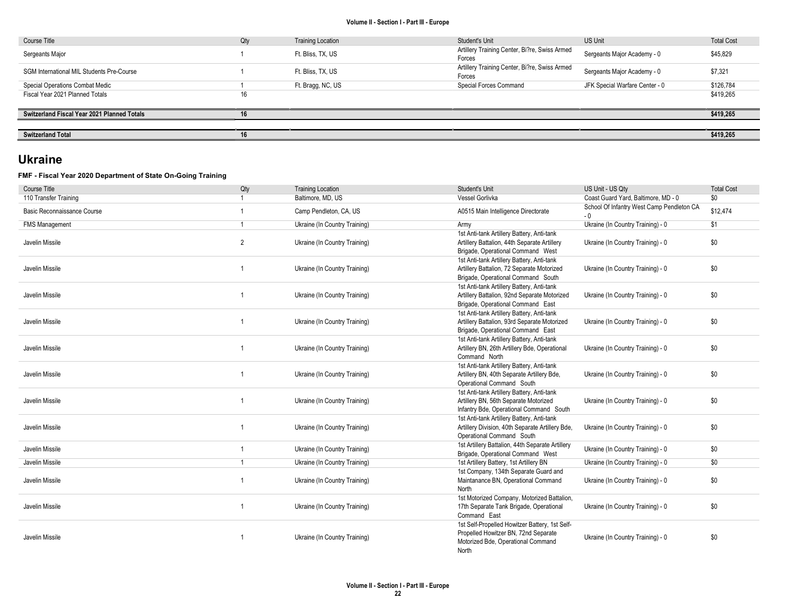| Course Title                                | Qty | <b>Training Location</b> | Student's Unit                                          | <b>US Unit</b>                 | <b>Total Cost</b> |
|---------------------------------------------|-----|--------------------------|---------------------------------------------------------|--------------------------------|-------------------|
| Sergeants Major                             |     | Ft. Bliss, TX, US        | Artillery Training Center, Bi?re, Swiss Armed<br>Forces | Sergeants Major Academy - 0    | \$45,829          |
| SGM International MIL Students Pre-Course   |     | Ft. Bliss, TX, US        | Artillery Training Center, Bi?re, Swiss Armed<br>Forces | Sergeants Major Academy - 0    | \$7,321           |
| Special Operations Combat Medic             |     | Ft. Bragg, NC, US        | Special Forces Command                                  | JFK Special Warfare Center - 0 | \$126,784         |
| Fiscal Year 2021 Planned Totals             | 16  |                          |                                                         |                                | \$419,265         |
|                                             |     |                          |                                                         |                                |                   |
| Switzerland Fiscal Year 2021 Planned Totals | 16  |                          |                                                         |                                | \$419,265         |
|                                             |     |                          |                                                         |                                |                   |
| <b>Switzerland Total</b>                    | 16  |                          |                                                         |                                | \$419,265         |

# Ukraine

## FMF - Fiscal Year 2020 Department of State On-Going Training

| <b>Course Title</b>         | Qty            | <b>Training Location</b>      | Student's Unit                                                                                                                        | US Unit - US Qty                                 | <b>Total Cost</b> |
|-----------------------------|----------------|-------------------------------|---------------------------------------------------------------------------------------------------------------------------------------|--------------------------------------------------|-------------------|
| 110 Transfer Training       |                | Baltimore, MD, US             | Vessel Gorlivka                                                                                                                       | Coast Guard Yard, Baltimore, MD - 0              | \$0               |
| Basic Reconnaissance Course |                | Camp Pendleton, CA, US        | A0515 Main Intelligence Directorate                                                                                                   | School Of Infantry West Camp Pendleton CA<br>- 0 | \$12,474          |
| <b>FMS Management</b>       | $\overline{1}$ | Ukraine (In Country Training) | Army                                                                                                                                  | Ukraine (In Country Training) - 0                | \$1               |
| Javelin Missile             | $\overline{2}$ | Ukraine (In Country Training) | 1st Anti-tank Artillery Battery, Anti-tank<br>Artillery Battalion, 44th Separate Artillery<br>Brigade, Operational Command West       | Ukraine (In Country Training) - 0                | \$0               |
| Javelin Missile             | 1              | Ukraine (In Country Training) | 1st Anti-tank Artillery Battery, Anti-tank<br>Artillery Battalion, 72 Separate Motorized<br>Brigade, Operational Command South        | Ukraine (In Country Training) - 0                | \$0               |
| Javelin Missile             |                | Ukraine (In Country Training) | 1st Anti-tank Artillery Battery, Anti-tank<br>Artillery Battalion, 92nd Separate Motorized<br>Brigade, Operational Command East       | Ukraine (In Country Training) - 0                | \$0               |
| Javelin Missile             |                | Ukraine (In Country Training) | 1st Anti-tank Artillery Battery, Anti-tank<br>Artillery Battalion, 93rd Separate Motorized<br>Brigade, Operational Command East       | Ukraine (In Country Training) - 0                | \$0               |
| Javelin Missile             |                | Ukraine (In Country Training) | 1st Anti-tank Artillery Battery, Anti-tank<br>Artillery BN, 26th Artillery Bde, Operational<br>Command North                          | Ukraine (In Country Training) - 0                | \$0               |
| Javelin Missile             |                | Ukraine (In Country Training) | 1st Anti-tank Artillery Battery, Anti-tank<br>Artillery BN, 40th Separate Artillery Bde,<br>Operational Command South                 | Ukraine (In Country Training) - 0                | \$0               |
| Javelin Missile             |                | Ukraine (In Country Training) | 1st Anti-tank Artillery Battery, Anti-tank<br>Artillery BN, 56th Separate Motorized<br>Infantry Bde, Operational Command South        | Ukraine (In Country Training) - 0                | \$0               |
| Javelin Missile             |                | Ukraine (In Country Training) | 1st Anti-tank Artillery Battery, Anti-tank<br>Artillery Division, 40th Separate Artillery Bde,<br>Operational Command South           | Ukraine (In Country Training) - 0                | \$0               |
| Javelin Missile             | 1              | Ukraine (In Country Training) | 1st Artillery Battalion, 44th Separate Artillery<br>Brigade, Operational Command West                                                 | Ukraine (In Country Training) - 0                | \$0               |
| Javelin Missile             | -1             | Ukraine (In Country Training) | 1st Artillery Battery, 1st Artillery BN                                                                                               | Ukraine (In Country Training) - 0                | \$0               |
| Javelin Missile             |                | Ukraine (In Country Training) | 1st Company, 134th Separate Guard and<br>Maintanance BN, Operational Command<br>North                                                 | Ukraine (In Country Training) - 0                | \$0               |
| Javelin Missile             | 1              | Ukraine (In Country Training) | 1st Motorized Company, Motorized Battalion,<br>17th Separate Tank Brigade, Operational<br>Command East                                | Ukraine (In Country Training) - 0                | \$0               |
| Javelin Missile             |                | Ukraine (In Country Training) | 1st Self-Propelled Howitzer Battery, 1st Self-<br>Propelled Howitzer BN, 72nd Separate<br>Motorized Bde, Operational Command<br>North | Ukraine (In Country Training) - 0                | \$0               |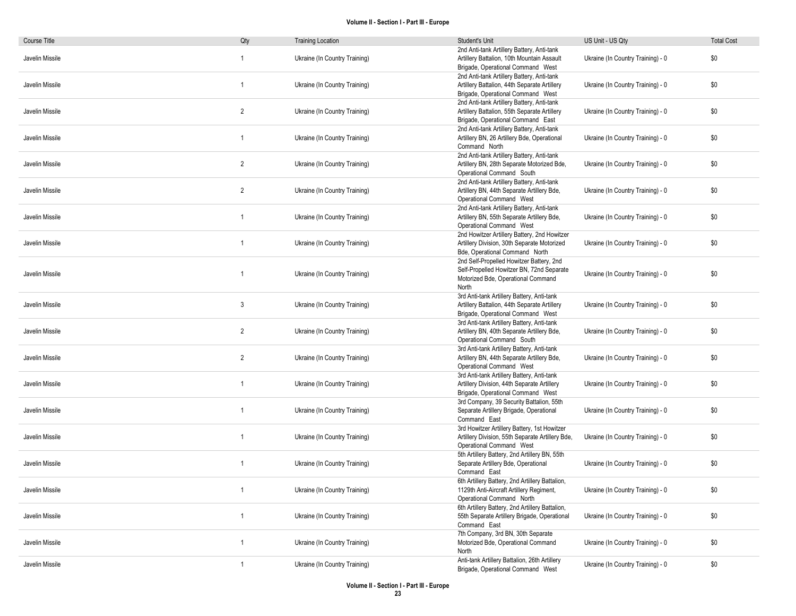| Course Title    | Qty            | <b>Training Location</b>      | Student's Unit                                                                                                                       | US Unit - US Qty                  | <b>Total Cost</b> |
|-----------------|----------------|-------------------------------|--------------------------------------------------------------------------------------------------------------------------------------|-----------------------------------|-------------------|
| Javelin Missile | -1             | Ukraine (In Country Training) | 2nd Anti-tank Artillery Battery, Anti-tank<br>Artillery Battalion, 10th Mountain Assault<br>Brigade, Operational Command West        | Ukraine (In Country Training) - 0 | \$0               |
| Javelin Missile | $\overline{1}$ | Ukraine (In Country Training) | 2nd Anti-tank Artillery Battery, Anti-tank<br>Artillery Battalion, 44th Separate Artillery<br>Brigade, Operational Command West      | Ukraine (In Country Training) - 0 | \$0               |
| Javelin Missile | $\overline{2}$ | Ukraine (In Country Training) | 2nd Anti-tank Artillery Battery, Anti-tank<br>Artillery Battalion, 55th Separate Artillery<br>Brigade, Operational Command East      | Ukraine (In Country Training) - 0 | \$0               |
| Javelin Missile | $\mathbf{1}$   | Ukraine (In Country Training) | 2nd Anti-tank Artillery Battery, Anti-tank<br>Artillery BN, 26 Artillery Bde, Operational<br>Command North                           | Ukraine (In Country Training) - 0 | \$0               |
| Javelin Missile | 2              | Ukraine (In Country Training) | 2nd Anti-tank Artillery Battery, Anti-tank<br>Artillery BN, 28th Separate Motorized Bde,<br>Operational Command South                | Ukraine (In Country Training) - 0 | \$0               |
| Javelin Missile | $\overline{2}$ | Ukraine (In Country Training) | 2nd Anti-tank Artillery Battery, Anti-tank<br>Artillery BN, 44th Separate Artillery Bde,<br>Operational Command West                 | Ukraine (In Country Training) - 0 | \$0               |
| Javelin Missile | $\overline{1}$ | Ukraine (In Country Training) | 2nd Anti-tank Artillery Battery, Anti-tank<br>Artillery BN, 55th Separate Artillery Bde,<br>Operational Command West                 | Ukraine (In Country Training) - 0 | \$0               |
| Javelin Missile | -1             | Ukraine (In Country Training) | 2nd Howitzer Artillery Battery, 2nd Howitzer<br>Artillery Division, 30th Separate Motorized<br>Bde, Operational Command North        | Ukraine (In Country Training) - 0 | \$0               |
| Javelin Missile | -1             | Ukraine (In Country Training) | 2nd Self-Propelled Howitzer Battery, 2nd<br>Self-Propelled Howitzer BN, 72nd Separate<br>Motorized Bde, Operational Command<br>North | Ukraine (In Country Training) - 0 | \$0               |
| Javelin Missile | 3              | Ukraine (In Country Training) | 3rd Anti-tank Artillery Battery, Anti-tank<br>Artillery Battalion, 44th Separate Artillery<br>Brigade, Operational Command West      | Ukraine (In Country Training) - 0 | \$0               |
| Javelin Missile | $\overline{2}$ | Ukraine (In Country Training) | 3rd Anti-tank Artillery Battery, Anti-tank<br>Artillery BN, 40th Separate Artillery Bde,<br>Operational Command South                | Ukraine (In Country Training) - 0 | \$0               |
| Javelin Missile | 2              | Ukraine (In Country Training) | 3rd Anti-tank Artillery Battery, Anti-tank<br>Artillery BN, 44th Separate Artillery Bde,<br>Operational Command West                 | Ukraine (In Country Training) - 0 | \$0               |
| Javelin Missile |                | Ukraine (In Country Training) | 3rd Anti-tank Artillery Battery, Anti-tank<br>Artillery Division, 44th Separate Artillery<br>Brigade, Operational Command West       | Ukraine (In Country Training) - 0 | \$0               |
| Javelin Missile | -1             | Ukraine (In Country Training) | 3rd Company, 39 Security Battalion, 55th<br>Separate Artillery Brigade, Operational<br>Command East                                  | Ukraine (In Country Training) - 0 | \$0               |
| Javelin Missile | -1             | Ukraine (In Country Training) | 3rd Howitzer Artillery Battery, 1st Howitzer<br>Artillery Division, 55th Separate Artillery Bde,<br>Operational Command West         | Ukraine (In Country Training) - 0 | \$0               |
| Javelin Missile | -1             | Ukraine (In Country Training) | 5th Artillery Battery, 2nd Artillery BN, 55th<br>Separate Artillery Bde, Operational<br>Command East                                 | Ukraine (In Country Training) - 0 | \$0               |
| Javelin Missile |                | Ukraine (In Country Training) | 6th Artillery Battery, 2nd Artillery Battalion,<br>1129th Anti-Aircraft Artillery Regiment,<br>Operational Command North             | Ukraine (In Country Training) - 0 | \$0               |
| Javelin Missile | $\mathbf{1}$   | Ukraine (In Country Training) | 6th Artillery Battery, 2nd Artillery Battalion,<br>55th Separate Artillery Brigade, Operational<br>Command East                      | Ukraine (In Country Training) - 0 | \$0               |
| Javelin Missile | $\mathbf{1}$   | Ukraine (In Country Training) | 7th Company, 3rd BN, 30th Separate<br>Motorized Bde, Operational Command<br>North                                                    | Ukraine (In Country Training) - 0 | \$0               |
| Javelin Missile | $\overline{1}$ | Ukraine (In Country Training) | Anti-tank Artillery Battalion, 26th Artillery<br>Brigade, Operational Command West                                                   | Ukraine (In Country Training) - 0 | \$0               |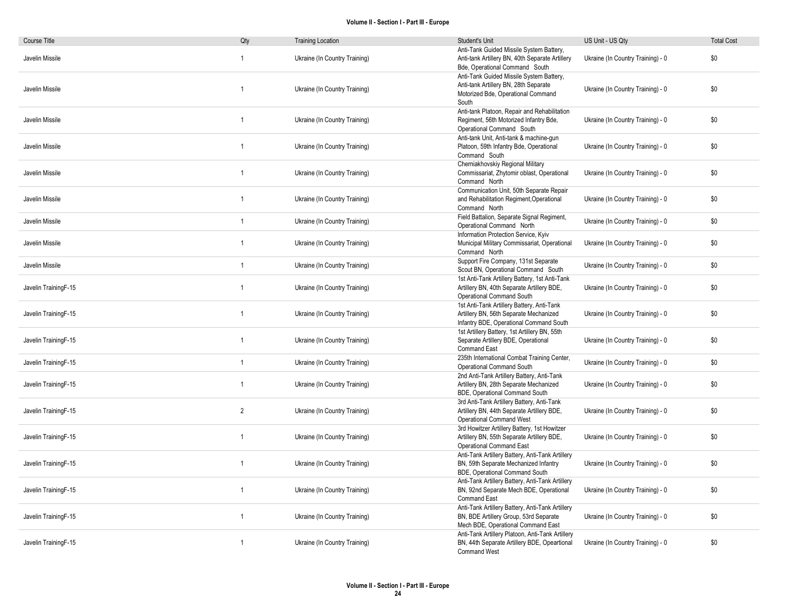| Course Title         | Qty            | <b>Training Location</b>      | Student's Unit                                                                                                                   | US Unit - US Qty                  | <b>Total Cost</b> |
|----------------------|----------------|-------------------------------|----------------------------------------------------------------------------------------------------------------------------------|-----------------------------------|-------------------|
| Javelin Missile      | $\overline{1}$ | Ukraine (In Country Training) | Anti-Tank Guided Missile System Battery,<br>Anti-tank Artillery BN, 40th Separate Artillery<br>Bde, Operational Command South    | Ukraine (In Country Training) - 0 | \$0               |
| Javelin Missile      | $\overline{1}$ | Ukraine (In Country Training) | Anti-Tank Guided Missile System Battery,<br>Anti-tank Artillery BN, 28th Separate<br>Motorized Bde, Operational Command<br>South | Ukraine (In Country Training) - 0 | \$0               |
| Javelin Missile      | $\mathbf{1}$   | Ukraine (In Country Training) | Anti-tank Platoon, Repair and Rehabilitation<br>Regiment, 56th Motorized Infantry Bde,<br>Operational Command South              | Ukraine (In Country Training) - 0 | \$0               |
| Javelin Missile      | $\overline{1}$ | Ukraine (In Country Training) | Anti-tank Unit, Anti-tank & machine-gun<br>Platoon, 59th Infantry Bde, Operational<br>Command South                              | Ukraine (In Country Training) - 0 | \$0               |
| Javelin Missile      | $\overline{1}$ | Ukraine (In Country Training) | Cherniakhovskiy Regional Military<br>Commissariat, Zhytomir oblast, Operational<br>Command North                                 | Ukraine (In Country Training) - 0 | \$0               |
| Javelin Missile      | $\overline{1}$ | Ukraine (In Country Training) | Communication Unit, 50th Separate Repair<br>and Rehabilitation Regiment, Operational<br>Command North                            | Ukraine (In Country Training) - 0 | \$0               |
| Javelin Missile      | $\overline{1}$ | Ukraine (In Country Training) | Field Battalion, Separate Signal Regiment,<br>Operational Command North                                                          | Ukraine (In Country Training) - 0 | \$0               |
| Javelin Missile      | $\overline{1}$ | Ukraine (In Country Training) | Information Protection Service, Kyiv<br>Municipal Military Commissariat, Operational<br>Command North                            | Ukraine (In Country Training) - 0 | \$0               |
| Javelin Missile      | $\mathbf{1}$   | Ukraine (In Country Training) | Support Fire Company, 131st Separate<br>Scout BN, Operational Command South                                                      | Ukraine (In Country Training) - 0 | \$0               |
| Javelin TrainingF-15 | $\mathbf{1}$   | Ukraine (In Country Training) | 1st Anti-Tank Artillery Battery, 1st Anti-Tank<br>Artillery BN, 40th Separate Artillery BDE,<br>Operational Command South        | Ukraine (In Country Training) - 0 | \$0               |
| Javelin TrainingF-15 | $\overline{1}$ | Ukraine (In Country Training) | 1st Anti-Tank Artillery Battery, Anti-Tank<br>Artillery BN, 56th Separate Mechanized<br>Infantry BDE, Operational Command South  | Ukraine (In Country Training) - 0 | \$0               |
| Javelin TrainingF-15 | $\overline{1}$ | Ukraine (In Country Training) | 1st Artillery Battery, 1st Artillery BN, 55th<br>Separate Artillery BDE, Operational<br>Command East                             | Ukraine (In Country Training) - 0 | \$0               |
| Javelin TrainingF-15 | $\mathbf{1}$   | Ukraine (In Country Training) | 235th International Combat Training Center,<br>Operational Command South                                                         | Ukraine (In Country Training) - 0 | \$0               |
| Javelin TrainingF-15 | $\mathbf{1}$   | Ukraine (In Country Training) | 2nd Anti-Tank Artillery Battery, Anti-Tank<br>Artillery BN, 28th Separate Mechanized<br>BDE, Operational Command South           | Ukraine (In Country Training) - 0 | \$0               |
| Javelin TrainingF-15 | 2              | Ukraine (In Country Training) | 3rd Anti-Tank Artillery Battery, Anti-Tank<br>Artillery BN, 44th Separate Artillery BDE,<br><b>Operational Command West</b>      | Ukraine (In Country Training) - 0 | \$0               |
| Javelin TrainingF-15 | $\overline{1}$ | Ukraine (In Country Training) | 3rd Howitzer Artillery Battery, 1st Howitzer<br>Artillery BN, 55th Separate Artillery BDE,<br><b>Operational Command East</b>    | Ukraine (In Country Training) - 0 | \$0               |
| Javelin TrainingF-15 | $\overline{1}$ | Ukraine (In Country Training) | Anti-Tank Artillery Battery, Anti-Tank Artillery<br>BN, 59th Separate Mechanized Infantry<br>BDE, Operational Command South      | Ukraine (In Country Training) - 0 | \$0               |
| Javelin TrainingF-15 | $\overline{1}$ | Ukraine (In Country Training) | Anti-Tank Artillery Battery, Anti-Tank Artillery<br>BN, 92nd Separate Mech BDE, Operational<br><b>Command East</b>               | Ukraine (In Country Training) - 0 | \$0               |
| Javelin TrainingF-15 | $\overline{1}$ | Ukraine (In Country Training) | Anti-Tank Artillery Battery, Anti-Tank Artillery<br>BN, BDE Artillery Group, 53rd Separate<br>Mech BDE, Operational Command East | Ukraine (In Country Training) - 0 | \$0               |
| Javelin TrainingF-15 | $\overline{1}$ | Ukraine (In Country Training) | Anti-Tank Artillery Platoon, Anti-Tank Artillery<br>BN, 44th Separate Artillery BDE, Opeartional<br>Command West                 | Ukraine (In Country Training) - 0 | \$0               |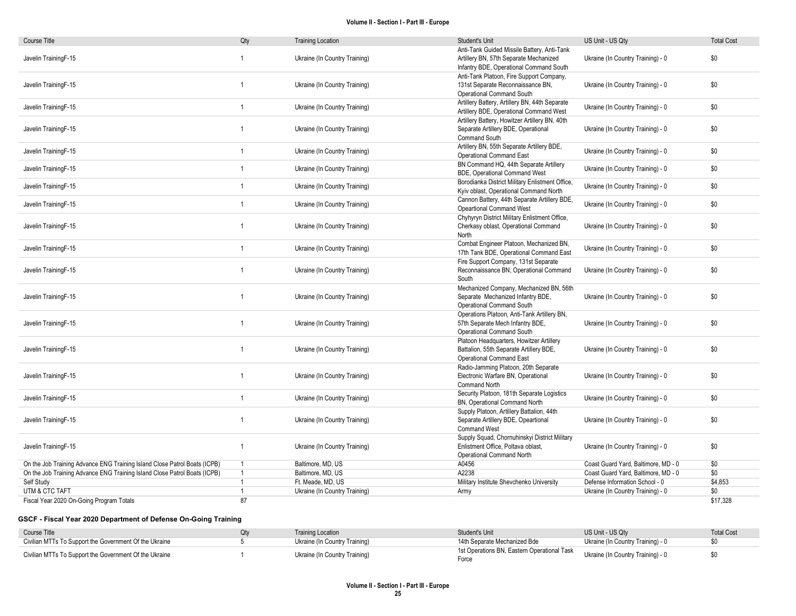| <b>Course Title</b>                                                       | Qty            | <b>Training Location</b>      | Student's Unit                                                                                                                   | US Unit - US Qty                    | <b>Total Cost</b> |
|---------------------------------------------------------------------------|----------------|-------------------------------|----------------------------------------------------------------------------------------------------------------------------------|-------------------------------------|-------------------|
| Javelin TrainingF-15                                                      | 1              | Ukraine (In Country Training) | Anti-Tank Guided Missile Battery, Anti-Tank<br>Artillery BN, 57th Separate Mechanized<br>Infantry BDE, Operational Command South | Ukraine (In Country Training) - 0   | \$0               |
| Javelin TrainingF-15                                                      | $\overline{1}$ | Ukraine (In Country Training) | Anti-Tank Platoon, Fire Support Company,<br>131st Separate Reconnaissance BN,<br>Operational Command South                       | Ukraine (In Country Training) - 0   | \$0               |
| Javelin TrainingF-15                                                      | $\mathbf{1}$   | Ukraine (In Country Training) | Artillery Battery, Artillery BN, 44th Separate<br>Artillery BDE, Operational Command West                                        | Ukraine (In Country Training) - 0   | \$0               |
| Javelin TrainingF-15                                                      | $\overline{1}$ | Ukraine (In Country Training) | Artillery Battery, Howitzer Artillery BN, 40th<br>Separate Artillery BDE, Operational<br><b>Command South</b>                    | Ukraine (In Country Training) - 0   | \$0               |
| Javelin TrainingF-15                                                      | $\overline{1}$ | Ukraine (In Country Training) | Artillery BN, 55th Separate Artillery BDE,<br><b>Operational Command East</b>                                                    | Ukraine (In Country Training) - 0   | \$0               |
| Javelin TrainingF-15                                                      | $\overline{1}$ | Ukraine (In Country Training) | BN Command HQ, 44th Separate Artillery<br>BDE, Operational Command West                                                          | Ukraine (In Country Training) - 0   | \$0               |
| Javelin TrainingF-15                                                      | $\mathbf{1}$   | Ukraine (In Country Training) | Borodianka District Military Enlistment Office,<br>Kyiv oblast, Operational Command North                                        | Ukraine (In Country Training) - 0   | \$0               |
| Javelin TrainingF-15                                                      | $\overline{1}$ | Ukraine (In Country Training) | Cannon Battery, 44th Separate Artillery BDE,<br><b>Opeartional Command West</b>                                                  | Ukraine (In Country Training) - 0   | \$0               |
| Javelin TrainingF-15                                                      | $\mathbf{1}$   | Ukraine (In Country Training) | Chyhyryn District Military Enlistment Office,<br>Cherkasy oblast, Operational Command<br>North                                   | Ukraine (In Country Training) - 0   | \$0               |
| Javelin TrainingF-15                                                      | $\overline{1}$ | Ukraine (In Country Training) | Combat Engineer Platoon, Mechanized BN,<br>17th Tank BDE, Operational Command East                                               | Ukraine (In Country Training) - 0   | \$0               |
| Javelin TrainingF-15                                                      | $\overline{1}$ | Ukraine (In Country Training) | Fire Support Company, 131st Separate<br>Reconnaissance BN, Operational Command<br>South                                          | Ukraine (In Country Training) - 0   | \$0               |
| Javelin TrainingF-15                                                      | $\overline{1}$ | Ukraine (In Country Training) | Mechanized Company, Mechanized BN, 56th<br>Separate Mechanized Infantry BDE,<br>Operational Command South                        | Ukraine (In Country Training) - 0   | \$0               |
| Javelin TrainingF-15                                                      | $\mathbf{1}$   | Ukraine (In Country Training) | Operations Platoon, Anti-Tank Artillery BN,<br>57th Separate Mech Infantry BDE,<br>Operational Command South                     | Ukraine (In Country Training) - 0   | \$0               |
| Javelin TrainingF-15                                                      | $\overline{1}$ | Ukraine (In Country Training) | Platoon Headquarters, Howitzer Artillery<br>Battalion, 55th Separate Artillery BDE,<br><b>Operational Command East</b>           | Ukraine (In Country Training) - 0   | \$0               |
| Javelin TrainingF-15                                                      | 1              | Ukraine (In Country Training) | Radio-Jamming Platoon, 20th Separate<br>Electronic Warfare BN, Operational<br>Command North                                      | Ukraine (In Country Training) - 0   | \$0               |
| Javelin TrainingF-15                                                      | $\overline{1}$ | Ukraine (In Country Training) | Security Platoon, 181th Separate Logistics<br>BN, Operational Command North                                                      | Ukraine (In Country Training) - 0   | \$0               |
| Javelin TrainingF-15                                                      | 1              | Ukraine (In Country Training) | Supply Platoon, Artillery Battalion, 44th<br>Separate Artillery BDE, Opeartional<br><b>Command West</b>                          | Ukraine (In Country Training) - 0   | \$0               |
| Javelin TrainingF-15                                                      | $\mathbf{1}$   | Ukraine (In Country Training) | Supply Squad, Chornuhinskyi District Military<br>Enlistment Office, Poltava oblast,<br>Operational Command North                 | Ukraine (In Country Training) - 0   | \$0               |
| On the Job Training Advance ENG Training Island Close Patrol Boats (ICPB) | $\mathbf{1}$   | Baltimore, MD, US             | A0456                                                                                                                            | Coast Guard Yard, Baltimore, MD - 0 | \$0               |
| On the Job Training Advance ENG Training Island Close Patrol Boats (ICPB) | $\overline{1}$ | Baltimore, MD, US             | A2238                                                                                                                            | Coast Guard Yard, Baltimore, MD - 0 | \$0               |
| Self Study                                                                | $\mathbf{1}$   | Ft. Meade, MD, US             | Military Institute Shevchenko University                                                                                         | Defense Information School - 0      | \$4,853           |
| UTM & CTC TAFT                                                            | $\mathbf{1}$   | Ukraine (In Country Training) | Army                                                                                                                             | Ukraine (In Country Training) - 0   | \$0               |
| Fiscal Year 2020 On-Going Program Totals                                  | 87             |                               |                                                                                                                                  |                                     | \$17,328          |

## GSCF - Fiscal Year 2020 Department of Defense On-Going Training

| Course Title                                           | <b>Training Location</b>      | Student's Unit                                       | US Unit - US Qtv                  | <b>Total Cost</b> |
|--------------------------------------------------------|-------------------------------|------------------------------------------------------|-----------------------------------|-------------------|
| Civilian MTTs To Support the Government Of the Ukraine | Ukraine (In Country Training) | 14th Separate Mechanized Bde                         | Ukraine (In Country Training) - 0 |                   |
| Civilian MTTs To Support the Government Of the Ukraine | Ukraine (In Country Training) | 1st Operations BN, Eastern Operational Task<br>Force | Ukraine (In Country Training) - 0 |                   |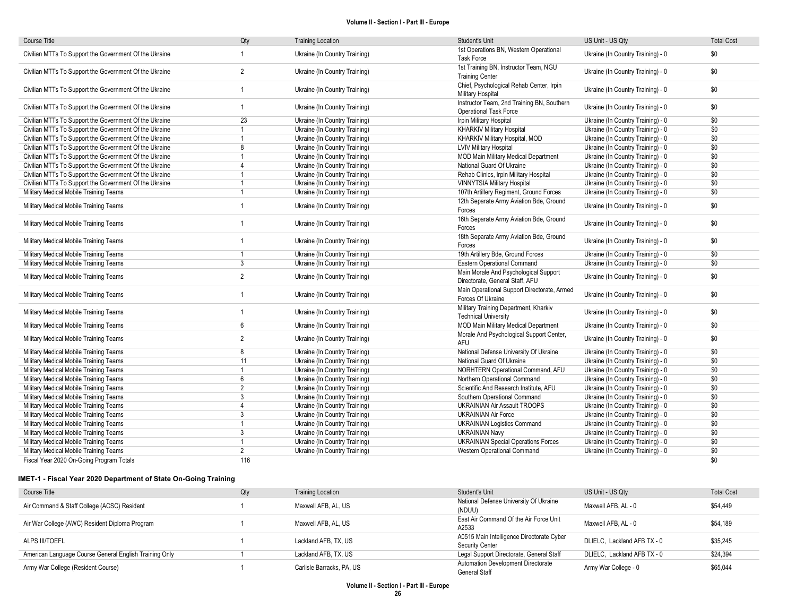| <b>Course Title</b>                                    | Qty            | <b>Training Location</b>      | Student's Unit                                                              | US Unit - US Qty                  | <b>Total Cost</b> |
|--------------------------------------------------------|----------------|-------------------------------|-----------------------------------------------------------------------------|-----------------------------------|-------------------|
| Civilian MTTs To Support the Government Of the Ukraine |                | Ukraine (In Country Training) | 1st Operations BN, Western Operational<br><b>Task Force</b>                 | Ukraine (In Country Training) - 0 | \$0               |
| Civilian MTTs To Support the Government Of the Ukraine | $\overline{2}$ | Ukraine (In Country Training) | 1st Training BN, Instructor Team, NGU<br><b>Training Center</b>             | Ukraine (In Country Training) - 0 | \$0               |
| Civilian MTTs To Support the Government Of the Ukraine |                | Ukraine (In Country Training) | Chief, Psychological Rehab Center, Irpin<br>Military Hospital               | Ukraine (In Country Training) - 0 | \$0               |
| Civilian MTTs To Support the Government Of the Ukraine | -1             | Ukraine (In Country Training) | Instructor Team, 2nd Training BN, Southern<br><b>Operational Task Force</b> | Ukraine (In Country Training) - 0 | \$0               |
| Civilian MTTs To Support the Government Of the Ukraine | 23             | Ukraine (In Country Training) | <b>Irpin Military Hospital</b>                                              | Ukraine (In Country Training) - 0 | \$0               |
| Civilian MTTs To Support the Government Of the Ukraine |                | Ukraine (In Country Training) | <b>KHARKIV Military Hospital</b>                                            | Ukraine (In Country Training) - 0 | \$0               |
| Civilian MTTs To Support the Government Of the Ukraine |                | Ukraine (In Country Training) | KHARKIV Military Hospital, MOD                                              | Ukraine (In Country Training) - 0 | \$0               |
| Civilian MTTs To Support the Government Of the Ukraine | 8              | Ukraine (In Country Training) | <b>LVIV Military Hospital</b>                                               | Ukraine (In Country Training) - 0 | \$0               |
| Civilian MTTs To Support the Government Of the Ukraine |                | Ukraine (In Country Training) | <b>MOD Main Military Medical Department</b>                                 | Ukraine (In Country Training) - 0 | \$0               |
| Civilian MTTs To Support the Government Of the Ukraine | $\overline{4}$ | Ukraine (In Country Training) | National Guard Of Ukraine                                                   | Ukraine (In Country Training) - 0 | \$0               |
| Civilian MTTs To Support the Government Of the Ukraine |                | Ukraine (In Country Training) | Rehab Clinics, Irpin Military Hospital                                      | Ukraine (In Country Training) - 0 | \$0               |
| Civilian MTTs To Support the Government Of the Ukraine | $\overline{1}$ | Ukraine (In Country Training) | <b>VINNYTSIA Military Hospital</b>                                          | Ukraine (In Country Training) - 0 | \$0               |
| Military Medical Mobile Training Teams                 | $\overline{1}$ | Ukraine (In Country Training) | 107th Artillery Regiment, Ground Forces                                     | Ukraine (In Country Training) - 0 | \$0               |
| Military Medical Mobile Training Teams                 |                | Ukraine (In Country Training) | 12th Separate Army Aviation Bde, Ground<br>Forces                           | Ukraine (In Country Training) - 0 | \$0               |
| Military Medical Mobile Training Teams                 | $\overline{1}$ | Ukraine (In Country Training) | 16th Separate Army Aviation Bde, Ground<br>Forces                           | Ukraine (In Country Training) - 0 | \$0               |
| Military Medical Mobile Training Teams                 | $\overline{1}$ | Ukraine (In Country Training) | 18th Separate Army Aviation Bde, Ground<br>Forces                           | Ukraine (In Country Training) - 0 | \$0               |
| Military Medical Mobile Training Teams                 | $\overline{1}$ | Ukraine (In Country Training) | 19th Artillery Bde, Ground Forces                                           | Ukraine (In Country Training) - 0 | \$0               |
| Military Medical Mobile Training Teams                 | 3              | Ukraine (In Country Training) | Eastern Operational Command                                                 | Ukraine (In Country Training) - 0 | \$0               |
| Military Medical Mobile Training Teams                 | $\overline{2}$ | Ukraine (In Country Training) | Main Morale And Psychological Support<br>Directorate, General Staff, AFU    | Ukraine (In Country Training) - 0 | \$0               |
| Military Medical Mobile Training Teams                 | $\overline{1}$ | Ukraine (In Country Training) | Main Operational Support Directorate, Armed<br>Forces Of Ukraine            | Ukraine (In Country Training) - 0 | \$0               |
| Military Medical Mobile Training Teams                 | $\overline{1}$ | Ukraine (In Country Training) | Military Training Department, Kharkiv<br><b>Technical University</b>        | Ukraine (In Country Training) - 0 | \$0               |
| Military Medical Mobile Training Teams                 | 6              | Ukraine (In Country Training) | <b>MOD Main Military Medical Department</b>                                 | Ukraine (In Country Training) - 0 | \$0               |
| Military Medical Mobile Training Teams                 | $\overline{2}$ | Ukraine (In Country Training) | Morale And Psychological Support Center,<br><b>AFU</b>                      | Ukraine (In Country Training) - 0 | \$0               |
| Military Medical Mobile Training Teams                 | 8              | Ukraine (In Country Training) | National Defense University Of Ukraine                                      | Ukraine (In Country Training) - 0 | \$0               |
| Military Medical Mobile Training Teams                 | 11             | Ukraine (In Country Training) | National Guard Of Ukraine                                                   | Ukraine (In Country Training) - 0 | \$0               |
| Military Medical Mobile Training Teams                 |                | Ukraine (In Country Training) | NORHTERN Operational Command, AFU                                           | Ukraine (In Country Training) - 0 | \$0               |
| Military Medical Mobile Training Teams                 | 6              | Ukraine (In Country Training) | Northern Operational Command                                                | Ukraine (In Country Training) - 0 | \$0               |
| Military Medical Mobile Training Teams                 | $\overline{2}$ | Ukraine (In Country Training) | Scientific And Research Institute, AFU                                      | Ukraine (In Country Training) - 0 | \$0               |
| Military Medical Mobile Training Teams                 | 3              | Ukraine (In Country Training) | Southern Operational Command                                                | Ukraine (In Country Training) - 0 | \$0               |
| Military Medical Mobile Training Teams                 | $\overline{4}$ | Ukraine (In Country Training) | <b>UKRAINIAN Air Assault TROOPS</b>                                         | Ukraine (In Country Training) - 0 | \$0               |
| Military Medical Mobile Training Teams                 | 3              | Ukraine (In Country Training) | <b>UKRAINIAN Air Force</b>                                                  | Ukraine (In Country Training) - 0 | \$0               |
| Military Medical Mobile Training Teams                 | $\overline{1}$ | Ukraine (In Country Training) | <b>UKRAINIAN Logistics Command</b>                                          | Ukraine (In Country Training) - 0 | \$0               |
| Military Medical Mobile Training Teams                 | 3              | Ukraine (In Country Training) | <b>UKRAINIAN Navy</b>                                                       | Ukraine (In Country Training) - 0 | \$0               |
| Military Medical Mobile Training Teams                 | $\overline{1}$ | Ukraine (In Country Training) | <b>UKRAINIAN Special Operations Forces</b>                                  | Ukraine (In Country Training) - 0 | \$0               |
| Military Medical Mobile Training Teams                 | $\overline{2}$ | Ukraine (In Country Training) | Western Operational Command                                                 | Ukraine (In Country Training) - 0 | \$0               |
| Fiscal Year 2020 On-Going Program Totals               | 116            |                               |                                                                             |                                   | \$0               |

## IMET-1 - Fiscal Year 2020 Department of State On-Going Training

| Course Title                                           | Qty | <b>Training Location</b>  | Student's Unit                                               | US Unit - US Qty            | <b>Total Cost</b> |
|--------------------------------------------------------|-----|---------------------------|--------------------------------------------------------------|-----------------------------|-------------------|
| Air Command & Staff College (ACSC) Resident            |     | Maxwell AFB, AL, US       | National Defense University Of Ukraine<br>(NDUU)             | Maxwell AFB, AL - 0         | \$54,449          |
| Air War College (AWC) Resident Diploma Program         |     | Maxwell AFB, AL, US       | East Air Command Of the Air Force Unit<br>A2533              | Maxwell AFB, AL - 0         | \$54.189          |
| ALPS III/TOEFL                                         |     | Lackland AFB, TX, US      | A0515 Main Intelligence Directorate Cyber<br>Security Center | DLIELC, Lackland AFB TX - 0 | \$35,245          |
| American Language Course General English Training Only |     | Lackland AFB, TX, US      | Legal Support Directorate, General Staff                     | DLIELC. Lackland AFB TX - 0 | \$24,394          |
| Army War College (Resident Course)                     |     | Carlisle Barracks, PA, US | Automation Development Directorate<br>General Staff          | Army War College - 0        | \$65,044          |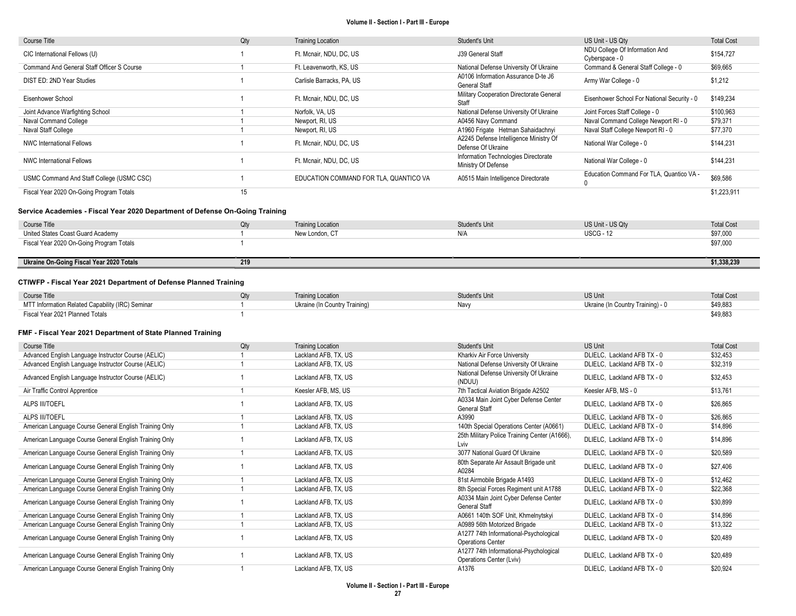| Course Title                               | Qty | <b>Training Location</b>               | Student's Unit                                               | US Unit - US Qty                                 | <b>Total Cost</b> |
|--------------------------------------------|-----|----------------------------------------|--------------------------------------------------------------|--------------------------------------------------|-------------------|
| CIC International Fellows (U)              |     | Ft. Mcnair, NDU, DC, US                | J39 General Staff                                            | NDU College Of Information And<br>Cyberspace - 0 | \$154,727         |
| Command And General Staff Officer S Course |     | Ft. Leavenworth, KS, US                | National Defense University Of Ukraine                       | Command & General Staff College - 0              | \$69,665          |
| DIST ED: 2ND Year Studies                  |     | Carlisle Barracks, PA, US              | A0106 Information Assurance D-te J6<br><b>General Staff</b>  | Army War College - 0                             | \$1,212           |
| Eisenhower School                          |     | Ft. Mcnair, NDU, DC, US                | Military Cooperation Directorate General<br>Staff            | Eisenhower School For National Security - 0      | \$149,234         |
| Joint Advance Warfighting School           |     | Norfolk, VA, US                        | National Defense University Of Ukraine                       | Joint Forces Staff College - 0                   | \$100,963         |
| Naval Command College                      |     | Newport, RI, US                        | A0456 Navy Command                                           | Naval Command College Newport RI - 0             | \$79,371          |
| Naval Staff College                        |     | Newport, RI, US                        | A1960 Frigate Hetman Sahaidachnyi                            | Naval Staff College Newport RI - 0               | \$77,370          |
| NWC International Fellows                  |     | Ft. Mcnair, NDU, DC, US                | A2245 Defense Intelligence Ministry Of<br>Defense Of Ukraine | National War College - 0                         | \$144,231         |
| <b>NWC International Fellows</b>           |     | Ft. Mcnair, NDU, DC, US                | Information Technologies Directorate<br>Ministry Of Defense  | National War College - 0                         | \$144,231         |
| USMC Command And Staff College (USMC CSC)  |     | EDUCATION COMMAND FOR TLA. QUANTICO VA | A0515 Main Intelligence Directorate                          | Education Command For TLA, Quantico VA -         | \$69,586          |
| Fiscal Year 2020 On-Going Program Totals   | 15  |                                        |                                                              |                                                  | \$1,223,911       |

### Service Academies - Fiscal Year 2020 Department of Defense On-Going Training

| Course Title                             | ∩tv | <b>Training Location</b> | Student's Unit | US Unit - US Qtv | <b>Total Cost</b> |
|------------------------------------------|-----|--------------------------|----------------|------------------|-------------------|
| United States Coast Guard Academy        |     | New London, CT           |                | <b>USCG - 12</b> | \$97,000          |
| Fiscal Year 2020 On-Going Program Totals |     |                          |                |                  | \$97,000          |
|                                          |     |                          |                |                  |                   |
| Ukraine On-Going Fiscal Year 2020 Totals | 219 |                          |                |                  | \$1,338,239       |

#### CTIWFP - Fiscal Year 2021 Department of Defense Planned Training

| Course Title                                     | <b>Training Location</b>      | Student's Unit | <b>US Unit</b>                    | <b>Total Cost</b> |
|--------------------------------------------------|-------------------------------|----------------|-----------------------------------|-------------------|
| MTT Information Related Capability (IRC) Seminar | Ukraine (In Country Training) | Navv           | Ukraine (In Country Training) - 0 | \$49,883          |
| Fiscal Year 2021 Planned Totals                  |                               |                |                                   | \$49,883          |

#### FMF - Fiscal Year 2021 Department of State Planned Training

| Course Title                                           | Qty | <b>Training Location</b> | Student's Unit                                                     | <b>US Unit</b>              | <b>Total Cost</b> |
|--------------------------------------------------------|-----|--------------------------|--------------------------------------------------------------------|-----------------------------|-------------------|
| Advanced English Language Instructor Course (AELIC)    |     | Lackland AFB, TX, US     | Kharkiv Air Force University                                       | DLIELC. Lackland AFB TX - 0 | \$32,453          |
| Advanced English Language Instructor Course (AELIC)    |     | Lackland AFB, TX, US     | National Defense University Of Ukraine                             | DLIELC, Lackland AFB TX - 0 | \$32,319          |
| Advanced English Language Instructor Course (AELIC)    |     | Lackland AFB, TX, US     | National Defense University Of Ukraine<br>(NDUU)                   | DLIELC, Lackland AFB TX - 0 | \$32,453          |
| Air Traffic Control Apprentice                         |     | Keesler AFB, MS, US      | 7th Tactical Aviation Brigade A2502                                | Keesler AFB, MS - 0         | \$13,761          |
| ALPS III/TOEFL                                         |     | Lackland AFB, TX, US     | A0334 Main Joint Cyber Defense Center<br><b>General Staff</b>      | DLIELC, Lackland AFB TX - 0 | \$26,865          |
| ALPS III/TOEFL                                         |     | Lackland AFB, TX, US     | A3990                                                              | DLIELC, Lackland AFB TX - 0 | \$26,865          |
| American Language Course General English Training Only |     | Lackland AFB, TX, US     | 140th Special Operations Center (A0661)                            | DLIELC, Lackland AFB TX - 0 | \$14,896          |
| American Language Course General English Training Only |     | Lackland AFB, TX, US     | 25th Military Police Training Center (A1666),<br>Lviv              | DLIELC, Lackland AFB TX - 0 | \$14,896          |
| American Language Course General English Training Only |     | Lackland AFB, TX, US     | 3077 National Guard Of Ukraine                                     | DLIELC, Lackland AFB TX - 0 | \$20,589          |
| American Language Course General English Training Only |     | Lackland AFB, TX, US     | 80th Separate Air Assault Brigade unit<br>A0284                    | DLIELC, Lackland AFB TX - 0 | \$27,406          |
| American Language Course General English Training Only |     | Lackland AFB, TX, US     | 81st Airmobile Brigade A1493                                       | DLIELC, Lackland AFB TX - 0 | \$12,462          |
| American Language Course General English Training Only |     | Lackland AFB, TX, US     | 8th Special Forces Regiment unit A1788                             | DLIELC, Lackland AFB TX - 0 | \$22,368          |
| American Language Course General English Training Only |     | Lackland AFB, TX, US     | A0334 Main Joint Cyber Defense Center<br>General Staff             | DLIELC, Lackland AFB TX - 0 | \$30,899          |
| American Language Course General English Training Only |     | Lackland AFB, TX, US     | A0661 140th SOF Unit, Khmelnytskyi                                 | DLIELC, Lackland AFB TX - 0 | \$14,896          |
| American Language Course General English Training Only |     | Lackland AFB, TX, US     | A0989 56th Motorized Brigade                                       | DLIELC, Lackland AFB TX - 0 | \$13,322          |
| American Language Course General English Training Only |     | Lackland AFB, TX, US     | A1277 74th Informational-Psychological<br><b>Operations Center</b> | DLIELC, Lackland AFB TX - 0 | \$20,489          |
| American Language Course General English Training Only |     | Lackland AFB, TX, US     | A1277 74th Informational-Psychological<br>Operations Center (Lviv) | DLIELC, Lackland AFB TX - 0 | \$20,489          |
| American Language Course General English Training Only |     | Lackland AFB, TX, US     | A1376                                                              | DLIELC, Lackland AFB TX - 0 | \$20,924          |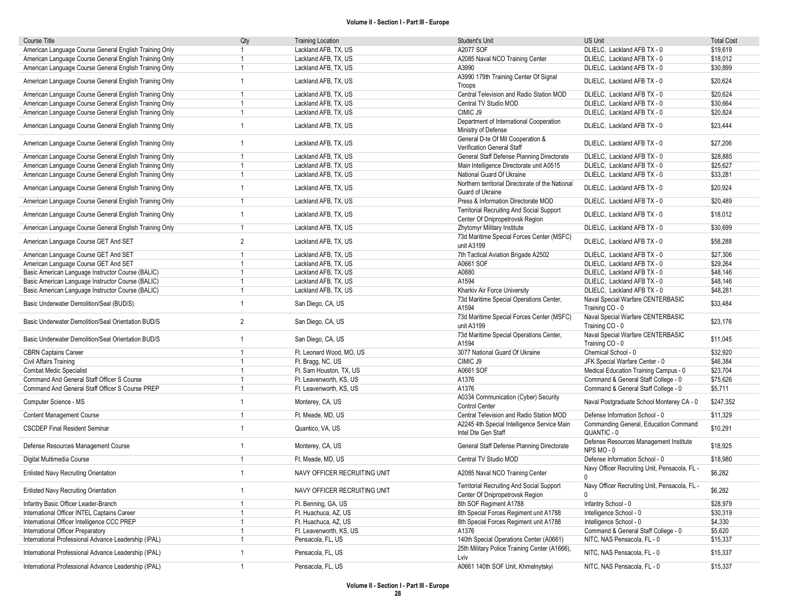| Course Title                                           | Qty            | <b>Training Location</b>     | Student's Unit                                                                      | <b>US Unit</b>                                                | <b>Total Cost</b> |
|--------------------------------------------------------|----------------|------------------------------|-------------------------------------------------------------------------------------|---------------------------------------------------------------|-------------------|
| American Language Course General English Training Only | 1              | Lackland AFB, TX, US         | A2077 SOF                                                                           | DLIELC, Lackland AFB TX - 0                                   | \$19,619          |
| American Language Course General English Training Only | $\mathbf{1}$   | Lackland AFB, TX, US         | A2085 Naval NCO Training Center                                                     | DLIELC, Lackland AFB TX - 0                                   | \$18,012          |
| American Language Course General English Training Only | -1             | Lackland AFB, TX, US         | A3990                                                                               | DLIELC, Lackland AFB TX - 0                                   | \$30,899          |
| American Language Course General English Training Only | $\mathbf{1}$   | Lackland AFB, TX, US         | A3990 179th Training Center Of Signal<br>Troops                                     | DLIELC, Lackland AFB TX - 0                                   | \$20,624          |
| American Language Course General English Training Only | $\overline{1}$ | Lackland AFB, TX, US         | Central Television and Radio Station MOD                                            | DLIELC, Lackland AFB TX - 0                                   | \$20,624          |
| American Language Course General English Training Only | $\mathbf{1}$   | Lackland AFB, TX, US         | Central TV Studio MOD                                                               | DLIELC, Lackland AFB TX - 0                                   | \$30,664          |
| American Language Course General English Training Only | $\mathbf{1}$   | Lackland AFB, TX, US         | CIMIC J9                                                                            | DLIELC, Lackland AFB TX - 0                                   | \$20,824          |
| American Language Course General English Training Only | $\overline{1}$ | Lackland AFB, TX, US         | Department of International Cooperation<br>Ministry of Defense                      | DLIELC, Lackland AFB TX - 0                                   | \$23,444          |
| American Language Course General English Training Only | $\mathbf{1}$   | Lackland AFB, TX, US         | General D-te Of Mil Cooperation &<br>Verification General Staff                     | DLIELC, Lackland AFB TX - 0                                   | \$27,206          |
| American Language Course General English Training Only | -1             | Lackland AFB, TX, US         | General Staff Defense Planning Directorate                                          | DLIELC, Lackland AFB TX - 0                                   | \$28,885          |
| American Language Course General English Training Only | $\overline{1}$ | Lackland AFB, TX, US         | Main Intelligence Directorate unit A0515                                            | DLIELC, Lackland AFB TX - 0                                   | \$25,627          |
| American Language Course General English Training Only | $\mathbf{1}$   | Lackland AFB, TX, US         | National Guard Of Ukraine                                                           | DLIELC, Lackland AFB TX - 0                                   | \$33,281          |
| American Language Course General English Training Only | $\mathbf{1}$   | Lackland AFB, TX, US         | Northern territorial Directorate of the National<br>Guard of Ukraine                | DLIELC, Lackland AFB TX - 0                                   | \$20,924          |
| American Language Course General English Training Only | $\overline{1}$ | Lackland AFB, TX, US         | Press & Information Directorate MOD                                                 | DLIELC, Lackland AFB TX - 0                                   | \$20,489          |
| American Language Course General English Training Only | $\mathbf{1}$   | Lackland AFB, TX, US         | <b>Territorial Recruiting And Social Support</b><br>Center Of Dnipropetrovsk Region | DLIELC, Lackland AFB TX - 0                                   | \$18,012          |
| American Language Course General English Training Only | $\overline{1}$ | Lackland AFB, TX, US         | Zhytomyr Military Institute                                                         | DLIELC, Lackland AFB TX - 0                                   | \$30,699          |
| American Language Course GET And SET                   | $\overline{2}$ | Lackland AFB, TX, US         | 73d Maritime Special Forces Center (MSFC)<br>unit A3199                             | DLIELC, Lackland AFB TX - 0                                   | \$58,288          |
| American Language Course GET And SET                   | $\mathbf{1}$   | Lackland AFB, TX, US         | 7th Tactical Aviation Brigade A2502                                                 | DLIELC, Lackland AFB TX - 0                                   | \$27,306          |
| American Language Course GET And SET                   | $\mathbf{1}$   | Lackland AFB, TX, US         | A0661 SOF                                                                           | DLIELC, Lackland AFB TX - 0                                   | \$29,264          |
| Basic American Language Instructor Course (BALIC)      | $\mathbf{1}$   | Lackland AFB, TX, US         | A0880                                                                               | DLIELC, Lackland AFB TX - 0                                   | \$48,146          |
| Basic American Language Instructor Course (BALIC)      | $\mathbf{1}$   | Lackland AFB, TX, US         | A1594                                                                               | DLIELC, Lackland AFB TX - 0                                   | \$48,146          |
| Basic American Language Instructor Course (BALIC)      | $\mathbf{1}$   | Lackland AFB, TX, US         | Kharkiv Air Force University                                                        | DLIELC, Lackland AFB TX - 0                                   | \$48,281          |
|                                                        |                |                              | 73d Maritime Special Operations Center,                                             | Naval Special Warfare CENTERBASIC                             |                   |
| Basic Underwater Demolition/Seal (BUD/S)               | $\mathbf{1}$   | San Diego, CA, US            | A1594<br>73d Maritime Special Forces Center (MSFC)                                  | Training CO - 0<br>Naval Special Warfare CENTERBASIC          | \$33,484          |
| Basic Underwater Demolition/Seal Orientation BUD/S     | $\overline{2}$ | San Diego, CA, US            | unit A3199                                                                          | Training CO - 0                                               | \$23,176          |
| Basic Underwater Demolition/Seal Orientation BUD/S     | $\mathbf{1}$   | San Diego, CA, US            | 73d Maritime Special Operations Center,<br>A1594                                    | Naval Special Warfare CENTERBASIC<br>Training CO - 0          | \$11,045          |
| <b>CBRN Captains Career</b>                            | $\mathbf{1}$   | Ft. Leonard Wood, MO, US     | 3077 National Guard Of Ukraine                                                      | Chemical School - 0                                           | \$32,920          |
| Civil Affairs Training                                 | $\overline{1}$ | Ft. Bragg, NC, US            | CIMIC J9                                                                            | JFK Special Warfare Center - 0                                | \$46,384          |
| <b>Combat Medic Specialist</b>                         | $\overline{1}$ | Ft. Sam Houston, TX, US      | A0661 SOF                                                                           | Medical Education Training Campus - 0                         | \$23,704          |
| Command And General Staff Officer S Course             | $\overline{1}$ | Ft. Leavenworth, KS, US      | A1376                                                                               | Command & General Staff College - 0                           | \$75,626          |
| Command And General Staff Officer S Course PREP        | $\overline{1}$ | Ft. Leavenworth, KS, US      | A1376                                                                               | Command & General Staff College - 0                           | \$5,711           |
| Computer Science - MS                                  | $\overline{1}$ | Monterey, CA, US             | A0334 Communication (Cyber) Security<br><b>Control Center</b>                       | Naval Postgraduate School Monterey CA - 0                     | \$247,352         |
| <b>Content Management Course</b>                       | $\overline{1}$ | Ft. Meade, MD, US            | Central Television and Radio Station MOD                                            | Defense Information School - 0                                | \$11,329          |
| <b>CSCDEP Final Resident Seminar</b>                   | $\mathbf{1}$   | Quantico, VA, US             | A2245 4th Special Intelligence Service Main<br>Intel Dte Gen Staff                  | Commanding General, Education Command<br>QUANTIC - 0          | \$10,291          |
| Defense Resources Management Course                    | $\mathbf{1}$   | Monterey, CA, US             | General Staff Defense Planning Directorate                                          | Defense Resources Management Institute<br>NPS MO-0            | \$18,925          |
| Digital Multimedia Course                              | $\overline{1}$ | Ft. Meade, MD, US            | Central TV Studio MOD                                                               | Defense Information School - 0                                | \$18,980          |
| <b>Enlisted Navy Recruiting Orientation</b>            | $\mathbf{1}$   | NAVY OFFICER RECRUITING UNIT | A2085 Naval NCO Training Center                                                     | Navy Officer Recruiting Unit, Pensacola, FL -<br>0            | \$6,282           |
| <b>Enlisted Navy Recruiting Orientation</b>            | $\mathbf{1}$   | NAVY OFFICER RECRUITING UNIT | Territorial Recruiting And Social Support<br>Center Of Dnipropetrovsk Region        | Navy Officer Recruiting Unit, Pensacola, FL -<br>$\mathbf{0}$ | \$6,282           |
| Infantry Basic Officer Leader-Branch                   | $\overline{1}$ | Ft. Benning, GA, US          | 8th SOF Regiment A1788                                                              | Infantry School - 0                                           | \$28,979          |
| International Officer INTEL Captains Career            | $\mathbf{1}$   | Ft. Huachuca, AZ, US         | 8th Special Forces Regiment unit A1788                                              | Intelligence School - 0                                       | \$30,319          |
| International Officer Intelligence CCC PREP            | $\mathbf{1}$   | Ft. Huachuca, AZ, US         | 8th Special Forces Regiment unit A1788                                              | Intelligence School - 0                                       | \$4,330           |
| International Officer Preparatory                      | -1             | Ft. Leavenworth, KS, US      | A1376                                                                               | Command & General Staff College - 0                           | \$5,620           |
| International Professional Advance Leadership (IPAL)   | $\mathbf{1}$   | Pensacola, FL, US            | 140th Special Operations Center (A0661)                                             | NITC, NAS Pensacola, FL - 0                                   | \$15,337          |
| International Professional Advance Leadership (IPAL)   | $\mathbf{1}$   | Pensacola, FL, US            | 25th Military Police Training Center (A1666),<br>Lviv                               | NITC, NAS Pensacola, FL - 0                                   | \$15,337          |
| International Professional Advance Leadership (IPAL)   | $\overline{1}$ | Pensacola, FL, US            | A0661 140th SOF Unit, Khmelnytskyi                                                  | NITC, NAS Pensacola, FL - 0                                   | \$15,337          |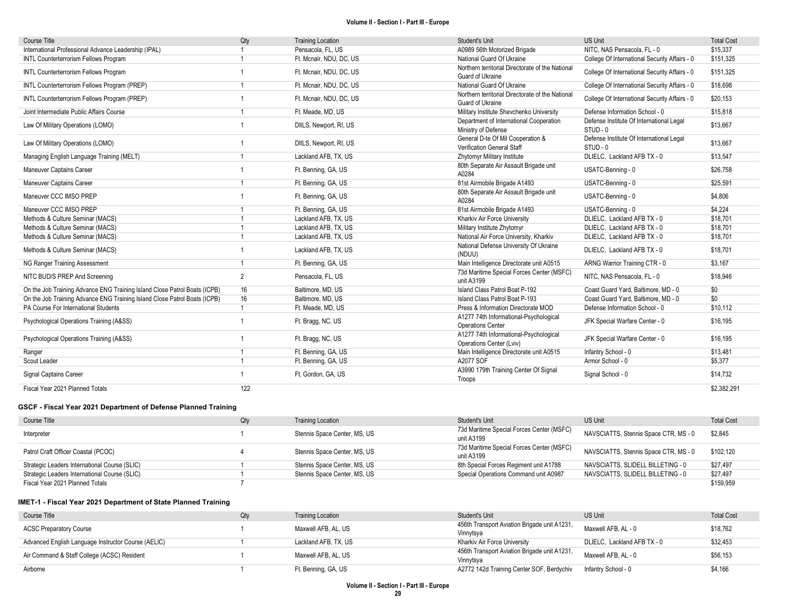| <b>Course Title</b>                                                       | Qty            | <b>Training Location</b> | Student's Unit                                                       | <b>US Unit</b>                                       | <b>Total Cost</b> |
|---------------------------------------------------------------------------|----------------|--------------------------|----------------------------------------------------------------------|------------------------------------------------------|-------------------|
| International Professional Advance Leadership (IPAL)                      |                | Pensacola, FL, US        | A0989 56th Motorized Brigade                                         | NITC. NAS Pensacola. FL - 0                          | \$15.337          |
| INTL Counterterrorism Fellows Program                                     |                | Ft. Mcnair, NDU, DC, US  | National Guard Of Ukraine                                            | College Of International Security Affairs - 0        | \$151,325         |
| INTL Counterterrorism Fellows Program                                     |                | Ft. Mcnair, NDU, DC, US  | Northern territorial Directorate of the National<br>Guard of Ukraine | College Of International Security Affairs - 0        | \$151,325         |
| INTL Counterterrorism Fellows Program (PREP)                              | -1             | Ft. Mcnair, NDU, DC, US  | National Guard Of Ukraine                                            | College Of International Security Affairs - 0        | \$18,698          |
| INTL Counterterrorism Fellows Program (PREP)                              |                | Ft. Mcnair, NDU, DC, US  | Northern territorial Directorate of the National<br>Guard of Ukraine | College Of International Security Affairs - 0        | \$20,153          |
| Joint Intermediate Public Affairs Course                                  | $\overline{1}$ | Ft. Meade, MD, US        | Military Institute Shevchenko University                             | Defense Information School - 0                       | \$15,818          |
| Law Of Military Operations (LOMO)                                         |                | DIILS, Newport, RI, US   | Department of International Cooperation<br>Ministry of Defense       | Defense Institute Of International Legal<br>STUD - 0 | \$13.667          |
| Law Of Military Operations (LOMO)                                         |                | DIILS, Newport, RI, US   | General D-te Of Mil Cooperation &<br>Verification General Staff      | Defense Institute Of International Legal<br>STUD - 0 | \$13,667          |
| Managing English Language Training (MELT)                                 |                | Lackland AFB, TX, US     | Zhytomyr Military Institute                                          | DLIELC, Lackland AFB TX - 0                          | \$13,547          |
| Maneuver Captains Career                                                  |                | Ft. Benning, GA, US      | 80th Separate Air Assault Brigade unit<br>A0284                      | USATC-Benning - 0                                    | \$26,758          |
| Maneuver Captains Career                                                  |                | Ft. Benning, GA, US      | 81st Airmobile Brigade A1493                                         | USATC-Benning - 0                                    | \$25.591          |
| Maneuver CCC IMSO PREP                                                    |                | Ft. Benning, GA, US      | 80th Separate Air Assault Brigade unit<br>A0284                      | USATC-Benning - 0                                    | \$4,806           |
| Maneuver CCC IMSO PREP                                                    |                | Ft. Benning, GA, US      | 81st Airmobile Brigade A1493                                         | USATC-Benning - 0                                    | \$4.224           |
| Methods & Culture Seminar (MACS)                                          |                | Lackland AFB, TX, US     | Kharkiv Air Force University                                         | DLIELC. Lackland AFB TX - 0                          | \$18.701          |
| Methods & Culture Seminar (MACS)                                          |                | Lackland AFB, TX, US     | Military Institute Zhytomyr                                          | DLIELC, Lackland AFB TX - 0                          | \$18,701          |
| Methods & Culture Seminar (MACS)                                          |                | Lackland AFB, TX, US     | National Air Force University, Kharkiv                               | DLIELC, Lackland AFB TX - 0                          | \$18,701          |
| Methods & Culture Seminar (MACS)                                          |                | Lackland AFB, TX, US     | National Defense University Of Ukraine<br>(NDUU)                     | DLIELC, Lackland AFB TX - 0                          | \$18.701          |
| NG Ranger Training Assessment                                             |                | Ft. Benning, GA, US      | Main Intelligence Directorate unit A0515                             | ARNG Warrior Training CTR - 0                        | \$3,167           |
| NITC BUD/S PREP And Screening                                             | 2              | Pensacola, FL, US        | 73d Maritime Special Forces Center (MSFC)<br>unit A3199              | NITC, NAS Pensacola, FL - 0                          | \$18,946          |
| On the Job Training Advance ENG Training Island Close Patrol Boats (ICPB) | 16             | Baltimore, MD, US        | Island Class Patrol Boat P-192                                       | Coast Guard Yard, Baltimore, MD - 0                  | \$0               |
| On the Job Training Advance ENG Training Island Close Patrol Boats (ICPB) | 16             | Baltimore, MD, US        | Island Class Patrol Boat P-193                                       | Coast Guard Yard, Baltimore, MD - 0                  | \$0               |
| PA Course For International Students                                      | -1             | Ft. Meade, MD, US        | Press & Information Directorate MOD                                  | Defense Information School - 0                       | \$10.112          |
| Psychological Operations Training (A&SS)                                  |                | Ft. Bragg, NC, US        | A1277 74th Informational-Psychological<br><b>Operations Center</b>   | JFK Special Warfare Center - 0                       | \$16,195          |
| Psychological Operations Training (A&SS)                                  |                | Ft. Bragg, NC, US        | A1277 74th Informational-Psychological<br>Operations Center (Lviv)   | JFK Special Warfare Center - 0                       | \$16,195          |
| Ranger                                                                    |                | Ft. Benning, GA, US      | Main Intelligence Directorate unit A0515                             | Infantry School - 0                                  | \$13,481          |
| Scout Leader                                                              | $\overline{1}$ | Ft. Benning, GA, US      | A2077 SOF                                                            | Armor School - 0                                     | \$5,377           |
| Signal Captains Career                                                    |                | Ft. Gordon, GA, US       | A3990 179th Training Center Of Signal<br>Troops                      | Signal School - 0                                    | \$14,732          |
| Fiscal Year 2021 Planned Totals                                           | 122            |                          |                                                                      |                                                      | \$2,382,291       |

## GSCF - Fiscal Year 2021 Department of Defense Planned Training

| Course Title                                  | Qty | <b>Training Location</b>     | Student's Unit                                          | <b>US Unit</b>                        | <b>Total Cost</b> |
|-----------------------------------------------|-----|------------------------------|---------------------------------------------------------|---------------------------------------|-------------------|
| Interpreter                                   |     | Stennis Space Center, MS, US | 73d Maritime Special Forces Center (MSFC)<br>unit A3199 | NAVSCIATTS, Stennis Space CTR, MS - 0 | \$2.845           |
| Patrol Craft Officer Coastal (PCOC)           |     | Stennis Space Center, MS, US | 73d Maritime Special Forces Center (MSFC)<br>unit A3199 | NAVSCIATTS, Stennis Space CTR, MS - 0 | \$102,120         |
| Strategic Leaders International Course (SLIC) |     | Stennis Space Center, MS, US | 8th Special Forces Regiment unit A1788                  | NAVSCIATTS. SLIDELL BILLETING - 0     | \$27.497          |
| Strategic Leaders International Course (SLIC) |     | Stennis Space Center, MS, US | Special Operations Command unit A0987                   | NAVSCIATTS, SLIDELL BILLETING - 0     | \$27,497          |
| Fiscal Year 2021 Planned Totals               |     |                              |                                                         |                                       | \$159.959         |

## IMET-1 - Fiscal Year 2021 Department of State Planned Training

| Course Title                                        | Qty | <b>Training Location</b> | Student's Unit                                            | <b>US Unit</b>              | <b>Total Cost</b> |
|-----------------------------------------------------|-----|--------------------------|-----------------------------------------------------------|-----------------------------|-------------------|
| <b>ACSC Preparatory Course</b>                      |     | Maxwell AFB, AL, US      | 456th Transport Aviation Brigade unit A1231,<br>Vinnytsya | Maxwell AFB, AL - 0         | \$18,762          |
| Advanced English Language Instructor Course (AELIC) |     | Lackland AFB. TX. US     | Kharkiv Air Force University                              | DLIELC. Lackland AFB TX - 0 | \$32,453          |
| Air Command & Staff College (ACSC) Resident         |     | Maxwell AFB, AL, US      | 456th Transport Aviation Brigade unit A1231,<br>Vinnytsya | Maxwell AFB, AL - 0         | \$56,153          |
| Airborne                                            |     | Ft. Benning, GA, US      | A2772 142d Training Center SOF, Berdychiv                 | Infantry School - 0         | \$4.166           |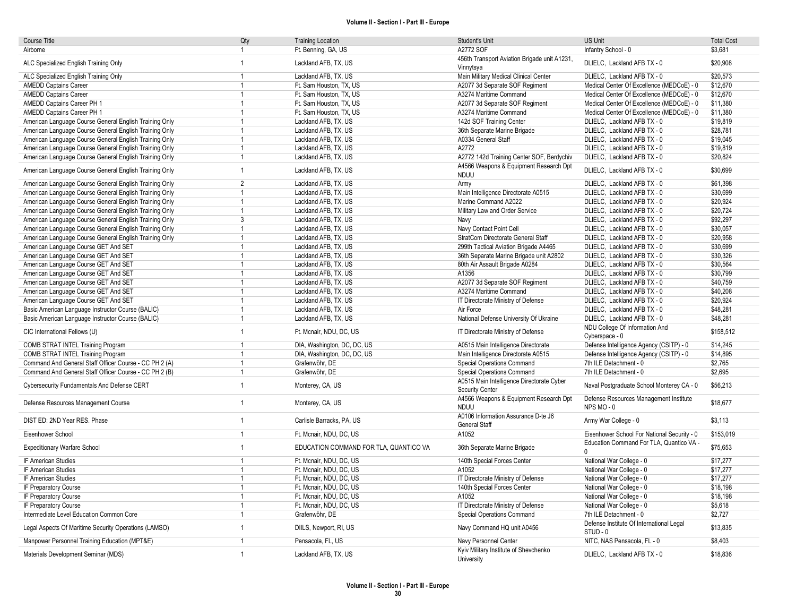| Course Title                                           | Qty            | <b>Training Location</b>               | Student's Unit                                                   | <b>US Unit</b>                                       | <b>Total Cost</b> |
|--------------------------------------------------------|----------------|----------------------------------------|------------------------------------------------------------------|------------------------------------------------------|-------------------|
| Airborne                                               | $\mathbf{1}$   | Ft. Benning, GA, US                    | A2772 SOF                                                        | Infantry School - 0                                  | \$3,681           |
|                                                        | $\mathbf{1}$   |                                        | 456th Transport Aviation Brigade unit A1231,                     |                                                      | \$20,908          |
| ALC Specialized English Training Only                  |                | Lackland AFB, TX, US                   | Vinnytsya                                                        | DLIELC, Lackland AFB TX - 0                          |                   |
| ALC Specialized English Training Only                  | $\overline{1}$ | Lackland AFB, TX, US                   | Main Military Medical Clinical Center                            | DLIELC, Lackland AFB TX - 0                          | \$20,573          |
| <b>AMEDD Captains Career</b>                           | $\mathbf{1}$   | Ft. Sam Houston, TX, US                | A2077 3d Separate SOF Regiment                                   | Medical Center Of Excellence (MEDCoE) - 0            | \$12,670          |
| <b>AMEDD Captains Career</b>                           | $\mathbf{1}$   | Ft. Sam Houston, TX, US                | A3274 Maritime Command                                           | Medical Center Of Excellence (MEDCoE) - 0            | \$12,670          |
| AMEDD Captains Career PH 1                             | $\overline{1}$ | Ft. Sam Houston, TX, US                | A2077 3d Separate SOF Regiment                                   | Medical Center Of Excellence (MEDCoE) - 0            | \$11,380          |
| AMEDD Captains Career PH 1                             | $\overline{1}$ | Ft. Sam Houston, TX, US                | A3274 Maritime Command                                           | Medical Center Of Excellence (MEDCoE) - 0            | \$11,380          |
| American Language Course General English Training Only | $\overline{1}$ | Lackland AFB, TX, US                   | 142d SOF Training Center                                         | DLIELC, Lackland AFB TX - 0                          | \$19,819          |
| American Language Course General English Training Only | $\overline{1}$ | Lackland AFB, TX, US                   | 36th Separate Marine Brigade                                     | DLIELC, Lackland AFB TX - 0                          | \$28,781          |
| American Language Course General English Training Only | $\mathbf{1}$   | Lackland AFB, TX, US                   | A0334 General Staff                                              | DLIELC, Lackland AFB TX - 0                          | \$19.045          |
| American Language Course General English Training Only | $\overline{1}$ | Lackland AFB, TX, US                   | A2772                                                            | DLIELC, Lackland AFB TX - 0                          | \$19,819          |
| American Language Course General English Training Only | $\mathbf{1}$   | Lackland AFB, TX, US                   | A2772 142d Training Center SOF, Berdychiv                        | DLIELC, Lackland AFB TX - 0                          | \$20,824          |
| American Language Course General English Training Only | $\mathbf{1}$   | Lackland AFB, TX, US                   | A4566 Weapons & Equipment Research Dpt                           | DLIELC, Lackland AFB TX - 0                          | \$30,699          |
|                                                        |                |                                        | <b>NDUU</b>                                                      |                                                      |                   |
| American Language Course General English Training Only | $\overline{2}$ | Lackland AFB, TX, US                   | Army                                                             | DLIELC, Lackland AFB TX - 0                          | \$61,398          |
| American Language Course General English Training Only | $\mathbf{1}$   | Lackland AFB, TX, US                   | Main Intelligence Directorate A0515                              | DLIELC, Lackland AFB TX - 0                          | \$30,699          |
| American Language Course General English Training Only | $\mathbf{1}$   | Lackland AFB, TX, US                   | Marine Command A2022                                             | DLIELC, Lackland AFB TX - 0                          | \$20,924          |
| American Language Course General English Training Only | $\overline{1}$ | Lackland AFB, TX, US                   | Military Law and Order Service                                   | DLIELC, Lackland AFB TX - 0                          | \$20,724          |
| American Language Course General English Training Only | 3              | Lackland AFB, TX, US                   | Navy                                                             | DLIELC, Lackland AFB TX - 0                          | \$92,297          |
| American Language Course General English Training Only | $\overline{1}$ | Lackland AFB, TX, US                   | Navy Contact Point Cell                                          | DLIELC, Lackland AFB TX - 0                          | \$30,057          |
| American Language Course General English Training Only | $\mathbf{1}$   | Lackland AFB, TX, US                   | StratCom Directorate General Staff                               | DLIELC, Lackland AFB TX - 0                          | \$20.958          |
| American Language Course GET And SET                   | $\mathbf{1}$   | Lackland AFB, TX, US                   | 299th Tactical Aviation Brigade A4465                            | DLIELC, Lackland AFB TX - 0                          | \$30,699          |
| American Language Course GET And SET                   | $\overline{1}$ | Lackland AFB, TX, US                   | 36th Separate Marine Brigade unit A2802                          | DLIELC, Lackland AFB TX - 0                          | \$30,326          |
| American Language Course GET And SET                   | $\mathbf{1}$   | Lackland AFB, TX, US                   | 80th Air Assault Brigade A0284                                   | DLIELC, Lackland AFB TX - 0                          | \$30,564          |
| American Language Course GET And SET                   | $\mathbf{1}$   | Lackland AFB, TX, US                   | A1356                                                            | DLIELC, Lackland AFB TX - 0                          | \$30,799          |
| American Language Course GET And SET                   | $\mathbf{1}$   | Lackland AFB, TX, US                   | A2077 3d Separate SOF Regiment                                   | DLIELC, Lackland AFB TX - 0                          | \$40,759          |
| American Language Course GET And SET                   | $\overline{1}$ | Lackland AFB, TX, US                   | A3274 Maritime Command                                           | DLIELC, Lackland AFB TX - 0                          | \$40,208          |
| American Language Course GET And SET                   | $\mathbf{1}$   | Lackland AFB, TX, US                   | IT Directorate Ministry of Defense                               | DLIELC, Lackland AFB TX - 0                          | \$20.924          |
| Basic American Language Instructor Course (BALIC)      | $\mathbf{1}$   | Lackland AFB, TX, US                   | Air Force                                                        | DLIELC, Lackland AFB TX - 0                          | \$48,281          |
| Basic American Language Instructor Course (BALIC)      | $\mathbf{1}$   | Lackland AFB, TX, US                   | National Defense University Of Ukraine                           | DLIELC, Lackland AFB TX - 0                          | \$48,281          |
| CIC International Fellows (U)                          | $\mathbf{1}$   | Ft. Mcnair, NDU, DC, US                | IT Directorate Ministry of Defense                               | NDU College Of Information And<br>Cyberspace - 0     | \$158,512         |
| COMB STRAT INTEL Training Program                      | $\mathbf{1}$   | DIA, Washington, DC, DC, US            | A0515 Main Intelligence Directorate                              | Defense Intelligence Agency (CSITP) - 0              | \$14,245          |
| COMB STRAT INTEL Training Program                      | $\mathbf{1}$   | DIA, Washington, DC, DC, US            | Main Intelligence Directorate A0515                              | Defense Intelligence Agency (CSITP) - 0              | \$14,895          |
| Command And General Staff Officer Course - CC PH 2 (A) | $\overline{1}$ | Grafenwöhr, DE                         | Special Operations Command                                       | 7th ILE Detachment - 0                               | \$2,765           |
| Command And General Staff Officer Course - CC PH 2 (B) | $\mathbf{1}$   | Grafenwöhr, DE                         | Special Operations Command                                       | 7th ILE Detachment - 0                               | \$2,695           |
| Cybersecurity Fundamentals And Defense CERT            | $\mathbf{1}$   | Monterey, CA, US                       | A0515 Main Intelligence Directorate Cyber                        | Naval Postgraduate School Monterey CA - 0            | \$56.213          |
|                                                        |                |                                        | <b>Security Center</b><br>A4566 Weapons & Equipment Research Dpt | Defense Resources Management Institute               |                   |
| Defense Resources Management Course                    | $\mathbf{1}$   | Monterey, CA, US                       | <b>NDUU</b>                                                      | NPS MO-0                                             | \$18,677          |
| DIST ED: 2ND Year RES. Phase                           | $\mathbf{1}$   | Carlisle Barracks, PA, US              | A0106 Information Assurance D-te J6<br>General Staff             | Army War College - 0                                 | \$3,113           |
| Eisenhower School                                      | $\mathbf{1}$   | Ft. Mcnair, NDU, DC, US                | A1052                                                            | Eisenhower School For National Security - 0          | \$153,019         |
| <b>Expeditionary Warfare School</b>                    | $\overline{1}$ | EDUCATION COMMAND FOR TLA, QUANTICO VA | 36th Separate Marine Brigade                                     | Education Command For TLA, Quantico VA -<br>$\Omega$ | \$75,653          |
| IF American Studies                                    | $\overline{1}$ | Ft. Mcnair, NDU, DC, US                | 140th Special Forces Center                                      | National War College - 0                             | \$17,277          |
| IF American Studies                                    | $\overline{1}$ | Ft. Mcnair, NDU, DC, US                | A1052                                                            | National War College - 0                             | \$17,277          |
| IF American Studies                                    | $\mathbf{1}$   | Ft. Mcnair, NDU, DC, US                | IT Directorate Ministry of Defense                               | National War College - 0                             | \$17,277          |
| IF Preparatory Course                                  | $\mathbf{1}$   | Ft. Mcnair, NDU, DC, US                | 140th Special Forces Center                                      | National War College - 0                             | \$18,198          |
| IF Preparatory Course                                  | $\overline{1}$ | Ft. Mcnair, NDU, DC, US                | A1052                                                            | National War College - 0                             | \$18,198          |
| IF Preparatory Course                                  | $\mathbf{1}$   | Ft. Mcnair, NDU, DC, US                | IT Directorate Ministry of Defense                               | National War College - 0                             | \$5,618           |
| Intermediate Level Education Common Core               | $\mathbf{1}$   | Grafenwöhr, DE                         | Special Operations Command                                       | 7th ILE Detachment - 0                               | \$2,727           |
| Legal Aspects Of Maritime Security Operations (LAMSO)  | $\mathbf{1}$   | DIILS, Newport, RI, US                 | Navy Command HQ unit A0456                                       | Defense Institute Of International Legal<br>STUD - 0 | \$13,835          |
| Manpower Personnel Training Education (MPT&E)          | $\overline{1}$ | Pensacola, FL, US                      | Navy Personnel Center                                            | NITC, NAS Pensacola, FL - 0                          | \$8,403           |
|                                                        | $\overline{1}$ |                                        | Kyiv Military Institute of Shevchenko                            |                                                      |                   |
| Materials Development Seminar (MDS)                    |                | Lackland AFB, TX, US                   | University                                                       | DLIELC, Lackland AFB TX - 0                          | \$18,836          |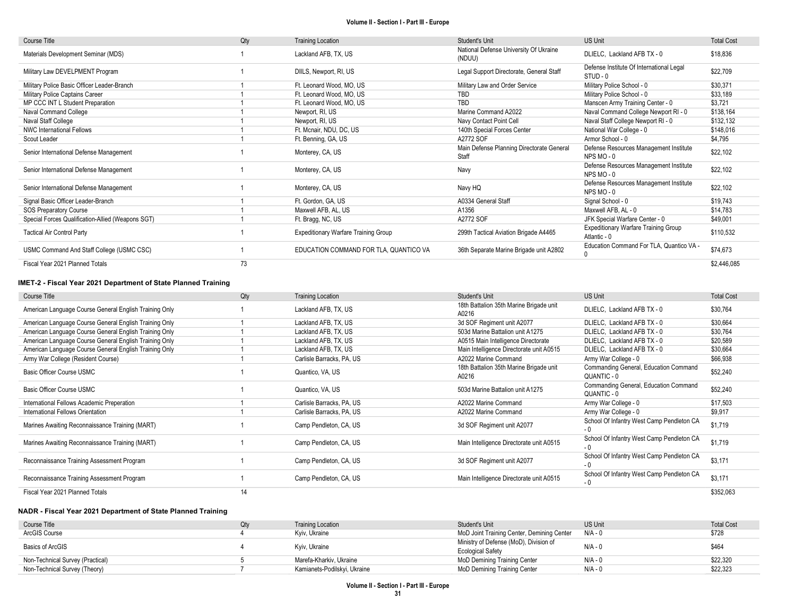| Course Title                                      | Qty | <b>Training Location</b>               | <b>Student's Unit</b>                              | <b>US Unit</b>                                              | <b>Total Cost</b> |
|---------------------------------------------------|-----|----------------------------------------|----------------------------------------------------|-------------------------------------------------------------|-------------------|
| Materials Development Seminar (MDS)               |     | Lackland AFB, TX, US                   | National Defense University Of Ukraine<br>(NDUU)   | DLIELC, Lackland AFB TX - 0                                 | \$18,836          |
| Military Law DEVELPMENT Program                   |     | DIILS, Newport, RI, US                 | Legal Support Directorate, General Staff           | Defense Institute Of International Legal<br>STUD - 0        | \$22,709          |
| Military Police Basic Officer Leader-Branch       |     | Ft. Leonard Wood, MO, US               | Military Law and Order Service                     | Military Police School - 0                                  | \$30,371          |
| Military Police Captains Career                   |     | Ft. Leonard Wood, MO, US               | <b>TBD</b>                                         | Military Police School - 0                                  | \$33,189          |
| MP CCC INT L Student Preparation                  |     | Ft. Leonard Wood. MO. US               | TBD                                                | Manscen Army Training Center - 0                            | \$3,721           |
| Naval Command College                             |     | Newport, RI, US                        | Marine Command A2022                               | Naval Command College Newport RI - 0                        | \$138,164         |
| Naval Staff College                               |     | Newport, RI, US                        | Navy Contact Point Cell                            | Naval Staff College Newport RI - 0                          | \$132,132         |
| <b>NWC International Fellows</b>                  |     | Ft. Mcnair, NDU, DC, US                | 140th Special Forces Center                        | National War College - 0                                    | \$148,016         |
| Scout Leader                                      |     | Ft. Benning, GA, US                    | A2772 SOF                                          | Armor School - 0                                            | \$4,795           |
| Senior International Defense Management           |     | Monterey, CA, US                       | Main Defense Planning Directorate General<br>Staff | Defense Resources Management Institute<br>NPS MO-0          | \$22,102          |
| Senior International Defense Management           |     | Monterey, CA, US                       | Navy                                               | Defense Resources Management Institute<br>NPS MO-0          | \$22,102          |
| Senior International Defense Management           |     | Monterey, CA, US                       | Navy HQ                                            | Defense Resources Management Institute<br>NPS MO-0          | \$22,102          |
| Signal Basic Officer Leader-Branch                |     | Ft. Gordon, GA, US                     | A0334 General Staff                                | Signal School - 0                                           | \$19,743          |
| <b>SOS Preparatory Course</b>                     |     | Maxwell AFB, AL, US                    | A1356                                              | Maxwell AFB, AL - 0                                         | \$14,783          |
| Special Forces Qualification-Allied (Weapons SGT) |     | Ft. Bragg, NC, US                      | A2772 SOF                                          | JFK Special Warfare Center - 0                              | \$49,001          |
| <b>Tactical Air Control Party</b>                 |     | Expeditionary Warfare Training Group   | 299th Tactical Aviation Brigade A4465              | <b>Expeditionary Warfare Training Group</b><br>Atlantic - 0 | \$110,532         |
| USMC Command And Staff College (USMC CSC)         |     | EDUCATION COMMAND FOR TLA, QUANTICO VA | 36th Separate Marine Brigade unit A2802            | Education Command For TLA, Quantico VA -                    | \$74,673          |
| Fiscal Year 2021 Planned Totals                   | 73  |                                        |                                                    |                                                             | \$2,446,085       |

## IMET-2 - Fiscal Year 2021 Department of State Planned Training

| Course Title                                           | Qty | <b>Training Location</b>  | Student's Unit                                   | <b>US Unit</b>                                       | <b>Total Cost</b> |
|--------------------------------------------------------|-----|---------------------------|--------------------------------------------------|------------------------------------------------------|-------------------|
| American Language Course General English Training Only |     | Lackland AFB, TX, US      | 18th Battalion 35th Marine Brigade unit<br>A0216 | DLIELC, Lackland AFB TX - 0                          | \$30,764          |
| American Language Course General English Training Only |     | Lackland AFB, TX, US      | 3d SOF Regiment unit A2077                       | DLIELC, Lackland AFB TX - 0                          | \$30,664          |
| American Language Course General English Training Only |     | Lackland AFB, TX, US      | 503d Marine Battalion unit A1275                 | DLIELC, Lackland AFB TX - 0                          | \$30,764          |
| American Language Course General English Training Only |     | Lackland AFB, TX, US      | A0515 Main Intelligence Directorate              | DLIELC, Lackland AFB TX - 0                          | \$20,589          |
| American Language Course General English Training Only |     | Lackland AFB, TX, US      | Main Intelligence Directorate unit A0515         | DLIELC, Lackland AFB TX - 0                          | \$30,664          |
| Army War College (Resident Course)                     |     | Carlisle Barracks, PA, US | A2022 Marine Command                             | Army War College - 0                                 | \$66,938          |
| Basic Officer Course USMC                              |     | Quantico, VA, US          | 18th Battalion 35th Marine Brigade unit<br>A0216 | Commanding General, Education Command<br>QUANTIC - 0 | \$52,240          |
| Basic Officer Course USMC                              |     | Quantico, VA, US          | 503d Marine Battalion unit A1275                 | Commanding General, Education Command<br>QUANTIC - 0 | \$52,240          |
| International Fellows Academic Preperation             |     | Carlisle Barracks, PA, US | A2022 Marine Command                             | Army War College - 0                                 | \$17,503          |
| International Fellows Orientation                      |     | Carlisle Barracks, PA, US | A2022 Marine Command                             | Army War College - 0                                 | \$9,917           |
| Marines Awaiting Reconnaissance Training (MART)        |     | Camp Pendleton, CA, US    | 3d SOF Regiment unit A2077                       | School Of Infantry West Camp Pendleton CA            | \$1,719           |
| Marines Awaiting Reconnaissance Training (MART)        |     | Camp Pendleton, CA, US    | Main Intelligence Directorate unit A0515         | School Of Infantry West Camp Pendleton CA<br>- 0     | \$1,719           |
| Reconnaissance Training Assessment Program             |     | Camp Pendleton, CA, US    | 3d SOF Regiment unit A2077                       | School Of Infantry West Camp Pendleton CA<br>- 0     | \$3,171           |
| Reconnaissance Training Assessment Program             |     | Camp Pendleton, CA, US    | Main Intelligence Directorate unit A0515         | School Of Infantry West Camp Pendleton CA<br>- 0     | \$3,171           |
| Fiscal Year 2021 Planned Totals                        | 14  |                           |                                                  |                                                      | \$352,063         |

## NADR - Fiscal Year 2021 Department of State Planned Training

| Course Title                     | <b>Training Location</b>     | Student's Unit                             | <b>US Unit</b> | <b>Total Cost</b> |
|----------------------------------|------------------------------|--------------------------------------------|----------------|-------------------|
| ArcGIS Course                    | Kyiv, Ukraine                | MoD Joint Training Center, Demining Center | $N/A - 0$      | \$728             |
| Basics of ArcGIS                 | Kyiv, Ukraine                | Ministry of Defense (MoD), Division of     | $N/A - 0$      | \$464             |
|                                  |                              | <b>Ecological Safety</b>                   |                |                   |
| Non-Technical Survey (Practical) | Marefa-Kharkiv. Ukraine      | MoD Demining Training Center               | $N/A - 0$      | \$22,320          |
| Non-Technical Survey (Theory)    | Kamianets-Podilskyi, Ukraine | MoD Demining Training Center               | $N/A - 0$      | \$22,323          |